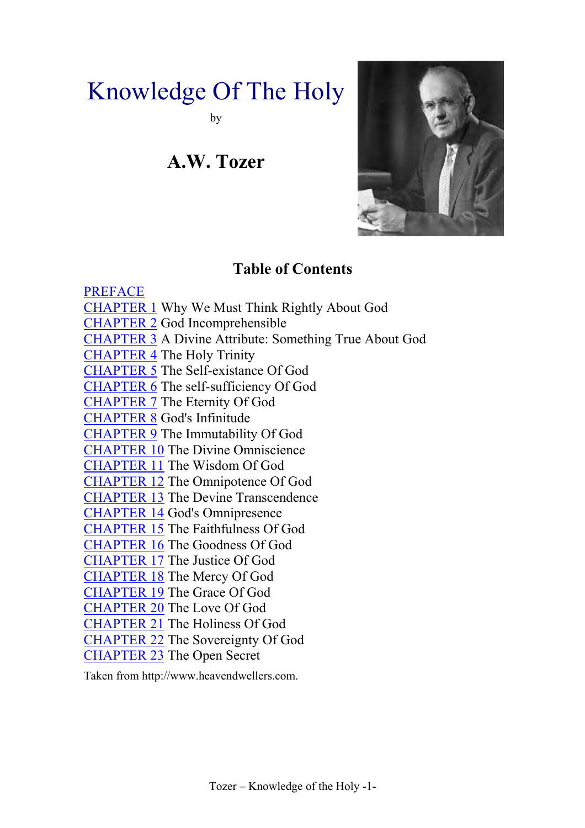# Knowledge Of The Holy

by

## **A.W. Tozer**



#### **Table of Contents**

[PREFACE](#page-1-0) [CHAPTER 1 Why We Must Think Rightly About God](#page-3-0)  [CHAPTER 2 God Incomprehensible](#page-6-0)  [CHAPTER 3 A Divine Attribute: Something True About God](#page-10-0)  [CHAPTER 4 The Holy Trinity](#page-13-0)  [CHAPTER 5 The Self-existance Of God](#page-18-0)  [CHAPTER 6 The self-sufficiency Of God](#page-23-0)  [CHAPTER 7 The Eternity Of God](#page-27-0)  [CHAPTER 8 God's Infinitude](#page-30-0)  [CHAPTER 9 The Immutability Of God](#page-34-0)  [CHAPTER 10 The Divine Omniscience](#page-38-0)  [CHAPTER 11 The Wisdom Of God](#page-41-0)  [CHAPTER 12 The Omnipotence Of God](#page-45-0)  [CHAPTER 13 The Devine Transcendence](#page-48-0)  [CHAPTER 14 God's Omnipresence](#page-51-0)  [CHAPTER 15 The Faithfulness Of God](#page-53-0)  [CHAPTER 16 The Goodness Of God](#page-56-0)  [CHAPTER 17 The Justice Of God](#page-59-0)  [CHAPTER 18 The Mercy Of God](#page-62-0)  [CHAPTER 19 The Grace Of God](#page-64-0)  [CHAPTER 20 The Love Of God](#page-67-0)  [CHAPTER 21 The Holiness Of God](#page-71-0)  [CHAPTER 22 The Sovereignty Of God](#page-74-0) 

[CHAPTER 23 The Open Secret](#page-78-0) 

Taken from http://www.heavendwellers.com.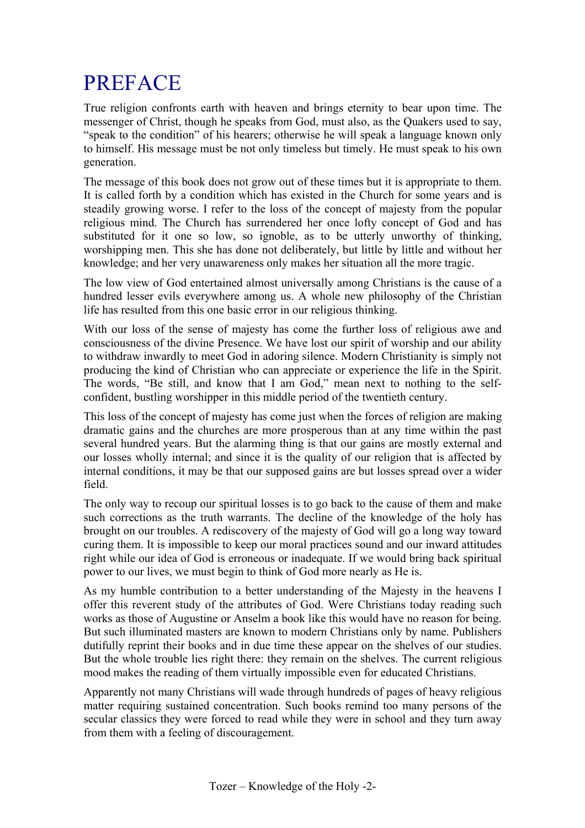## <span id="page-1-0"></span>PREFACE

True religion confronts earth with heaven and brings eternity to bear upon time. The messenger of Christ, though he speaks from God, must also, as the Quakers used to say, "speak to the condition" of his hearers; otherwise he will speak a language known only to himself. His message must be not only timeless but timely. He must speak to his own generation.

The message of this book does not grow out of these times but it is appropriate to them. It is called forth by a condition which has existed in the Church for some years and is steadily growing worse. I refer to the loss of the concept of majesty from the popular religious mind. The Church has surrendered her once lofty concept of God and has substituted for it one so low, so ignoble, as to be utterly unworthy of thinking, worshipping men. This she has done not deliberately, but little by little and without her knowledge; and her very unawareness only makes her situation all the more tragic.

The low view of God entertained almost universally among Christians is the cause of a hundred lesser evils everywhere among us. A whole new philosophy of the Christian life has resulted from this one basic error in our religious thinking.

With our loss of the sense of majesty has come the further loss of religious awe and consciousness of the divine Presence. We have lost our spirit of worship and our ability to withdraw inwardly to meet God in adoring silence. Modern Christianity is simply not producing the kind of Christian who can appreciate or experience the life in the Spirit. The words, "Be still, and know that I am God," mean next to nothing to the selfconfident, bustling worshipper in this middle period of the twentieth century.

This loss of the concept of majesty has come just when the forces of religion are making dramatic gains and the churches are more prosperous than at any time within the past several hundred years. But the alarming thing is that our gains are mostly external and our losses wholly internal; and since it is the quality of our religion that is affected by internal conditions, it may be that our supposed gains are but losses spread over a wider field.

The only way to recoup our spiritual losses is to go back to the cause of them and make such corrections as the truth warrants. The decline of the knowledge of the holy has brought on our troubles. A rediscovery of the majesty of God will go a long way toward curing them. It is impossible to keep our moral practices sound and our inward attitudes right while our idea of God is erroneous or inadequate. If we would bring back spiritual power to our lives, we must begin to think of God more nearly as He is.

As my humble contribution to a better understanding of the Majesty in the heavens I offer this reverent study of the attributes of God. Were Christians today reading such works as those of Augustine or Anselm a book like this would have no reason for being. But such illuminated masters are known to modern Christians only by name. Publishers dutifully reprint their books and in due time these appear on the shelves of our studies. But the whole trouble lies right there: they remain on the shelves. The current religious mood makes the reading of them virtually impossible even for educated Christians.

Apparently not many Christians will wade through hundreds of pages of heavy religious matter requiring sustained concentration. Such books remind too many persons of the secular classics they were forced to read while they were in school and they turn away from them with a feeling of discouragement.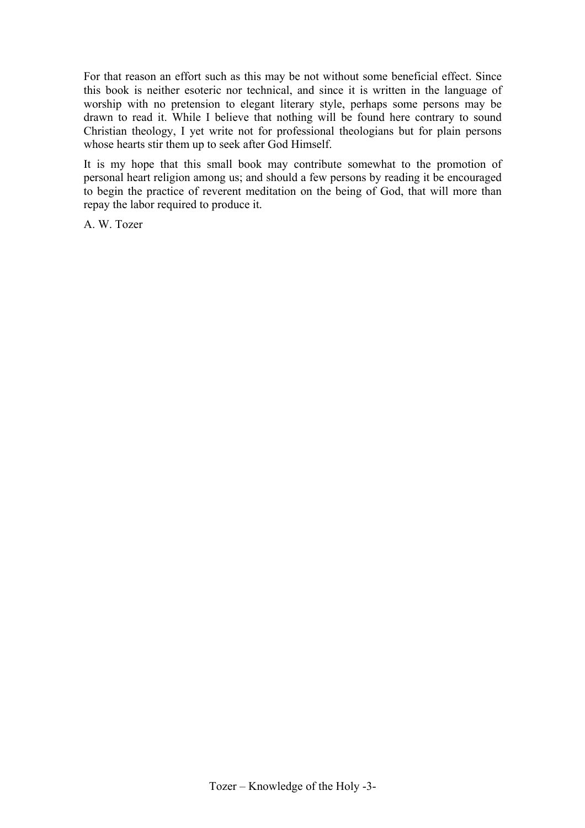For that reason an effort such as this may be not without some beneficial effect. Since this book is neither esoteric nor technical, and since it is written in the language of worship with no pretension to elegant literary style, perhaps some persons may be drawn to read it. While I believe that nothing will be found here contrary to sound Christian theology, I yet write not for professional theologians but for plain persons whose hearts stir them up to seek after God Himself.

It is my hope that this small book may contribute somewhat to the promotion of personal heart religion among us; and should a few persons by reading it be encouraged to begin the practice of reverent meditation on the being of God, that will more than repay the labor required to produce it.

A. W. Tozer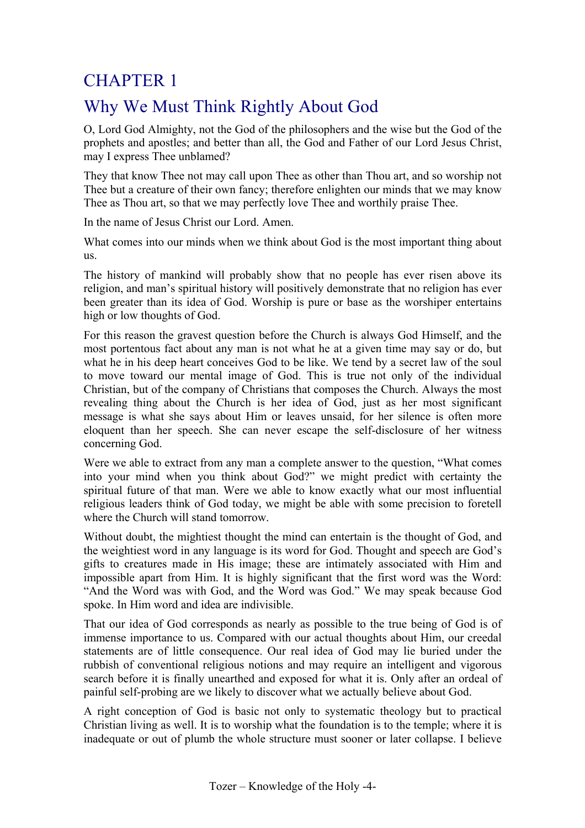## <span id="page-3-0"></span>Why We Must Think Rightly About God

O, Lord God Almighty, not the God of the philosophers and the wise but the God of the prophets and apostles; and better than all, the God and Father of our Lord Jesus Christ, may I express Thee unblamed?

They that know Thee not may call upon Thee as other than Thou art, and so worship not Thee but a creature of their own fancy; therefore enlighten our minds that we may know Thee as Thou art, so that we may perfectly love Thee and worthily praise Thee.

In the name of Jesus Christ our Lord. Amen.

What comes into our minds when we think about God is the most important thing about us.

The history of mankind will probably show that no people has ever risen above its religion, and man's spiritual history will positively demonstrate that no religion has ever been greater than its idea of God. Worship is pure or base as the worshiper entertains high or low thoughts of God.

For this reason the gravest question before the Church is always God Himself, and the most portentous fact about any man is not what he at a given time may say or do, but what he in his deep heart conceives God to be like. We tend by a secret law of the soul to move toward our mental image of God. This is true not only of the individual Christian, but of the company of Christians that composes the Church. Always the most revealing thing about the Church is her idea of God, just as her most significant message is what she says about Him or leaves unsaid, for her silence is often more eloquent than her speech. She can never escape the self-disclosure of her witness concerning God.

Were we able to extract from any man a complete answer to the question, "What comes into your mind when you think about God?" we might predict with certainty the spiritual future of that man. Were we able to know exactly what our most influential religious leaders think of God today, we might be able with some precision to foretell where the Church will stand tomorrow.

Without doubt, the mightiest thought the mind can entertain is the thought of God, and the weightiest word in any language is its word for God. Thought and speech are God's gifts to creatures made in His image; these are intimately associated with Him and impossible apart from Him. It is highly significant that the first word was the Word: "And the Word was with God, and the Word was God." We may speak because God spoke. In Him word and idea are indivisible.

That our idea of God corresponds as nearly as possible to the true being of God is of immense importance to us. Compared with our actual thoughts about Him, our creedal statements are of little consequence. Our real idea of God may lie buried under the rubbish of conventional religious notions and may require an intelligent and vigorous search before it is finally unearthed and exposed for what it is. Only after an ordeal of painful self-probing are we likely to discover what we actually believe about God.

A right conception of God is basic not only to systematic theology but to practical Christian living as well. It is to worship what the foundation is to the temple; where it is inadequate or out of plumb the whole structure must sooner or later collapse. I believe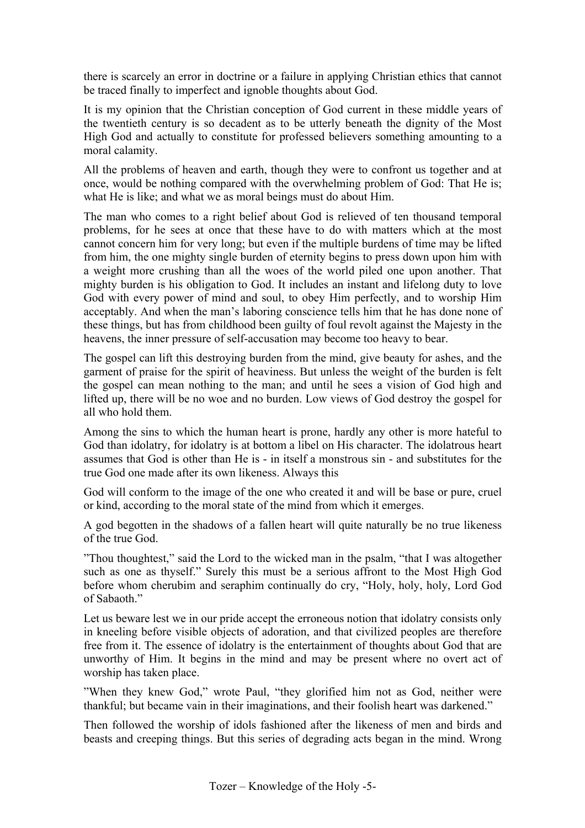there is scarcely an error in doctrine or a failure in applying Christian ethics that cannot be traced finally to imperfect and ignoble thoughts about God.

It is my opinion that the Christian conception of God current in these middle years of the twentieth century is so decadent as to be utterly beneath the dignity of the Most High God and actually to constitute for professed believers something amounting to a moral calamity.

All the problems of heaven and earth, though they were to confront us together and at once, would be nothing compared with the overwhelming problem of God: That He is; what He is like; and what we as moral beings must do about Him.

The man who comes to a right belief about God is relieved of ten thousand temporal problems, for he sees at once that these have to do with matters which at the most cannot concern him for very long; but even if the multiple burdens of time may be lifted from him, the one mighty single burden of eternity begins to press down upon him with a weight more crushing than all the woes of the world piled one upon another. That mighty burden is his obligation to God. It includes an instant and lifelong duty to love God with every power of mind and soul, to obey Him perfectly, and to worship Him acceptably. And when the man's laboring conscience tells him that he has done none of these things, but has from childhood been guilty of foul revolt against the Majesty in the heavens, the inner pressure of self-accusation may become too heavy to bear.

The gospel can lift this destroying burden from the mind, give beauty for ashes, and the garment of praise for the spirit of heaviness. But unless the weight of the burden is felt the gospel can mean nothing to the man; and until he sees a vision of God high and lifted up, there will be no woe and no burden. Low views of God destroy the gospel for all who hold them.

Among the sins to which the human heart is prone, hardly any other is more hateful to God than idolatry, for idolatry is at bottom a libel on His character. The idolatrous heart assumes that God is other than He is - in itself a monstrous sin - and substitutes for the true God one made after its own likeness. Always this

God will conform to the image of the one who created it and will be base or pure, cruel or kind, according to the moral state of the mind from which it emerges.

A god begotten in the shadows of a fallen heart will quite naturally be no true likeness of the true God.

"Thou thoughtest," said the Lord to the wicked man in the psalm, "that I was altogether such as one as thyself." Surely this must be a serious affront to the Most High God before whom cherubim and seraphim continually do cry, "Holy, holy, holy, Lord God of Sabaoth."

Let us beware lest we in our pride accept the erroneous notion that idolatry consists only in kneeling before visible objects of adoration, and that civilized peoples are therefore free from it. The essence of idolatry is the entertainment of thoughts about God that are unworthy of Him. It begins in the mind and may be present where no overt act of worship has taken place.

"When they knew God," wrote Paul, "they glorified him not as God, neither were thankful; but became vain in their imaginations, and their foolish heart was darkened."

Then followed the worship of idols fashioned after the likeness of men and birds and beasts and creeping things. But this series of degrading acts began in the mind. Wrong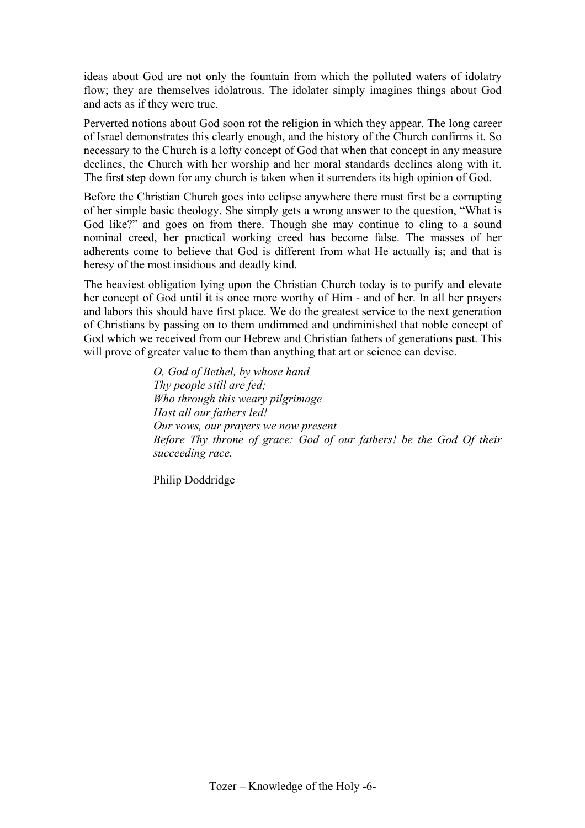ideas about God are not only the fountain from which the polluted waters of idolatry flow; they are themselves idolatrous. The idolater simply imagines things about God and acts as if they were true.

Perverted notions about God soon rot the religion in which they appear. The long career of Israel demonstrates this clearly enough, and the history of the Church confirms it. So necessary to the Church is a lofty concept of God that when that concept in any measure declines, the Church with her worship and her moral standards declines along with it. The first step down for any church is taken when it surrenders its high opinion of God.

Before the Christian Church goes into eclipse anywhere there must first be a corrupting of her simple basic theology. She simply gets a wrong answer to the question, "What is God like?" and goes on from there. Though she may continue to cling to a sound nominal creed, her practical working creed has become false. The masses of her adherents come to believe that God is different from what He actually is; and that is heresy of the most insidious and deadly kind.

The heaviest obligation lying upon the Christian Church today is to purify and elevate her concept of God until it is once more worthy of Him - and of her. In all her prayers and labors this should have first place. We do the greatest service to the next generation of Christians by passing on to them undimmed and undiminished that noble concept of God which we received from our Hebrew and Christian fathers of generations past. This will prove of greater value to them than anything that art or science can devise.

> *O, God of Bethel, by whose hand Thy people still are fed; Who through this weary pilgrimage Hast all our fathers led! Our vows, our prayers we now present Before Thy throne of grace: God of our fathers! be the God Of their succeeding race.*

Philip Doddridge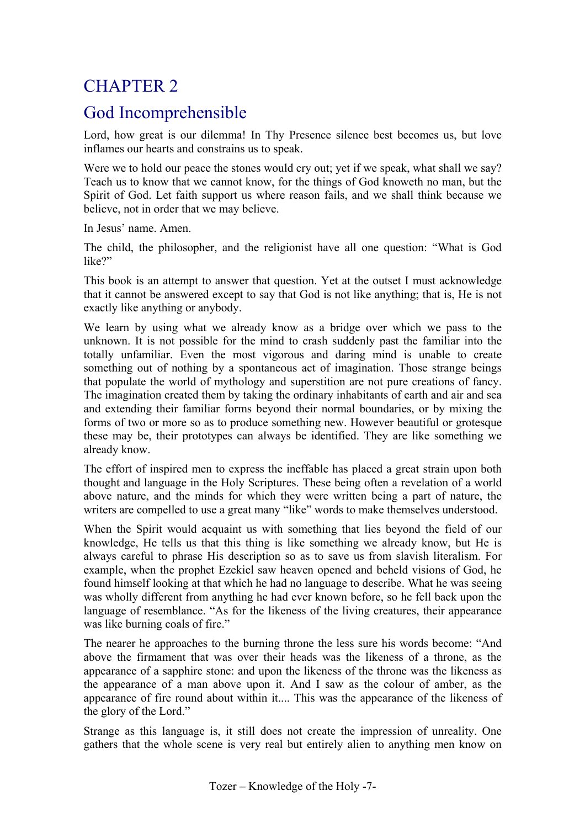#### <span id="page-6-0"></span>God Incomprehensible

Lord, how great is our dilemma! In Thy Presence silence best becomes us, but love inflames our hearts and constrains us to speak.

Were we to hold our peace the stones would cry out; yet if we speak, what shall we say? Teach us to know that we cannot know, for the things of God knoweth no man, but the Spirit of God. Let faith support us where reason fails, and we shall think because we believe, not in order that we may believe.

In Jesus' name. Amen.

The child, the philosopher, and the religionist have all one question: "What is God like?"

This book is an attempt to answer that question. Yet at the outset I must acknowledge that it cannot be answered except to say that God is not like anything; that is, He is not exactly like anything or anybody.

We learn by using what we already know as a bridge over which we pass to the unknown. It is not possible for the mind to crash suddenly past the familiar into the totally unfamiliar. Even the most vigorous and daring mind is unable to create something out of nothing by a spontaneous act of imagination. Those strange beings that populate the world of mythology and superstition are not pure creations of fancy. The imagination created them by taking the ordinary inhabitants of earth and air and sea and extending their familiar forms beyond their normal boundaries, or by mixing the forms of two or more so as to produce something new. However beautiful or grotesque these may be, their prototypes can always be identified. They are like something we already know.

The effort of inspired men to express the ineffable has placed a great strain upon both thought and language in the Holy Scriptures. These being often a revelation of a world above nature, and the minds for which they were written being a part of nature, the writers are compelled to use a great many "like" words to make themselves understood.

When the Spirit would acquaint us with something that lies beyond the field of our knowledge, He tells us that this thing is like something we already know, but He is always careful to phrase His description so as to save us from slavish literalism. For example, when the prophet Ezekiel saw heaven opened and beheld visions of God, he found himself looking at that which he had no language to describe. What he was seeing was wholly different from anything he had ever known before, so he fell back upon the language of resemblance. "As for the likeness of the living creatures, their appearance was like burning coals of fire."

The nearer he approaches to the burning throne the less sure his words become: "And above the firmament that was over their heads was the likeness of a throne, as the appearance of a sapphire stone: and upon the likeness of the throne was the likeness as the appearance of a man above upon it. And I saw as the colour of amber, as the appearance of fire round about within it.... This was the appearance of the likeness of the glory of the Lord."

Strange as this language is, it still does not create the impression of unreality. One gathers that the whole scene is very real but entirely alien to anything men know on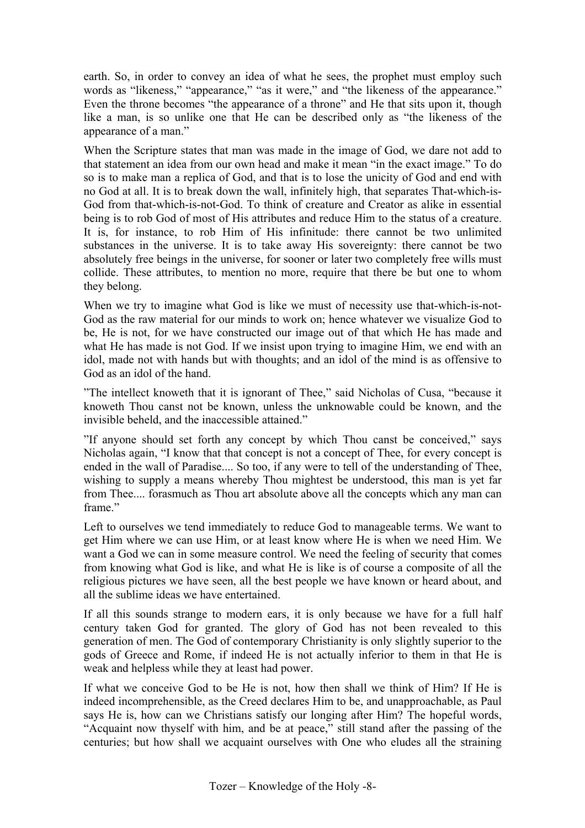earth. So, in order to convey an idea of what he sees, the prophet must employ such words as "likeness," "appearance," "as it were," and "the likeness of the appearance." Even the throne becomes "the appearance of a throne" and He that sits upon it, though like a man, is so unlike one that He can be described only as "the likeness of the appearance of a man."

When the Scripture states that man was made in the image of God, we dare not add to that statement an idea from our own head and make it mean "in the exact image." To do so is to make man a replica of God, and that is to lose the unicity of God and end with no God at all. It is to break down the wall, infinitely high, that separates That-which-is-God from that-which-is-not-God. To think of creature and Creator as alike in essential being is to rob God of most of His attributes and reduce Him to the status of a creature. It is, for instance, to rob Him of His infinitude: there cannot be two unlimited substances in the universe. It is to take away His sovereignty: there cannot be two absolutely free beings in the universe, for sooner or later two completely free wills must collide. These attributes, to mention no more, require that there be but one to whom they belong.

When we try to imagine what God is like we must of necessity use that-which-is-not-God as the raw material for our minds to work on; hence whatever we visualize God to be, He is not, for we have constructed our image out of that which He has made and what He has made is not God. If we insist upon trying to imagine Him, we end with an idol, made not with hands but with thoughts; and an idol of the mind is as offensive to God as an idol of the hand.

"The intellect knoweth that it is ignorant of Thee," said Nicholas of Cusa, "because it knoweth Thou canst not be known, unless the unknowable could be known, and the invisible beheld, and the inaccessible attained."

"If anyone should set forth any concept by which Thou canst be conceived," says Nicholas again, "I know that that concept is not a concept of Thee, for every concept is ended in the wall of Paradise.... So too, if any were to tell of the understanding of Thee, wishing to supply a means whereby Thou mightest be understood, this man is yet far from Thee.... forasmuch as Thou art absolute above all the concepts which any man can frame"

Left to ourselves we tend immediately to reduce God to manageable terms. We want to get Him where we can use Him, or at least know where He is when we need Him. We want a God we can in some measure control. We need the feeling of security that comes from knowing what God is like, and what He is like is of course a composite of all the religious pictures we have seen, all the best people we have known or heard about, and all the sublime ideas we have entertained.

If all this sounds strange to modern ears, it is only because we have for a full half century taken God for granted. The glory of God has not been revealed to this generation of men. The God of contemporary Christianity is only slightly superior to the gods of Greece and Rome, if indeed He is not actually inferior to them in that He is weak and helpless while they at least had power.

If what we conceive God to be He is not, how then shall we think of Him? If He is indeed incomprehensible, as the Creed declares Him to be, and unapproachable, as Paul says He is, how can we Christians satisfy our longing after Him? The hopeful words, "Acquaint now thyself with him, and be at peace," still stand after the passing of the centuries; but how shall we acquaint ourselves with One who eludes all the straining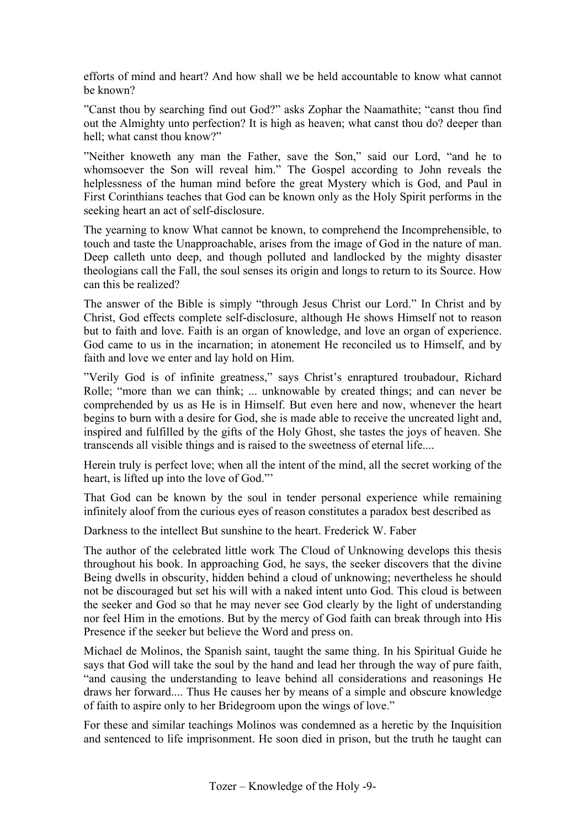efforts of mind and heart? And how shall we be held accountable to know what cannot be known?

"Canst thou by searching find out God?" asks Zophar the Naamathite; "canst thou find out the Almighty unto perfection? It is high as heaven; what canst thou do? deeper than hell: what canst thou know?"

"Neither knoweth any man the Father, save the Son," said our Lord, "and he to whomsoever the Son will reveal him." The Gospel according to John reveals the helplessness of the human mind before the great Mystery which is God, and Paul in First Corinthians teaches that God can be known only as the Holy Spirit performs in the seeking heart an act of self-disclosure.

The yearning to know What cannot be known, to comprehend the Incomprehensible, to touch and taste the Unapproachable, arises from the image of God in the nature of man. Deep calleth unto deep, and though polluted and landlocked by the mighty disaster theologians call the Fall, the soul senses its origin and longs to return to its Source. How can this be realized?

The answer of the Bible is simply "through Jesus Christ our Lord." In Christ and by Christ, God effects complete self-disclosure, although He shows Himself not to reason but to faith and love. Faith is an organ of knowledge, and love an organ of experience. God came to us in the incarnation; in atonement He reconciled us to Himself, and by faith and love we enter and lay hold on Him.

"Verily God is of infinite greatness," says Christ's enraptured troubadour, Richard Rolle; "more than we can think; ... unknowable by created things; and can never be comprehended by us as He is in Himself. But even here and now, whenever the heart begins to burn with a desire for God, she is made able to receive the uncreated light and, inspired and fulfilled by the gifts of the Holy Ghost, she tastes the joys of heaven. She transcends all visible things and is raised to the sweetness of eternal life....

Herein truly is perfect love; when all the intent of the mind, all the secret working of the heart, is lifted up into the love of God."'

That God can be known by the soul in tender personal experience while remaining infinitely aloof from the curious eyes of reason constitutes a paradox best described as

Darkness to the intellect But sunshine to the heart. Frederick W. Faber

The author of the celebrated little work The Cloud of Unknowing develops this thesis throughout his book. In approaching God, he says, the seeker discovers that the divine Being dwells in obscurity, hidden behind a cloud of unknowing; nevertheless he should not be discouraged but set his will with a naked intent unto God. This cloud is between the seeker and God so that he may never see God clearly by the light of understanding nor feel Him in the emotions. But by the mercy of God faith can break through into His Presence if the seeker but believe the Word and press on.

Michael de Molinos, the Spanish saint, taught the same thing. In his Spiritual Guide he says that God will take the soul by the hand and lead her through the way of pure faith, "and causing the understanding to leave behind all considerations and reasonings He draws her forward.... Thus He causes her by means of a simple and obscure knowledge of faith to aspire only to her Bridegroom upon the wings of love."

For these and similar teachings Molinos was condemned as a heretic by the Inquisition and sentenced to life imprisonment. He soon died in prison, but the truth he taught can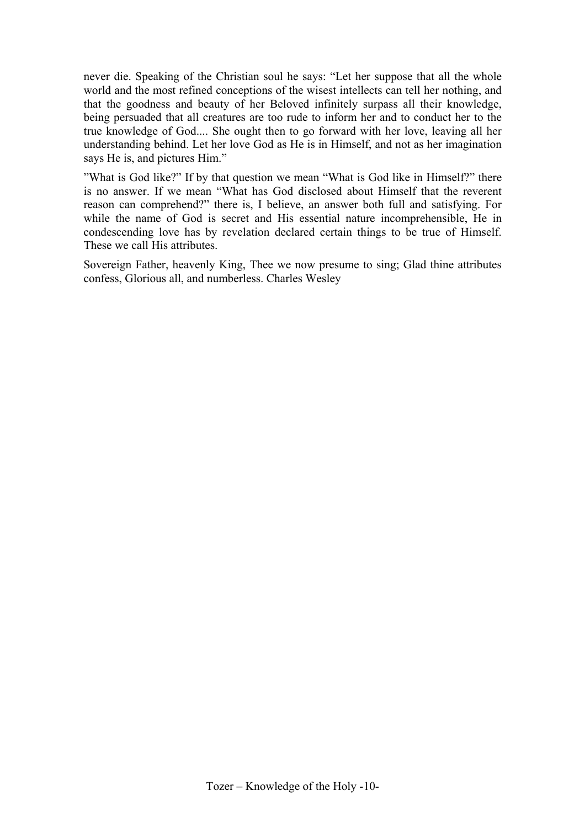never die. Speaking of the Christian soul he says: "Let her suppose that all the whole world and the most refined conceptions of the wisest intellects can tell her nothing, and that the goodness and beauty of her Beloved infinitely surpass all their knowledge, being persuaded that all creatures are too rude to inform her and to conduct her to the true knowledge of God.... She ought then to go forward with her love, leaving all her understanding behind. Let her love God as He is in Himself, and not as her imagination says He is, and pictures Him."

"What is God like?" If by that question we mean "What is God like in Himself?" there is no answer. If we mean "What has God disclosed about Himself that the reverent reason can comprehend?" there is, I believe, an answer both full and satisfying. For while the name of God is secret and His essential nature incomprehensible, He in condescending love has by revelation declared certain things to be true of Himself. These we call His attributes.

Sovereign Father, heavenly King, Thee we now presume to sing; Glad thine attributes confess, Glorious all, and numberless. Charles Wesley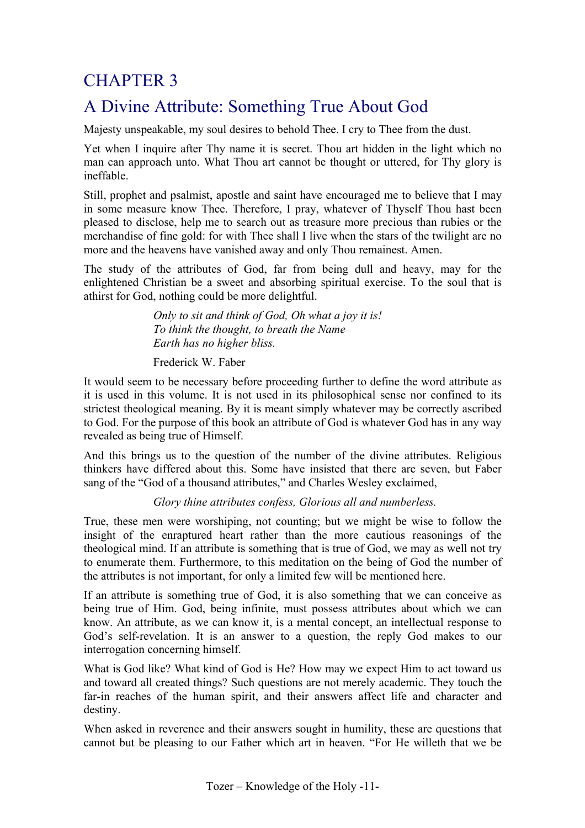#### <span id="page-10-0"></span>A Divine Attribute: Something True About God

Majesty unspeakable, my soul desires to behold Thee. I cry to Thee from the dust.

Yet when I inquire after Thy name it is secret. Thou art hidden in the light which no man can approach unto. What Thou art cannot be thought or uttered, for Thy glory is ineffable.

Still, prophet and psalmist, apostle and saint have encouraged me to believe that I may in some measure know Thee. Therefore, I pray, whatever of Thyself Thou hast been pleased to disclose, help me to search out as treasure more precious than rubies or the merchandise of fine gold: for with Thee shall I live when the stars of the twilight are no more and the heavens have vanished away and only Thou remainest. Amen.

The study of the attributes of God, far from being dull and heavy, may for the enlightened Christian be a sweet and absorbing spiritual exercise. To the soul that is athirst for God, nothing could be more delightful.

> *Only to sit and think of God, Oh what a joy it is! To think the thought, to breath the Name Earth has no higher bliss.*

Frederick W. Faber

It would seem to be necessary before proceeding further to define the word attribute as it is used in this volume. It is not used in its philosophical sense nor confined to its strictest theological meaning. By it is meant simply whatever may be correctly ascribed to God. For the purpose of this book an attribute of God is whatever God has in any way revealed as being true of Himself.

And this brings us to the question of the number of the divine attributes. Religious thinkers have differed about this. Some have insisted that there are seven, but Faber sang of the "God of a thousand attributes," and Charles Wesley exclaimed,

*Glory thine attributes confess, Glorious all and numberless.* 

True, these men were worshiping, not counting; but we might be wise to follow the insight of the enraptured heart rather than the more cautious reasonings of the theological mind. If an attribute is something that is true of God, we may as well not try to enumerate them. Furthermore, to this meditation on the being of God the number of the attributes is not important, for only a limited few will be mentioned here.

If an attribute is something true of God, it is also something that we can conceive as being true of Him. God, being infinite, must possess attributes about which we can know. An attribute, as we can know it, is a mental concept, an intellectual response to God's self-revelation. It is an answer to a question, the reply God makes to our interrogation concerning himself.

What is God like? What kind of God is He? How may we expect Him to act toward us and toward all created things? Such questions are not merely academic. They touch the far-in reaches of the human spirit, and their answers affect life and character and destiny.

When asked in reverence and their answers sought in humility, these are questions that cannot but be pleasing to our Father which art in heaven. "For He willeth that we be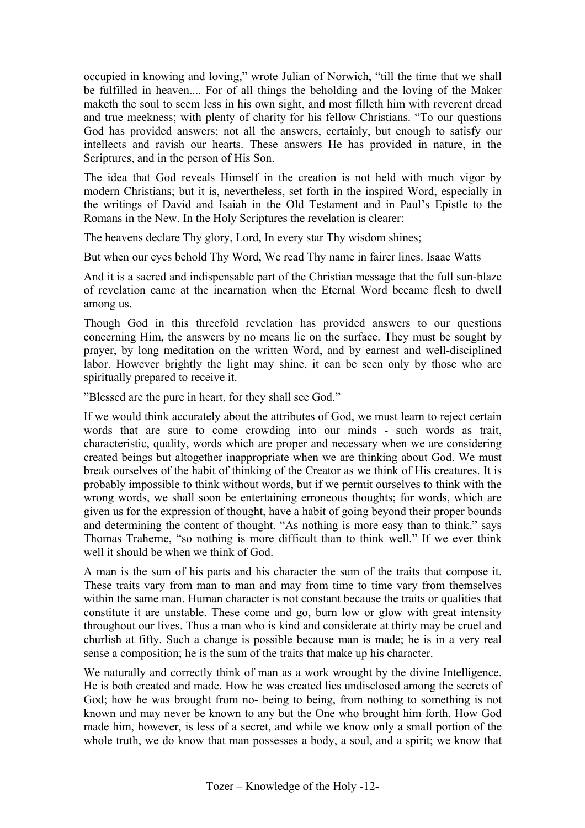occupied in knowing and loving," wrote Julian of Norwich, "till the time that we shall be fulfilled in heaven.... For of all things the beholding and the loving of the Maker maketh the soul to seem less in his own sight, and most filleth him with reverent dread and true meekness; with plenty of charity for his fellow Christians. "To our questions God has provided answers; not all the answers, certainly, but enough to satisfy our intellects and ravish our hearts. These answers He has provided in nature, in the Scriptures, and in the person of His Son.

The idea that God reveals Himself in the creation is not held with much vigor by modern Christians; but it is, nevertheless, set forth in the inspired Word, especially in the writings of David and Isaiah in the Old Testament and in Paul's Epistle to the Romans in the New. In the Holy Scriptures the revelation is clearer:

The heavens declare Thy glory, Lord, In every star Thy wisdom shines;

But when our eyes behold Thy Word, We read Thy name in fairer lines. Isaac Watts

And it is a sacred and indispensable part of the Christian message that the full sun-blaze of revelation came at the incarnation when the Eternal Word became flesh to dwell among us.

Though God in this threefold revelation has provided answers to our questions concerning Him, the answers by no means lie on the surface. They must be sought by prayer, by long meditation on the written Word, and by earnest and well-disciplined labor. However brightly the light may shine, it can be seen only by those who are spiritually prepared to receive it.

"Blessed are the pure in heart, for they shall see God."

If we would think accurately about the attributes of God, we must learn to reject certain words that are sure to come crowding into our minds - such words as trait, characteristic, quality, words which are proper and necessary when we are considering created beings but altogether inappropriate when we are thinking about God. We must break ourselves of the habit of thinking of the Creator as we think of His creatures. It is probably impossible to think without words, but if we permit ourselves to think with the wrong words, we shall soon be entertaining erroneous thoughts; for words, which are given us for the expression of thought, have a habit of going beyond their proper bounds and determining the content of thought. "As nothing is more easy than to think," says Thomas Traherne, "so nothing is more difficult than to think well." If we ever think well it should be when we think of God.

A man is the sum of his parts and his character the sum of the traits that compose it. These traits vary from man to man and may from time to time vary from themselves within the same man. Human character is not constant because the traits or qualities that constitute it are unstable. These come and go, burn low or glow with great intensity throughout our lives. Thus a man who is kind and considerate at thirty may be cruel and churlish at fifty. Such a change is possible because man is made; he is in a very real sense a composition; he is the sum of the traits that make up his character.

We naturally and correctly think of man as a work wrought by the divine Intelligence. He is both created and made. How he was created lies undisclosed among the secrets of God; how he was brought from no- being to being, from nothing to something is not known and may never be known to any but the One who brought him forth. How God made him, however, is less of a secret, and while we know only a small portion of the whole truth, we do know that man possesses a body, a soul, and a spirit; we know that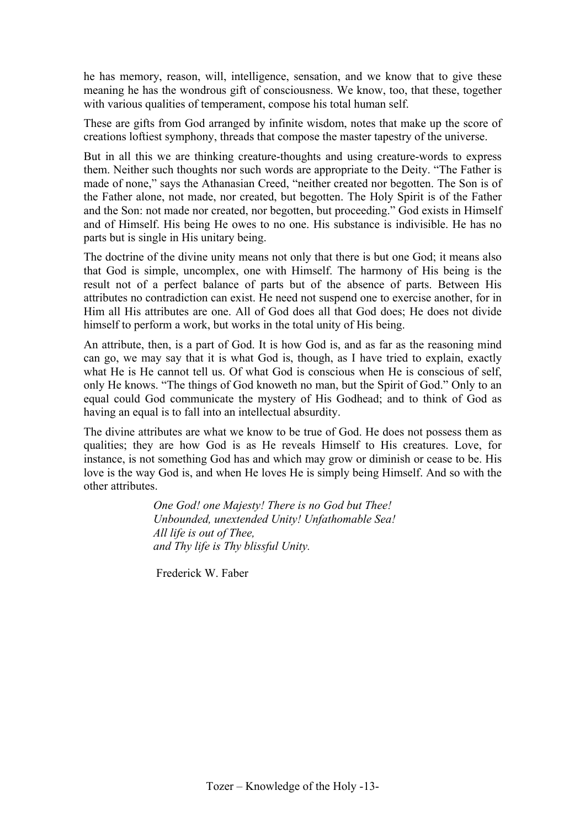he has memory, reason, will, intelligence, sensation, and we know that to give these meaning he has the wondrous gift of consciousness. We know, too, that these, together with various qualities of temperament, compose his total human self.

These are gifts from God arranged by infinite wisdom, notes that make up the score of creations loftiest symphony, threads that compose the master tapestry of the universe.

But in all this we are thinking creature-thoughts and using creature-words to express them. Neither such thoughts nor such words are appropriate to the Deity. "The Father is made of none," says the Athanasian Creed, "neither created nor begotten. The Son is of the Father alone, not made, nor created, but begotten. The Holy Spirit is of the Father and the Son: not made nor created, nor begotten, but proceeding." God exists in Himself and of Himself. His being He owes to no one. His substance is indivisible. He has no parts but is single in His unitary being.

The doctrine of the divine unity means not only that there is but one God; it means also that God is simple, uncomplex, one with Himself. The harmony of His being is the result not of a perfect balance of parts but of the absence of parts. Between His attributes no contradiction can exist. He need not suspend one to exercise another, for in Him all His attributes are one. All of God does all that God does; He does not divide himself to perform a work, but works in the total unity of His being.

An attribute, then, is a part of God. It is how God is, and as far as the reasoning mind can go, we may say that it is what God is, though, as I have tried to explain, exactly what He is He cannot tell us. Of what God is conscious when He is conscious of self. only He knows. "The things of God knoweth no man, but the Spirit of God." Only to an equal could God communicate the mystery of His Godhead; and to think of God as having an equal is to fall into an intellectual absurdity.

The divine attributes are what we know to be true of God. He does not possess them as qualities; they are how God is as He reveals Himself to His creatures. Love, for instance, is not something God has and which may grow or diminish or cease to be. His love is the way God is, and when He loves He is simply being Himself. And so with the other attributes.

> *One God! one Majesty! There is no God but Thee! Unbounded, unextended Unity! Unfathomable Sea! All life is out of Thee, and Thy life is Thy blissful Unity.*

Frederick W. Faber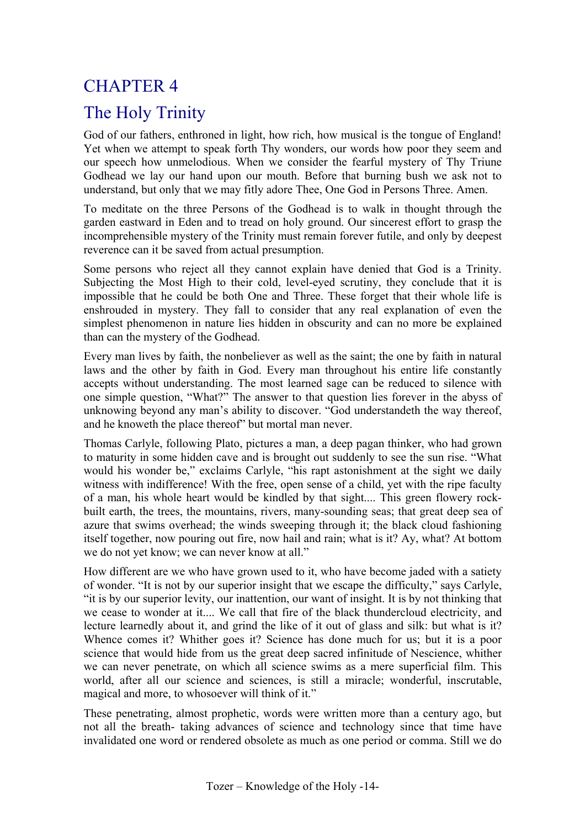#### <span id="page-13-0"></span>The Holy Trinity

God of our fathers, enthroned in light, how rich, how musical is the tongue of England! Yet when we attempt to speak forth Thy wonders, our words how poor they seem and our speech how unmelodious. When we consider the fearful mystery of Thy Triune Godhead we lay our hand upon our mouth. Before that burning bush we ask not to understand, but only that we may fitly adore Thee, One God in Persons Three. Amen.

To meditate on the three Persons of the Godhead is to walk in thought through the garden eastward in Eden and to tread on holy ground. Our sincerest effort to grasp the incomprehensible mystery of the Trinity must remain forever futile, and only by deepest reverence can it be saved from actual presumption.

Some persons who reject all they cannot explain have denied that God is a Trinity. Subjecting the Most High to their cold, level-eyed scrutiny, they conclude that it is impossible that he could be both One and Three. These forget that their whole life is enshrouded in mystery. They fall to consider that any real explanation of even the simplest phenomenon in nature lies hidden in obscurity and can no more be explained than can the mystery of the Godhead.

Every man lives by faith, the nonbeliever as well as the saint; the one by faith in natural laws and the other by faith in God. Every man throughout his entire life constantly accepts without understanding. The most learned sage can be reduced to silence with one simple question, "What?" The answer to that question lies forever in the abyss of unknowing beyond any man's ability to discover. "God understandeth the way thereof, and he knoweth the place thereof" but mortal man never.

Thomas Carlyle, following Plato, pictures a man, a deep pagan thinker, who had grown to maturity in some hidden cave and is brought out suddenly to see the sun rise. "What would his wonder be," exclaims Carlyle, "his rapt astonishment at the sight we daily witness with indifference! With the free, open sense of a child, yet with the ripe faculty of a man, his whole heart would be kindled by that sight.... This green flowery rockbuilt earth, the trees, the mountains, rivers, many-sounding seas; that great deep sea of azure that swims overhead; the winds sweeping through it; the black cloud fashioning itself together, now pouring out fire, now hail and rain; what is it? Ay, what? At bottom we do not yet know; we can never know at all."

How different are we who have grown used to it, who have become jaded with a satiety of wonder. "It is not by our superior insight that we escape the difficulty," says Carlyle, "it is by our superior levity, our inattention, our want of insight. It is by not thinking that we cease to wonder at it.... We call that fire of the black thundercloud electricity, and lecture learnedly about it, and grind the like of it out of glass and silk: but what is it? Whence comes it? Whither goes it? Science has done much for us; but it is a poor science that would hide from us the great deep sacred infinitude of Nescience, whither we can never penetrate, on which all science swims as a mere superficial film. This world, after all our science and sciences, is still a miracle; wonderful, inscrutable, magical and more, to whosoever will think of it."

These penetrating, almost prophetic, words were written more than a century ago, but not all the breath- taking advances of science and technology since that time have invalidated one word or rendered obsolete as much as one period or comma. Still we do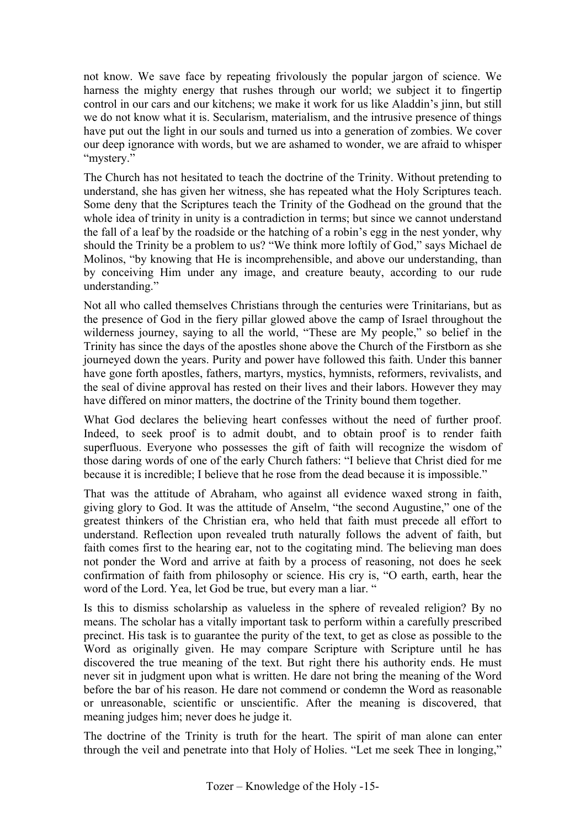not know. We save face by repeating frivolously the popular jargon of science. We harness the mighty energy that rushes through our world; we subject it to fingertip control in our cars and our kitchens; we make it work for us like Aladdin's jinn, but still we do not know what it is. Secularism, materialism, and the intrusive presence of things have put out the light in our souls and turned us into a generation of zombies. We cover our deep ignorance with words, but we are ashamed to wonder, we are afraid to whisper "mystery."

The Church has not hesitated to teach the doctrine of the Trinity. Without pretending to understand, she has given her witness, she has repeated what the Holy Scriptures teach. Some deny that the Scriptures teach the Trinity of the Godhead on the ground that the whole idea of trinity in unity is a contradiction in terms; but since we cannot understand the fall of a leaf by the roadside or the hatching of a robin's egg in the nest yonder, why should the Trinity be a problem to us? "We think more loftily of God," says Michael de Molinos, "by knowing that He is incomprehensible, and above our understanding, than by conceiving Him under any image, and creature beauty, according to our rude understanding."

Not all who called themselves Christians through the centuries were Trinitarians, but as the presence of God in the fiery pillar glowed above the camp of Israel throughout the wilderness journey, saying to all the world, "These are My people," so belief in the Trinity has since the days of the apostles shone above the Church of the Firstborn as she journeyed down the years. Purity and power have followed this faith. Under this banner have gone forth apostles, fathers, martyrs, mystics, hymnists, reformers, revivalists, and the seal of divine approval has rested on their lives and their labors. However they may have differed on minor matters, the doctrine of the Trinity bound them together.

What God declares the believing heart confesses without the need of further proof. Indeed, to seek proof is to admit doubt, and to obtain proof is to render faith superfluous. Everyone who possesses the gift of faith will recognize the wisdom of those daring words of one of the early Church fathers: "I believe that Christ died for me because it is incredible; I believe that he rose from the dead because it is impossible."

That was the attitude of Abraham, who against all evidence waxed strong in faith, giving glory to God. It was the attitude of Anselm, "the second Augustine," one of the greatest thinkers of the Christian era, who held that faith must precede all effort to understand. Reflection upon revealed truth naturally follows the advent of faith, but faith comes first to the hearing ear, not to the cogitating mind. The believing man does not ponder the Word and arrive at faith by a process of reasoning, not does he seek confirmation of faith from philosophy or science. His cry is, "O earth, earth, hear the word of the Lord. Yea, let God be true, but every man a liar. "

Is this to dismiss scholarship as valueless in the sphere of revealed religion? By no means. The scholar has a vitally important task to perform within a carefully prescribed precinct. His task is to guarantee the purity of the text, to get as close as possible to the Word as originally given. He may compare Scripture with Scripture until he has discovered the true meaning of the text. But right there his authority ends. He must never sit in judgment upon what is written. He dare not bring the meaning of the Word before the bar of his reason. He dare not commend or condemn the Word as reasonable or unreasonable, scientific or unscientific. After the meaning is discovered, that meaning judges him; never does he judge it.

The doctrine of the Trinity is truth for the heart. The spirit of man alone can enter through the veil and penetrate into that Holy of Holies. "Let me seek Thee in longing,"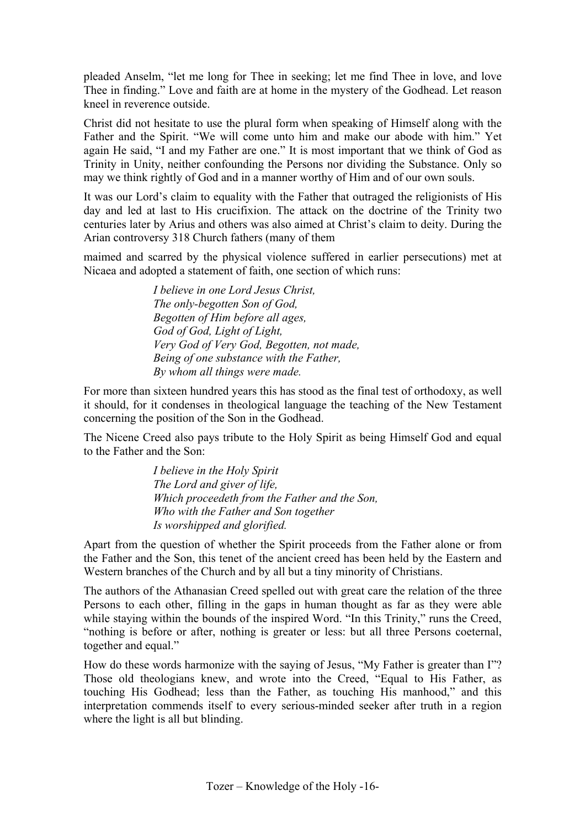pleaded Anselm, "let me long for Thee in seeking; let me find Thee in love, and love Thee in finding." Love and faith are at home in the mystery of the Godhead. Let reason kneel in reverence outside.

Christ did not hesitate to use the plural form when speaking of Himself along with the Father and the Spirit. "We will come unto him and make our abode with him." Yet again He said, "I and my Father are one." It is most important that we think of God as Trinity in Unity, neither confounding the Persons nor dividing the Substance. Only so may we think rightly of God and in a manner worthy of Him and of our own souls.

It was our Lord's claim to equality with the Father that outraged the religionists of His day and led at last to His crucifixion. The attack on the doctrine of the Trinity two centuries later by Arius and others was also aimed at Christ's claim to deity. During the Arian controversy 318 Church fathers (many of them

maimed and scarred by the physical violence suffered in earlier persecutions) met at Nicaea and adopted a statement of faith, one section of which runs:

> *I believe in one Lord Jesus Christ, The only-begotten Son of God, Begotten of Him before all ages, God of God, Light of Light, Very God of Very God, Begotten, not made, Being of one substance with the Father, By whom all things were made.*

For more than sixteen hundred years this has stood as the final test of orthodoxy, as well it should, for it condenses in theological language the teaching of the New Testament concerning the position of the Son in the Godhead.

The Nicene Creed also pays tribute to the Holy Spirit as being Himself God and equal to the Father and the Son:

> *I believe in the Holy Spirit The Lord and giver of life, Which proceedeth from the Father and the Son, Who with the Father and Son together Is worshipped and glorified.*

Apart from the question of whether the Spirit proceeds from the Father alone or from the Father and the Son, this tenet of the ancient creed has been held by the Eastern and Western branches of the Church and by all but a tiny minority of Christians.

The authors of the Athanasian Creed spelled out with great care the relation of the three Persons to each other, filling in the gaps in human thought as far as they were able while staying within the bounds of the inspired Word. "In this Trinity," runs the Creed, "nothing is before or after, nothing is greater or less: but all three Persons coeternal, together and equal."

How do these words harmonize with the saying of Jesus, "My Father is greater than I"? Those old theologians knew, and wrote into the Creed, "Equal to His Father, as touching His Godhead; less than the Father, as touching His manhood," and this interpretation commends itself to every serious-minded seeker after truth in a region where the light is all but blinding.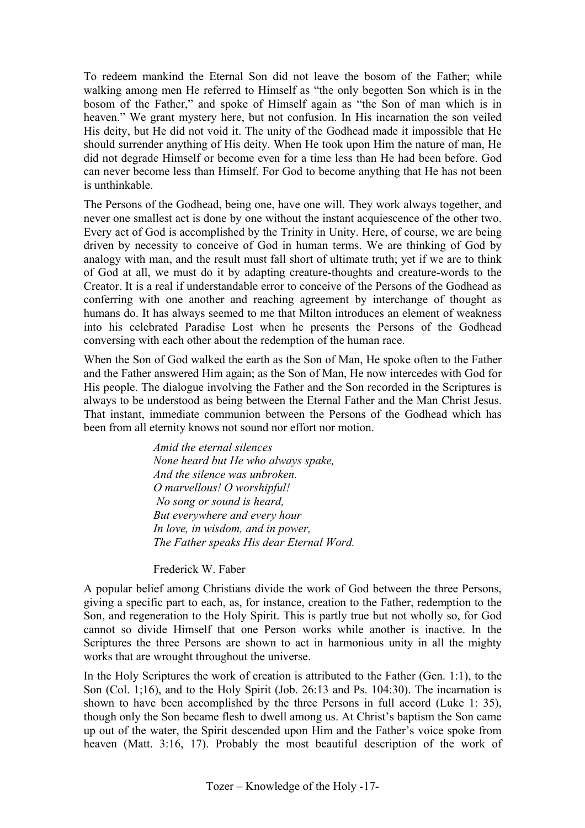To redeem mankind the Eternal Son did not leave the bosom of the Father; while walking among men He referred to Himself as "the only begotten Son which is in the bosom of the Father," and spoke of Himself again as "the Son of man which is in heaven." We grant mystery here, but not confusion. In His incarnation the son veiled His deity, but He did not void it. The unity of the Godhead made it impossible that He should surrender anything of His deity. When He took upon Him the nature of man, He did not degrade Himself or become even for a time less than He had been before. God can never become less than Himself. For God to become anything that He has not been is unthinkable.

The Persons of the Godhead, being one, have one will. They work always together, and never one smallest act is done by one without the instant acquiescence of the other two. Every act of God is accomplished by the Trinity in Unity. Here, of course, we are being driven by necessity to conceive of God in human terms. We are thinking of God by analogy with man, and the result must fall short of ultimate truth; yet if we are to think of God at all, we must do it by adapting creature-thoughts and creature-words to the Creator. It is a real if understandable error to conceive of the Persons of the Godhead as conferring with one another and reaching agreement by interchange of thought as humans do. It has always seemed to me that Milton introduces an element of weakness into his celebrated Paradise Lost when he presents the Persons of the Godhead conversing with each other about the redemption of the human race.

When the Son of God walked the earth as the Son of Man, He spoke often to the Father and the Father answered Him again; as the Son of Man, He now intercedes with God for His people. The dialogue involving the Father and the Son recorded in the Scriptures is always to be understood as being between the Eternal Father and the Man Christ Jesus. That instant, immediate communion between the Persons of the Godhead which has been from all eternity knows not sound nor effort nor motion.

> *Amid the eternal silences None heard but He who always spake, And the silence was unbroken. O marvellous! O worshipful! No song or sound is heard, But everywhere and every hour In love, in wisdom, and in power, The Father speaks His dear Eternal Word.*

Frederick W. Faber

A popular belief among Christians divide the work of God between the three Persons, giving a specific part to each, as, for instance, creation to the Father, redemption to the Son, and regeneration to the Holy Spirit. This is partly true but not wholly so, for God cannot so divide Himself that one Person works while another is inactive. In the Scriptures the three Persons are shown to act in harmonious unity in all the mighty works that are wrought throughout the universe.

In the Holy Scriptures the work of creation is attributed to the Father (Gen. 1:1), to the Son (Col. 1;16), and to the Holy Spirit (Job. 26:13 and Ps. 104:30). The incarnation is shown to have been accomplished by the three Persons in full accord (Luke 1: 35), though only the Son became flesh to dwell among us. At Christ's baptism the Son came up out of the water, the Spirit descended upon Him and the Father's voice spoke from heaven (Matt. 3:16, 17). Probably the most beautiful description of the work of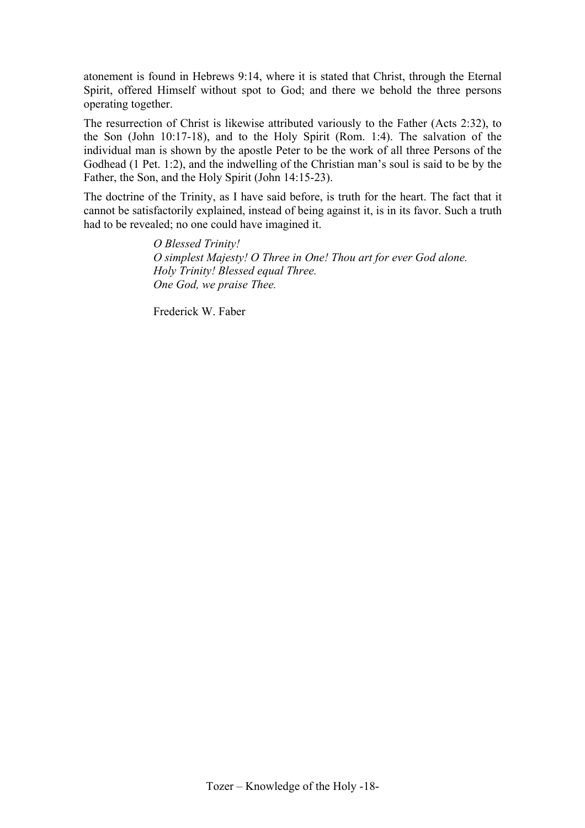atonement is found in Hebrews 9:14, where it is stated that Christ, through the Eternal Spirit, offered Himself without spot to God; and there we behold the three persons operating together.

The resurrection of Christ is likewise attributed variously to the Father (Acts 2:32), to the Son (John 10:17-18), and to the Holy Spirit (Rom. 1:4). The salvation of the individual man is shown by the apostle Peter to be the work of all three Persons of the Godhead (1 Pet. 1:2), and the indwelling of the Christian man's soul is said to be by the Father, the Son, and the Holy Spirit (John 14:15-23).

The doctrine of the Trinity, as I have said before, is truth for the heart. The fact that it cannot be satisfactorily explained, instead of being against it, is in its favor. Such a truth had to be revealed; no one could have imagined it.

> *O Blessed Trinity! O simplest Majesty! O Three in One! Thou art for ever God alone. Holy Trinity! Blessed equal Three. One God, we praise Thee.*

Frederick W. Faber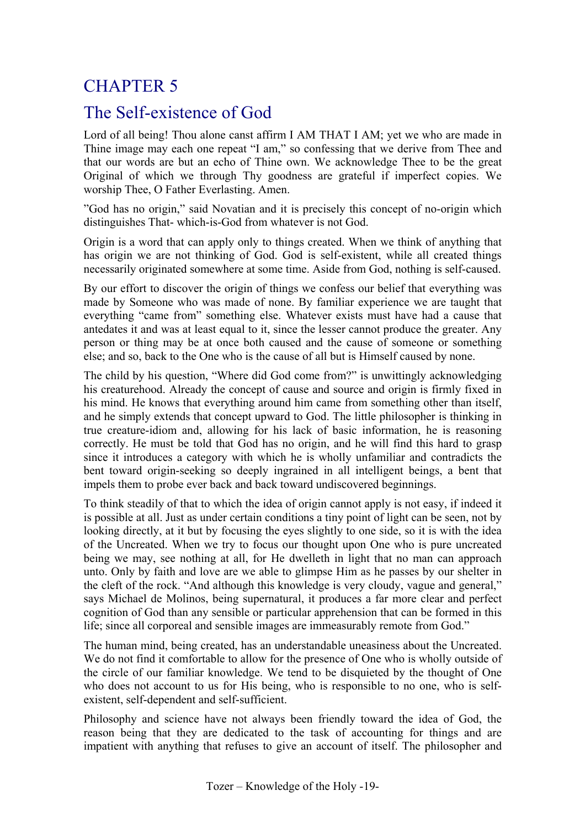#### <span id="page-18-0"></span>The Self-existence of God

Lord of all being! Thou alone canst affirm I AM THAT I AM; vet we who are made in Thine image may each one repeat "I am," so confessing that we derive from Thee and that our words are but an echo of Thine own. We acknowledge Thee to be the great Original of which we through Thy goodness are grateful if imperfect copies. We worship Thee, O Father Everlasting. Amen.

"God has no origin," said Novatian and it is precisely this concept of no-origin which distinguishes That- which-is-God from whatever is not God.

Origin is a word that can apply only to things created. When we think of anything that has origin we are not thinking of God. God is self-existent, while all created things necessarily originated somewhere at some time. Aside from God, nothing is self-caused.

By our effort to discover the origin of things we confess our belief that everything was made by Someone who was made of none. By familiar experience we are taught that everything "came from" something else. Whatever exists must have had a cause that antedates it and was at least equal to it, since the lesser cannot produce the greater. Any person or thing may be at once both caused and the cause of someone or something else; and so, back to the One who is the cause of all but is Himself caused by none.

The child by his question, "Where did God come from?" is unwittingly acknowledging his creaturehood. Already the concept of cause and source and origin is firmly fixed in his mind. He knows that everything around him came from something other than itself, and he simply extends that concept upward to God. The little philosopher is thinking in true creature-idiom and, allowing for his lack of basic information, he is reasoning correctly. He must be told that God has no origin, and he will find this hard to grasp since it introduces a category with which he is wholly unfamiliar and contradicts the bent toward origin-seeking so deeply ingrained in all intelligent beings, a bent that impels them to probe ever back and back toward undiscovered beginnings.

To think steadily of that to which the idea of origin cannot apply is not easy, if indeed it is possible at all. Just as under certain conditions a tiny point of light can be seen, not by looking directly, at it but by focusing the eyes slightly to one side, so it is with the idea of the Uncreated. When we try to focus our thought upon One who is pure uncreated being we may, see nothing at all, for He dwelleth in light that no man can approach unto. Only by faith and love are we able to glimpse Him as he passes by our shelter in the cleft of the rock. "And although this knowledge is very cloudy, vague and general," says Michael de Molinos, being supernatural, it produces a far more clear and perfect cognition of God than any sensible or particular apprehension that can be formed in this life; since all corporeal and sensible images are immeasurably remote from God."

The human mind, being created, has an understandable uneasiness about the Uncreated. We do not find it comfortable to allow for the presence of One who is wholly outside of the circle of our familiar knowledge. We tend to be disquieted by the thought of One who does not account to us for His being, who is responsible to no one, who is selfexistent, self-dependent and self-sufficient.

Philosophy and science have not always been friendly toward the idea of God, the reason being that they are dedicated to the task of accounting for things and are impatient with anything that refuses to give an account of itself. The philosopher and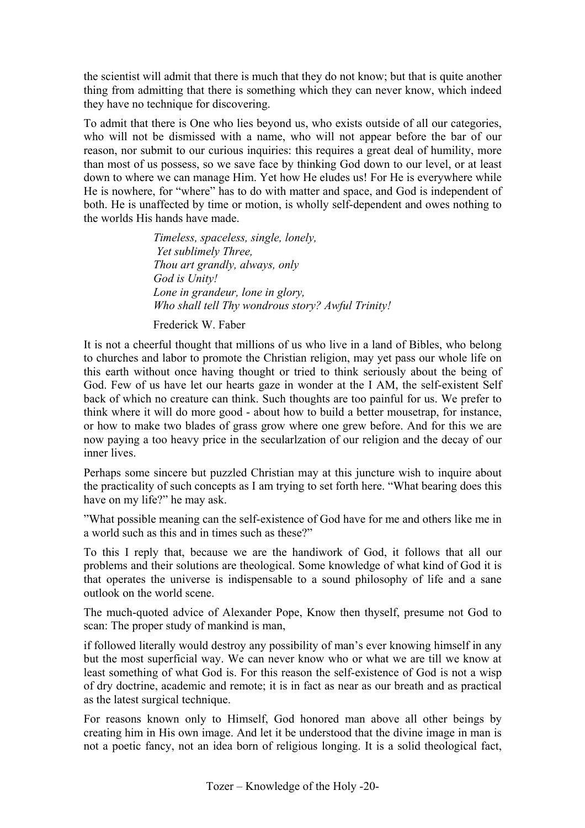the scientist will admit that there is much that they do not know; but that is quite another thing from admitting that there is something which they can never know, which indeed they have no technique for discovering.

To admit that there is One who lies beyond us, who exists outside of all our categories, who will not be dismissed with a name, who will not appear before the bar of our reason, nor submit to our curious inquiries: this requires a great deal of humility, more than most of us possess, so we save face by thinking God down to our level, or at least down to where we can manage Him. Yet how He eludes us! For He is everywhere while He is nowhere, for "where" has to do with matter and space, and God is independent of both. He is unaffected by time or motion, is wholly self-dependent and owes nothing to the worlds His hands have made.

> *Timeless, spaceless, single, lonely, Yet sublimely Three, Thou art grandly, always, only God is Unity! Lone in grandeur, lone in glory, Who shall tell Thy wondrous story? Awful Trinity!*

Frederick W. Faber

It is not a cheerful thought that millions of us who live in a land of Bibles, who belong to churches and labor to promote the Christian religion, may yet pass our whole life on this earth without once having thought or tried to think seriously about the being of God. Few of us have let our hearts gaze in wonder at the I AM, the self-existent Self back of which no creature can think. Such thoughts are too painful for us. We prefer to think where it will do more good - about how to build a better mousetrap, for instance, or how to make two blades of grass grow where one grew before. And for this we are now paying a too heavy price in the secularlzation of our religion and the decay of our inner lives.

Perhaps some sincere but puzzled Christian may at this juncture wish to inquire about the practicality of such concepts as I am trying to set forth here. "What bearing does this have on my life?" he may ask.

"What possible meaning can the self-existence of God have for me and others like me in a world such as this and in times such as these?"

To this I reply that, because we are the handiwork of God, it follows that all our problems and their solutions are theological. Some knowledge of what kind of God it is that operates the universe is indispensable to a sound philosophy of life and a sane outlook on the world scene.

The much-quoted advice of Alexander Pope, Know then thyself, presume not God to scan: The proper study of mankind is man,

if followed literally would destroy any possibility of man's ever knowing himself in any but the most superficial way. We can never know who or what we are till we know at least something of what God is. For this reason the self-existence of God is not a wisp of dry doctrine, academic and remote; it is in fact as near as our breath and as practical as the latest surgical technique.

For reasons known only to Himself, God honored man above all other beings by creating him in His own image. And let it be understood that the divine image in man is not a poetic fancy, not an idea born of religious longing. It is a solid theological fact,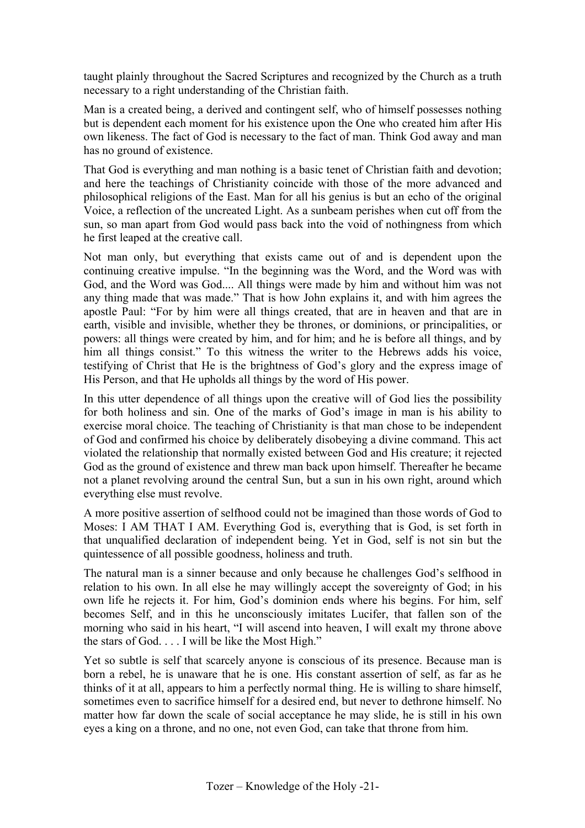taught plainly throughout the Sacred Scriptures and recognized by the Church as a truth necessary to a right understanding of the Christian faith.

Man is a created being, a derived and contingent self, who of himself possesses nothing but is dependent each moment for his existence upon the One who created him after His own likeness. The fact of God is necessary to the fact of man. Think God away and man has no ground of existence.

That God is everything and man nothing is a basic tenet of Christian faith and devotion; and here the teachings of Christianity coincide with those of the more advanced and philosophical religions of the East. Man for all his genius is but an echo of the original Voice, a reflection of the uncreated Light. As a sunbeam perishes when cut off from the sun, so man apart from God would pass back into the void of nothingness from which he first leaped at the creative call.

Not man only, but everything that exists came out of and is dependent upon the continuing creative impulse. "In the beginning was the Word, and the Word was with God, and the Word was God.... All things were made by him and without him was not any thing made that was made." That is how John explains it, and with him agrees the apostle Paul: "For by him were all things created, that are in heaven and that are in earth, visible and invisible, whether they be thrones, or dominions, or principalities, or powers: all things were created by him, and for him; and he is before all things, and by him all things consist." To this witness the writer to the Hebrews adds his voice, testifying of Christ that He is the brightness of God's glory and the express image of His Person, and that He upholds all things by the word of His power.

In this utter dependence of all things upon the creative will of God lies the possibility for both holiness and sin. One of the marks of God's image in man is his ability to exercise moral choice. The teaching of Christianity is that man chose to be independent of God and confirmed his choice by deliberately disobeying a divine command. This act violated the relationship that normally existed between God and His creature; it rejected God as the ground of existence and threw man back upon himself. Thereafter he became not a planet revolving around the central Sun, but a sun in his own right, around which everything else must revolve.

A more positive assertion of selfhood could not be imagined than those words of God to Moses: I AM THAT I AM. Everything God is, everything that is God, is set forth in that unqualified declaration of independent being. Yet in God, self is not sin but the quintessence of all possible goodness, holiness and truth.

The natural man is a sinner because and only because he challenges God's selfhood in relation to his own. In all else he may willingly accept the sovereignty of God; in his own life he rejects it. For him, God's dominion ends where his begins. For him, self becomes Self, and in this he unconsciously imitates Lucifer, that fallen son of the morning who said in his heart, "I will ascend into heaven, I will exalt my throne above the stars of God. . . . I will be like the Most High."

Yet so subtle is self that scarcely anyone is conscious of its presence. Because man is born a rebel, he is unaware that he is one. His constant assertion of self, as far as he thinks of it at all, appears to him a perfectly normal thing. He is willing to share himself, sometimes even to sacrifice himself for a desired end, but never to dethrone himself. No matter how far down the scale of social acceptance he may slide, he is still in his own eyes a king on a throne, and no one, not even God, can take that throne from him.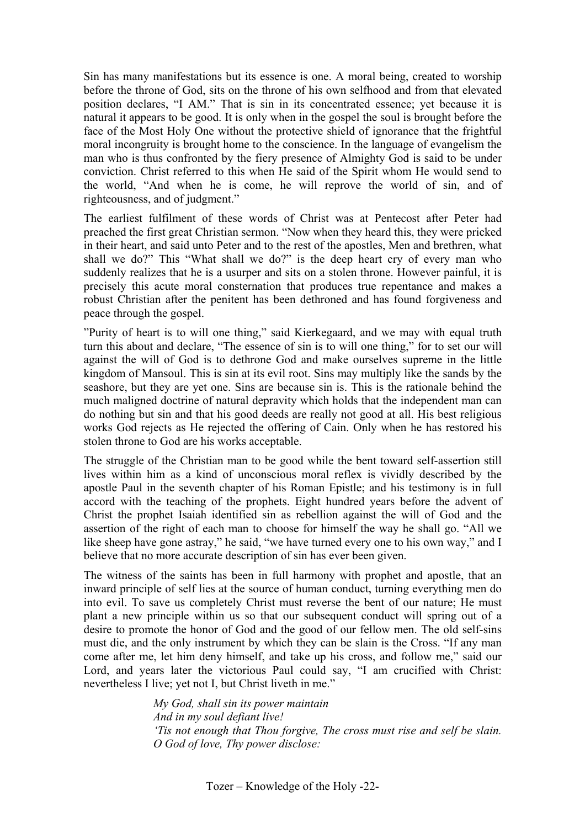Sin has many manifestations but its essence is one. A moral being, created to worship before the throne of God, sits on the throne of his own selfhood and from that elevated position declares, "I AM." That is sin in its concentrated essence; yet because it is natural it appears to be good. It is only when in the gospel the soul is brought before the face of the Most Holy One without the protective shield of ignorance that the frightful moral incongruity is brought home to the conscience. In the language of evangelism the man who is thus confronted by the fiery presence of Almighty God is said to be under conviction. Christ referred to this when He said of the Spirit whom He would send to the world, "And when he is come, he will reprove the world of sin, and of righteousness, and of judgment."

The earliest fulfilment of these words of Christ was at Pentecost after Peter had preached the first great Christian sermon. "Now when they heard this, they were pricked in their heart, and said unto Peter and to the rest of the apostles, Men and brethren, what shall we do?" This "What shall we do?" is the deep heart cry of every man who suddenly realizes that he is a usurper and sits on a stolen throne. However painful, it is precisely this acute moral consternation that produces true repentance and makes a robust Christian after the penitent has been dethroned and has found forgiveness and peace through the gospel.

"Purity of heart is to will one thing," said Kierkegaard, and we may with equal truth turn this about and declare, "The essence of sin is to will one thing," for to set our will against the will of God is to dethrone God and make ourselves supreme in the little kingdom of Mansoul. This is sin at its evil root. Sins may multiply like the sands by the seashore, but they are yet one. Sins are because sin is. This is the rationale behind the much maligned doctrine of natural depravity which holds that the independent man can do nothing but sin and that his good deeds are really not good at all. His best religious works God rejects as He rejected the offering of Cain. Only when he has restored his stolen throne to God are his works acceptable.

The struggle of the Christian man to be good while the bent toward self-assertion still lives within him as a kind of unconscious moral reflex is vividly described by the apostle Paul in the seventh chapter of his Roman Epistle; and his testimony is in full accord with the teaching of the prophets. Eight hundred years before the advent of Christ the prophet Isaiah identified sin as rebellion against the will of God and the assertion of the right of each man to choose for himself the way he shall go. "All we like sheep have gone astray," he said, "we have turned every one to his own way," and I believe that no more accurate description of sin has ever been given.

The witness of the saints has been in full harmony with prophet and apostle, that an inward principle of self lies at the source of human conduct, turning everything men do into evil. To save us completely Christ must reverse the bent of our nature; He must plant a new principle within us so that our subsequent conduct will spring out of a desire to promote the honor of God and the good of our fellow men. The old self-sins must die, and the only instrument by which they can be slain is the Cross. "If any man come after me, let him deny himself, and take up his cross, and follow me," said our Lord, and years later the victorious Paul could say, "I am crucified with Christ: nevertheless I live; yet not I, but Christ liveth in me."

> *My God, shall sin its power maintain And in my soul defiant live! 'Tis not enough that Thou forgive, The cross must rise and self be slain. O God of love, Thy power disclose:*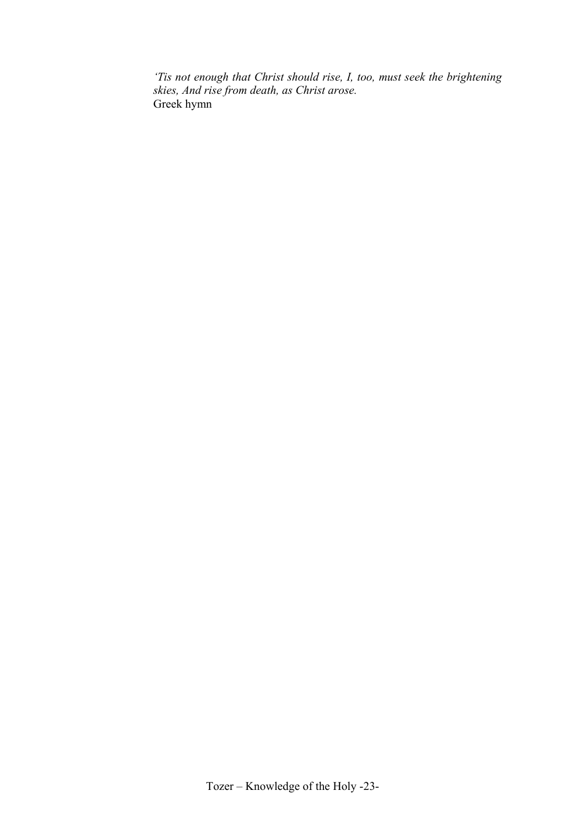*'Tis not enough that Christ should rise, I, too, must seek the brightening skies, And rise from death, as Christ arose.* Greek hymn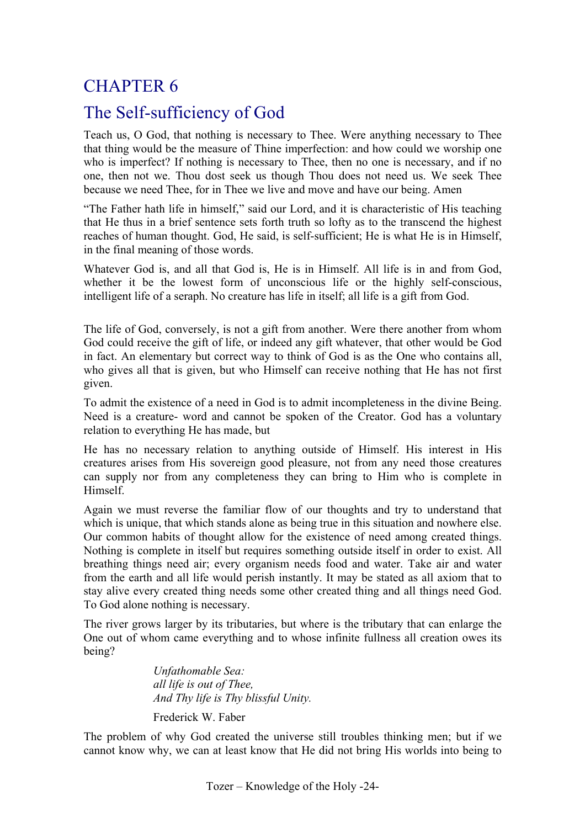#### <span id="page-23-0"></span>The Self-sufficiency of God

Teach us, O God, that nothing is necessary to Thee. Were anything necessary to Thee that thing would be the measure of Thine imperfection: and how could we worship one who is imperfect? If nothing is necessary to Thee, then no one is necessary, and if no one, then not we. Thou dost seek us though Thou does not need us. We seek Thee because we need Thee, for in Thee we live and move and have our being. Amen

"The Father hath life in himself," said our Lord, and it is characteristic of His teaching that He thus in a brief sentence sets forth truth so lofty as to the transcend the highest reaches of human thought. God, He said, is self-sufficient; He is what He is in Himself, in the final meaning of those words.

Whatever God is, and all that God is, He is in Himself. All life is in and from God, whether it be the lowest form of unconscious life or the highly self-conscious, intelligent life of a seraph. No creature has life in itself; all life is a gift from God.

The life of God, conversely, is not a gift from another. Were there another from whom God could receive the gift of life, or indeed any gift whatever, that other would be God in fact. An elementary but correct way to think of God is as the One who contains all, who gives all that is given, but who Himself can receive nothing that He has not first given.

To admit the existence of a need in God is to admit incompleteness in the divine Being. Need is a creature- word and cannot be spoken of the Creator. God has a voluntary relation to everything He has made, but

He has no necessary relation to anything outside of Himself. His interest in His creatures arises from His sovereign good pleasure, not from any need those creatures can supply nor from any completeness they can bring to Him who is complete in Himself.

Again we must reverse the familiar flow of our thoughts and try to understand that which is unique, that which stands alone as being true in this situation and nowhere else. Our common habits of thought allow for the existence of need among created things. Nothing is complete in itself but requires something outside itself in order to exist. All breathing things need air; every organism needs food and water. Take air and water from the earth and all life would perish instantly. It may be stated as all axiom that to stay alive every created thing needs some other created thing and all things need God. To God alone nothing is necessary.

The river grows larger by its tributaries, but where is the tributary that can enlarge the One out of whom came everything and to whose infinite fullness all creation owes its being?

> *Unfathomable Sea: all life is out of Thee, And Thy life is Thy blissful Unity.*

Frederick W. Faber

The problem of why God created the universe still troubles thinking men; but if we cannot know why, we can at least know that He did not bring His worlds into being to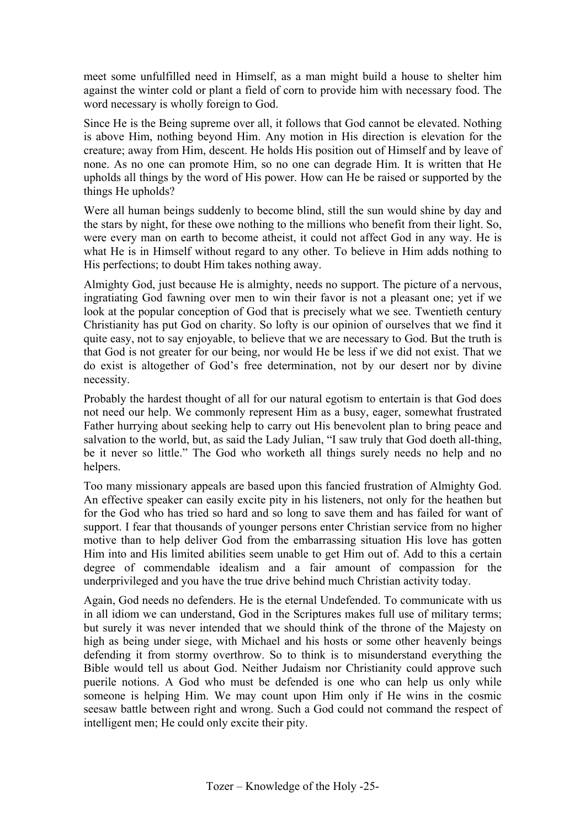meet some unfulfilled need in Himself, as a man might build a house to shelter him against the winter cold or plant a field of corn to provide him with necessary food. The word necessary is wholly foreign to God.

Since He is the Being supreme over all, it follows that God cannot be elevated. Nothing is above Him, nothing beyond Him. Any motion in His direction is elevation for the creature; away from Him, descent. He holds His position out of Himself and by leave of none. As no one can promote Him, so no one can degrade Him. It is written that He upholds all things by the word of His power. How can He be raised or supported by the things He upholds?

Were all human beings suddenly to become blind, still the sun would shine by day and the stars by night, for these owe nothing to the millions who benefit from their light. So, were every man on earth to become atheist, it could not affect God in any way. He is what He is in Himself without regard to any other. To believe in Him adds nothing to His perfections; to doubt Him takes nothing away.

Almighty God, just because He is almighty, needs no support. The picture of a nervous, ingratiating God fawning over men to win their favor is not a pleasant one; yet if we look at the popular conception of God that is precisely what we see. Twentieth century Christianity has put God on charity. So lofty is our opinion of ourselves that we find it quite easy, not to say enjoyable, to believe that we are necessary to God. But the truth is that God is not greater for our being, nor would He be less if we did not exist. That we do exist is altogether of God's free determination, not by our desert nor by divine necessity.

Probably the hardest thought of all for our natural egotism to entertain is that God does not need our help. We commonly represent Him as a busy, eager, somewhat frustrated Father hurrying about seeking help to carry out His benevolent plan to bring peace and salvation to the world, but, as said the Lady Julian, "I saw truly that God doeth all-thing, be it never so little." The God who worketh all things surely needs no help and no helpers.

Too many missionary appeals are based upon this fancied frustration of Almighty God. An effective speaker can easily excite pity in his listeners, not only for the heathen but for the God who has tried so hard and so long to save them and has failed for want of support. I fear that thousands of younger persons enter Christian service from no higher motive than to help deliver God from the embarrassing situation His love has gotten Him into and His limited abilities seem unable to get Him out of. Add to this a certain degree of commendable idealism and a fair amount of compassion for the underprivileged and you have the true drive behind much Christian activity today.

Again, God needs no defenders. He is the eternal Undefended. To communicate with us in all idiom we can understand, God in the Scriptures makes full use of military terms; but surely it was never intended that we should think of the throne of the Majesty on high as being under siege, with Michael and his hosts or some other heavenly beings defending it from stormy overthrow. So to think is to misunderstand everything the Bible would tell us about God. Neither Judaism nor Christianity could approve such puerile notions. A God who must be defended is one who can help us only while someone is helping Him. We may count upon Him only if He wins in the cosmic seesaw battle between right and wrong. Such a God could not command the respect of intelligent men; He could only excite their pity.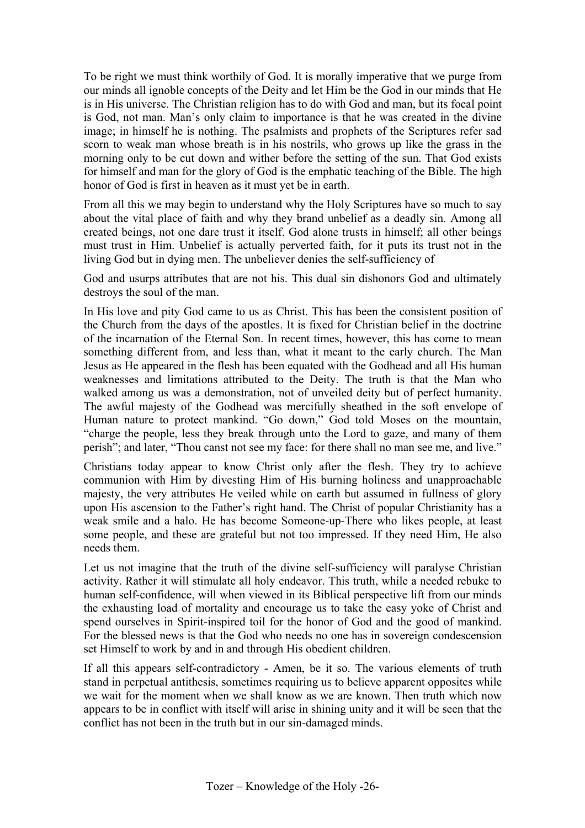To be right we must think worthily of God. It is morally imperative that we purge from our minds all ignoble concepts of the Deity and let Him be the God in our minds that He is in His universe. The Christian religion has to do with God and man, but its focal point is God, not man. Man's only claim to importance is that he was created in the divine image; in himself he is nothing. The psalmists and prophets of the Scriptures refer sad scorn to weak man whose breath is in his nostrils, who grows up like the grass in the morning only to be cut down and wither before the setting of the sun. That God exists for himself and man for the glory of God is the emphatic teaching of the Bible. The high honor of God is first in heaven as it must yet be in earth.

From all this we may begin to understand why the Holy Scriptures have so much to say about the vital place of faith and why they brand unbelief as a deadly sin. Among all created beings, not one dare trust it itself. God alone trusts in himself; all other beings must trust in Him. Unbelief is actually perverted faith, for it puts its trust not in the living God but in dying men. The unbeliever denies the self-sufficiency of

God and usurps attributes that are not his. This dual sin dishonors God and ultimately destroys the soul of the man.

In His love and pity God came to us as Christ. This has been the consistent position of the Church from the days of the apostles. It is fixed for Christian belief in the doctrine of the incarnation of the Eternal Son. In recent times, however, this has come to mean something different from, and less than, what it meant to the early church. The Man Jesus as He appeared in the flesh has been equated with the Godhead and all His human weaknesses and limitations attributed to the Deity. The truth is that the Man who walked among us was a demonstration, not of unveiled deity but of perfect humanity. The awful majesty of the Godhead was mercifully sheathed in the soft envelope of Human nature to protect mankind. "Go down," God told Moses on the mountain, "charge the people, less they break through unto the Lord to gaze, and many of them perish"; and later, "Thou canst not see my face: for there shall no man see me, and live."

Christians today appear to know Christ only after the flesh. They try to achieve communion with Him by divesting Him of His burning holiness and unapproachable majesty, the very attributes He veiled while on earth but assumed in fullness of glory upon His ascension to the Father's right hand. The Christ of popular Christianity has a weak smile and a halo. He has become Someone-up-There who likes people, at least some people, and these are grateful but not too impressed. If they need Him, He also needs them.

Let us not imagine that the truth of the divine self-sufficiency will paralyse Christian activity. Rather it will stimulate all holy endeavor. This truth, while a needed rebuke to human self-confidence, will when viewed in its Biblical perspective lift from our minds the exhausting load of mortality and encourage us to take the easy yoke of Christ and spend ourselves in Spirit-inspired toil for the honor of God and the good of mankind. For the blessed news is that the God who needs no one has in sovereign condescension set Himself to work by and in and through His obedient children.

If all this appears self-contradictory - Amen, be it so. The various elements of truth stand in perpetual antithesis, sometimes requiring us to believe apparent opposites while we wait for the moment when we shall know as we are known. Then truth which now appears to be in conflict with itself will arise in shining unity and it will be seen that the conflict has not been in the truth but in our sin-damaged minds.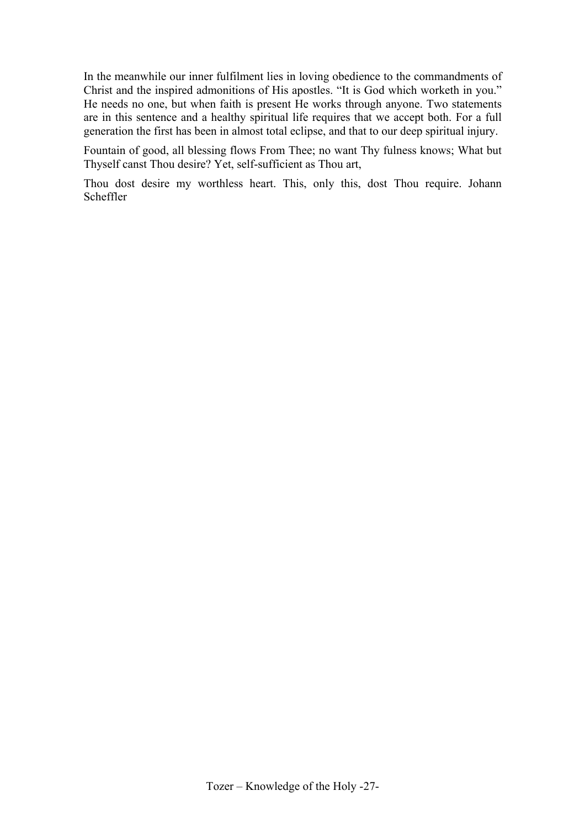In the meanwhile our inner fulfilment lies in loving obedience to the commandments of Christ and the inspired admonitions of His apostles. "It is God which worketh in you." He needs no one, but when faith is present He works through anyone. Two statements are in this sentence and a healthy spiritual life requires that we accept both. For a full generation the first has been in almost total eclipse, and that to our deep spiritual injury.

Fountain of good, all blessing flows From Thee; no want Thy fulness knows; What but Thyself canst Thou desire? Yet, self-sufficient as Thou art,

Thou dost desire my worthless heart. This, only this, dost Thou require. Johann Scheffler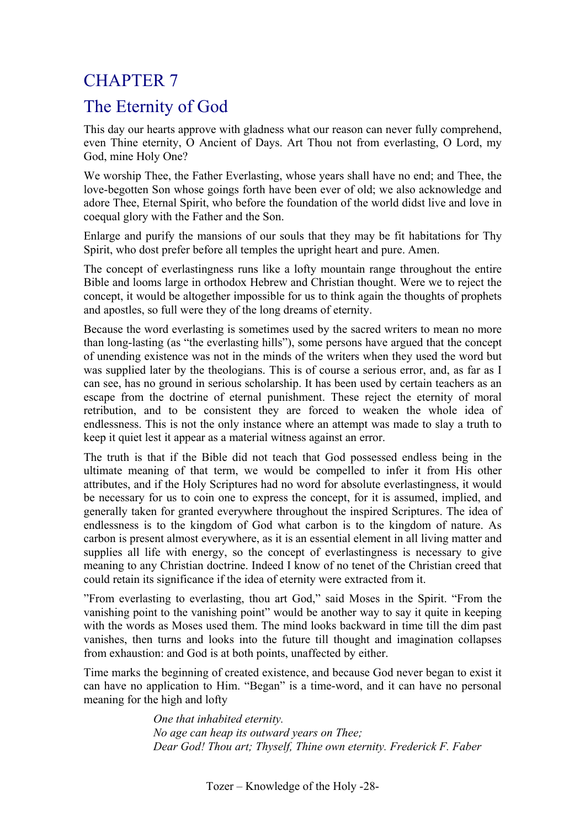#### <span id="page-27-0"></span>The Eternity of God

This day our hearts approve with gladness what our reason can never fully comprehend, even Thine eternity, O Ancient of Days. Art Thou not from everlasting, O Lord, my God, mine Holy One?

We worship Thee, the Father Everlasting, whose years shall have no end; and Thee, the love-begotten Son whose goings forth have been ever of old; we also acknowledge and adore Thee, Eternal Spirit, who before the foundation of the world didst live and love in coequal glory with the Father and the Son.

Enlarge and purify the mansions of our souls that they may be fit habitations for Thy Spirit, who dost prefer before all temples the upright heart and pure. Amen.

The concept of everlastingness runs like a lofty mountain range throughout the entire Bible and looms large in orthodox Hebrew and Christian thought. Were we to reject the concept, it would be altogether impossible for us to think again the thoughts of prophets and apostles, so full were they of the long dreams of eternity.

Because the word everlasting is sometimes used by the sacred writers to mean no more than long-lasting (as "the everlasting hills"), some persons have argued that the concept of unending existence was not in the minds of the writers when they used the word but was supplied later by the theologians. This is of course a serious error, and, as far as I can see, has no ground in serious scholarship. It has been used by certain teachers as an escape from the doctrine of eternal punishment. These reject the eternity of moral retribution, and to be consistent they are forced to weaken the whole idea of endlessness. This is not the only instance where an attempt was made to slay a truth to keep it quiet lest it appear as a material witness against an error.

The truth is that if the Bible did not teach that God possessed endless being in the ultimate meaning of that term, we would be compelled to infer it from His other attributes, and if the Holy Scriptures had no word for absolute everlastingness, it would be necessary for us to coin one to express the concept, for it is assumed, implied, and generally taken for granted everywhere throughout the inspired Scriptures. The idea of endlessness is to the kingdom of God what carbon is to the kingdom of nature. As carbon is present almost everywhere, as it is an essential element in all living matter and supplies all life with energy, so the concept of everlastingness is necessary to give meaning to any Christian doctrine. Indeed I know of no tenet of the Christian creed that could retain its significance if the idea of eternity were extracted from it.

"From everlasting to everlasting, thou art God," said Moses in the Spirit. "From the vanishing point to the vanishing point" would be another way to say it quite in keeping with the words as Moses used them. The mind looks backward in time till the dim past vanishes, then turns and looks into the future till thought and imagination collapses from exhaustion: and God is at both points, unaffected by either.

Time marks the beginning of created existence, and because God never began to exist it can have no application to Him. "Began" is a time-word, and it can have no personal meaning for the high and lofty

> *One that inhabited eternity. No age can heap its outward years on Thee; Dear God! Thou art; Thyself, Thine own eternity. Frederick F. Faber*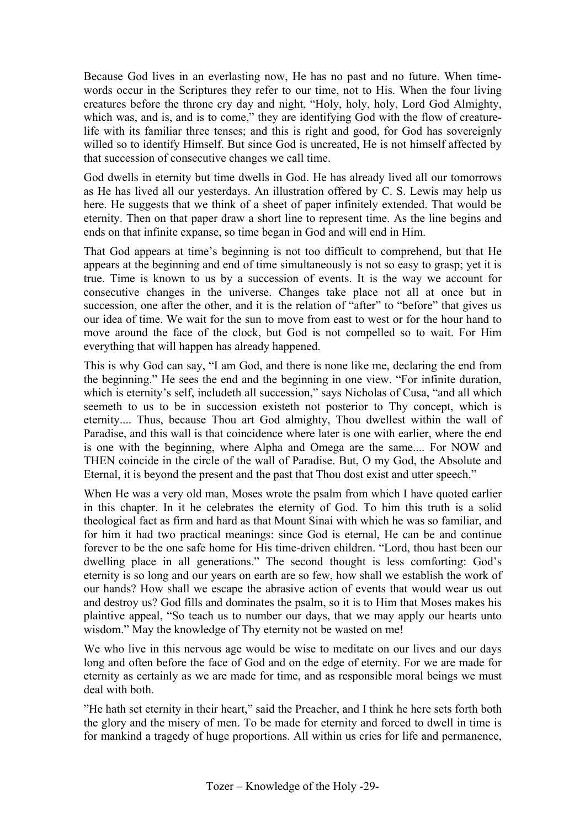Because God lives in an everlasting now, He has no past and no future. When timewords occur in the Scriptures they refer to our time, not to His. When the four living creatures before the throne cry day and night, "Holy, holy, holy, Lord God Almighty, which was, and is, and is to come," they are identifying God with the flow of creaturelife with its familiar three tenses; and this is right and good, for God has sovereignly willed so to identify Himself. But since God is uncreated, He is not himself affected by that succession of consecutive changes we call time.

God dwells in eternity but time dwells in God. He has already lived all our tomorrows as He has lived all our yesterdays. An illustration offered by C. S. Lewis may help us here. He suggests that we think of a sheet of paper infinitely extended. That would be eternity. Then on that paper draw a short line to represent time. As the line begins and ends on that infinite expanse, so time began in God and will end in Him.

That God appears at time's beginning is not too difficult to comprehend, but that He appears at the beginning and end of time simultaneously is not so easy to grasp; yet it is true. Time is known to us by a succession of events. It is the way we account for consecutive changes in the universe. Changes take place not all at once but in succession, one after the other, and it is the relation of "after" to "before" that gives us our idea of time. We wait for the sun to move from east to west or for the hour hand to move around the face of the clock, but God is not compelled so to wait. For Him everything that will happen has already happened.

This is why God can say, "I am God, and there is none like me, declaring the end from the beginning." He sees the end and the beginning in one view. "For infinite duration, which is eternity's self, includeth all succession," says Nicholas of Cusa, "and all which seemeth to us to be in succession existeth not posterior to Thy concept, which is eternity.... Thus, because Thou art God almighty, Thou dwellest within the wall of Paradise, and this wall is that coincidence where later is one with earlier, where the end is one with the beginning, where Alpha and Omega are the same.... For NOW and THEN coincide in the circle of the wall of Paradise. But, O my God, the Absolute and Eternal, it is beyond the present and the past that Thou dost exist and utter speech."

When He was a very old man, Moses wrote the psalm from which I have quoted earlier in this chapter. In it he celebrates the eternity of God. To him this truth is a solid theological fact as firm and hard as that Mount Sinai with which he was so familiar, and for him it had two practical meanings: since God is eternal, He can be and continue forever to be the one safe home for His time-driven children. "Lord, thou hast been our dwelling place in all generations." The second thought is less comforting: God's eternity is so long and our years on earth are so few, how shall we establish the work of our hands? How shall we escape the abrasive action of events that would wear us out and destroy us? God fills and dominates the psalm, so it is to Him that Moses makes his plaintive appeal, "So teach us to number our days, that we may apply our hearts unto wisdom." May the knowledge of Thy eternity not be wasted on me!

We who live in this nervous age would be wise to meditate on our lives and our days long and often before the face of God and on the edge of eternity. For we are made for eternity as certainly as we are made for time, and as responsible moral beings we must deal with both.

"He hath set eternity in their heart," said the Preacher, and I think he here sets forth both the glory and the misery of men. To be made for eternity and forced to dwell in time is for mankind a tragedy of huge proportions. All within us cries for life and permanence,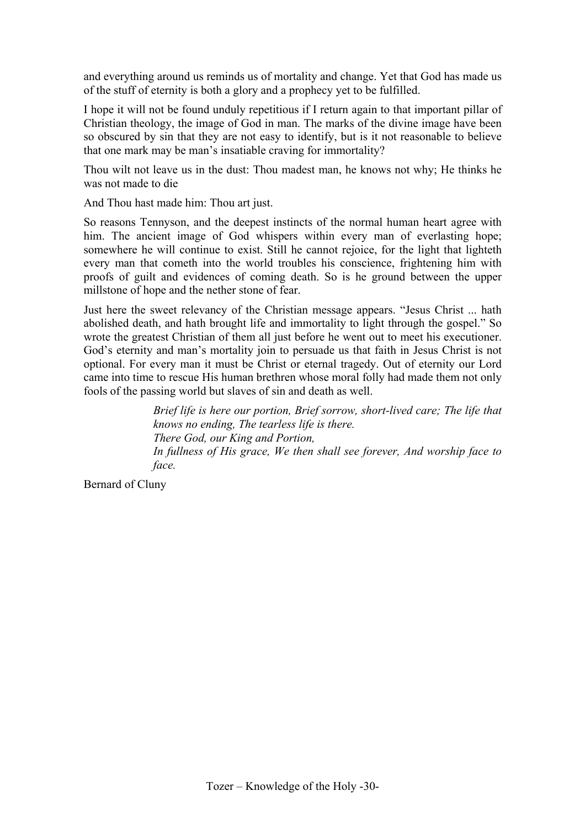and everything around us reminds us of mortality and change. Yet that God has made us of the stuff of eternity is both a glory and a prophecy yet to be fulfilled.

I hope it will not be found unduly repetitious if I return again to that important pillar of Christian theology, the image of God in man. The marks of the divine image have been so obscured by sin that they are not easy to identify, but is it not reasonable to believe that one mark may be man's insatiable craving for immortality?

Thou wilt not leave us in the dust: Thou madest man, he knows not why; He thinks he was not made to die

And Thou hast made him: Thou art just.

So reasons Tennyson, and the deepest instincts of the normal human heart agree with him. The ancient image of God whispers within every man of everlasting hope; somewhere he will continue to exist. Still he cannot rejoice, for the light that lighteth every man that cometh into the world troubles his conscience, frightening him with proofs of guilt and evidences of coming death. So is he ground between the upper millstone of hope and the nether stone of fear.

Just here the sweet relevancy of the Christian message appears. "Jesus Christ ... hath abolished death, and hath brought life and immortality to light through the gospel." So wrote the greatest Christian of them all just before he went out to meet his executioner. God's eternity and man's mortality join to persuade us that faith in Jesus Christ is not optional. For every man it must be Christ or eternal tragedy. Out of eternity our Lord came into time to rescue His human brethren whose moral folly had made them not only fools of the passing world but slaves of sin and death as well.

> *Brief life is here our portion, Brief sorrow, short-lived care; The life that knows no ending, The tearless life is there. There God, our King and Portion, In fullness of His grace, We then shall see forever, And worship face to face.*

Bernard of Cluny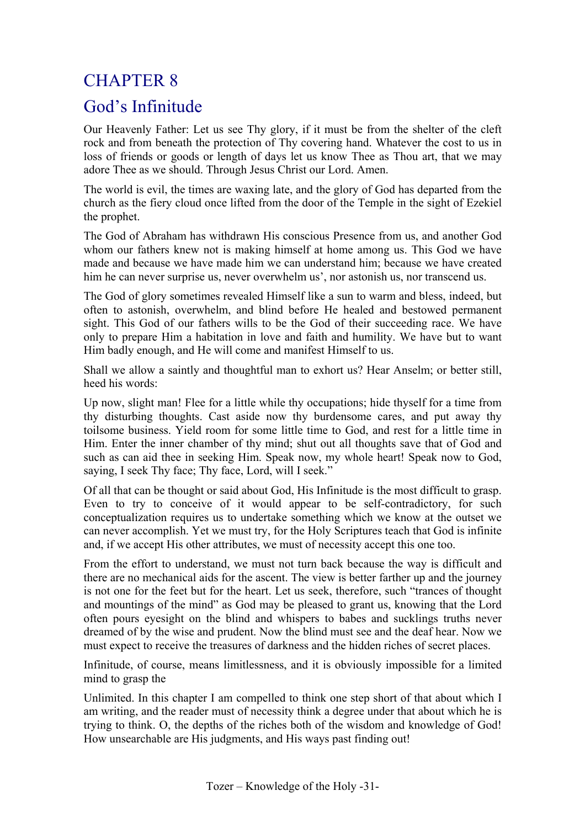#### <span id="page-30-0"></span>God's Infinitude

Our Heavenly Father: Let us see Thy glory, if it must be from the shelter of the cleft rock and from beneath the protection of Thy covering hand. Whatever the cost to us in loss of friends or goods or length of days let us know Thee as Thou art, that we may adore Thee as we should. Through Jesus Christ our Lord. Amen.

The world is evil, the times are waxing late, and the glory of God has departed from the church as the fiery cloud once lifted from the door of the Temple in the sight of Ezekiel the prophet.

The God of Abraham has withdrawn His conscious Presence from us, and another God whom our fathers knew not is making himself at home among us. This God we have made and because we have made him we can understand him; because we have created him he can never surprise us, never overwhelm us', nor astonish us, nor transcend us.

The God of glory sometimes revealed Himself like a sun to warm and bless, indeed, but often to astonish, overwhelm, and blind before He healed and bestowed permanent sight. This God of our fathers wills to be the God of their succeeding race. We have only to prepare Him a habitation in love and faith and humility. We have but to want Him badly enough, and He will come and manifest Himself to us.

Shall we allow a saintly and thoughtful man to exhort us? Hear Anselm; or better still, heed his words:

Up now, slight man! Flee for a little while thy occupations; hide thyself for a time from thy disturbing thoughts. Cast aside now thy burdensome cares, and put away thy toilsome business. Yield room for some little time to God, and rest for a little time in Him. Enter the inner chamber of thy mind; shut out all thoughts save that of God and such as can aid thee in seeking Him. Speak now, my whole heart! Speak now to God, saying, I seek Thy face; Thy face, Lord, will I seek."

Of all that can be thought or said about God, His Infinitude is the most difficult to grasp. Even to try to conceive of it would appear to be self-contradictory, for such conceptualization requires us to undertake something which we know at the outset we can never accomplish. Yet we must try, for the Holy Scriptures teach that God is infinite and, if we accept His other attributes, we must of necessity accept this one too.

From the effort to understand, we must not turn back because the way is difficult and there are no mechanical aids for the ascent. The view is better farther up and the journey is not one for the feet but for the heart. Let us seek, therefore, such "trances of thought and mountings of the mind" as God may be pleased to grant us, knowing that the Lord often pours eyesight on the blind and whispers to babes and sucklings truths never dreamed of by the wise and prudent. Now the blind must see and the deaf hear. Now we must expect to receive the treasures of darkness and the hidden riches of secret places.

Infinitude, of course, means limitlessness, and it is obviously impossible for a limited mind to grasp the

Unlimited. In this chapter I am compelled to think one step short of that about which I am writing, and the reader must of necessity think a degree under that about which he is trying to think. O, the depths of the riches both of the wisdom and knowledge of God! How unsearchable are His judgments, and His ways past finding out!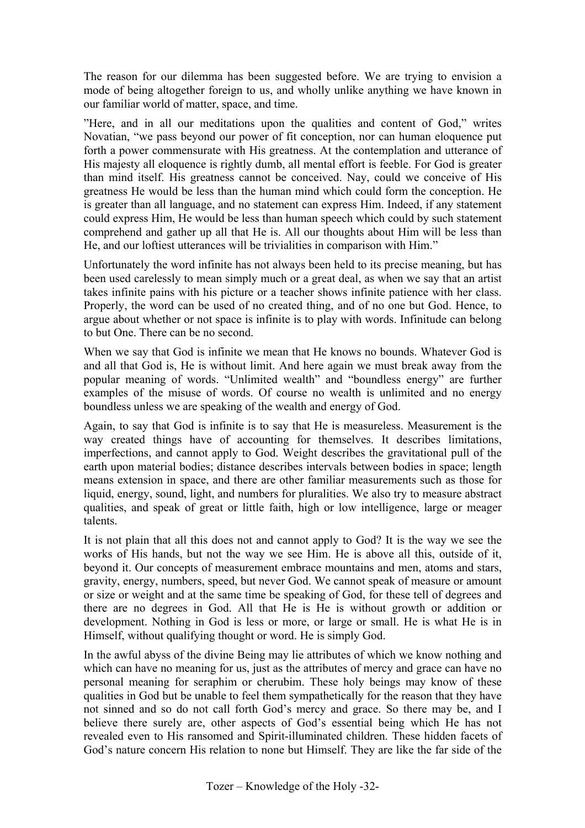The reason for our dilemma has been suggested before. We are trying to envision a mode of being altogether foreign to us, and wholly unlike anything we have known in our familiar world of matter, space, and time.

"Here, and in all our meditations upon the qualities and content of God," writes Novatian, "we pass beyond our power of fit conception, nor can human eloquence put forth a power commensurate with His greatness. At the contemplation and utterance of His majesty all eloquence is rightly dumb, all mental effort is feeble. For God is greater than mind itself. His greatness cannot be conceived. Nay, could we conceive of His greatness He would be less than the human mind which could form the conception. He is greater than all language, and no statement can express Him. Indeed, if any statement could express Him, He would be less than human speech which could by such statement comprehend and gather up all that He is. All our thoughts about Him will be less than He, and our loftiest utterances will be trivialities in comparison with Him."

Unfortunately the word infinite has not always been held to its precise meaning, but has been used carelessly to mean simply much or a great deal, as when we say that an artist takes infinite pains with his picture or a teacher shows infinite patience with her class. Properly, the word can be used of no created thing, and of no one but God. Hence, to argue about whether or not space is infinite is to play with words. Infinitude can belong to but One. There can be no second.

When we say that God is infinite we mean that He knows no bounds. Whatever God is and all that God is, He is without limit. And here again we must break away from the popular meaning of words. "Unlimited wealth" and "boundless energy" are further examples of the misuse of words. Of course no wealth is unlimited and no energy boundless unless we are speaking of the wealth and energy of God.

Again, to say that God is infinite is to say that He is measureless. Measurement is the way created things have of accounting for themselves. It describes limitations, imperfections, and cannot apply to God. Weight describes the gravitational pull of the earth upon material bodies; distance describes intervals between bodies in space; length means extension in space, and there are other familiar measurements such as those for liquid, energy, sound, light, and numbers for pluralities. We also try to measure abstract qualities, and speak of great or little faith, high or low intelligence, large or meager talents.

It is not plain that all this does not and cannot apply to God? It is the way we see the works of His hands, but not the way we see Him. He is above all this, outside of it, beyond it. Our concepts of measurement embrace mountains and men, atoms and stars, gravity, energy, numbers, speed, but never God. We cannot speak of measure or amount or size or weight and at the same time be speaking of God, for these tell of degrees and there are no degrees in God. All that He is He is without growth or addition or development. Nothing in God is less or more, or large or small. He is what He is in Himself, without qualifying thought or word. He is simply God.

In the awful abyss of the divine Being may lie attributes of which we know nothing and which can have no meaning for us, just as the attributes of mercy and grace can have no personal meaning for seraphim or cherubim. These holy beings may know of these qualities in God but be unable to feel them sympathetically for the reason that they have not sinned and so do not call forth God's mercy and grace. So there may be, and I believe there surely are, other aspects of God's essential being which He has not revealed even to His ransomed and Spirit-illuminated children. These hidden facets of God's nature concern His relation to none but Himself. They are like the far side of the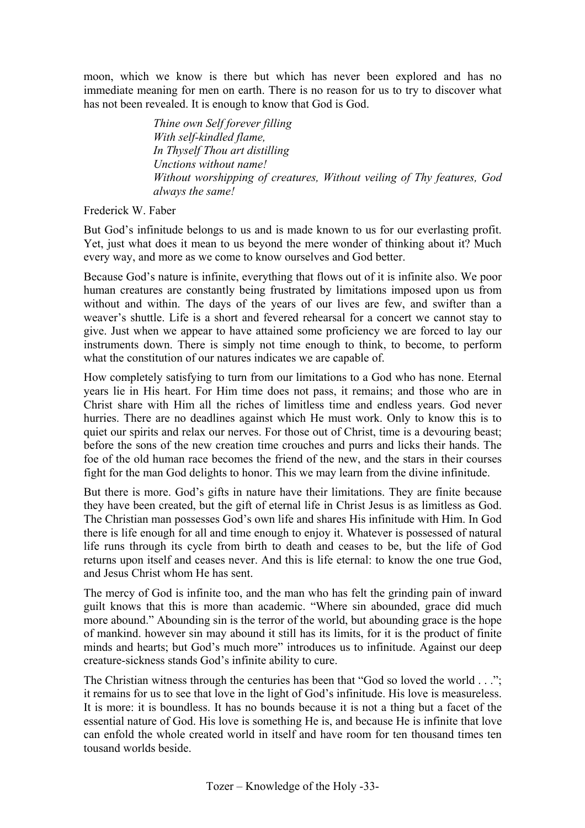moon, which we know is there but which has never been explored and has no immediate meaning for men on earth. There is no reason for us to try to discover what has not been revealed. It is enough to know that God is God.

> *Thine own Self forever filling With self-kindled flame, In Thyself Thou art distilling Unctions without name! Without worshipping of creatures, Without veiling of Thy features, God always the same!*

Frederick W. Faber

But God's infinitude belongs to us and is made known to us for our everlasting profit. Yet, just what does it mean to us beyond the mere wonder of thinking about it? Much every way, and more as we come to know ourselves and God better.

Because God's nature is infinite, everything that flows out of it is infinite also. We poor human creatures are constantly being frustrated by limitations imposed upon us from without and within. The days of the years of our lives are few, and swifter than a weaver's shuttle. Life is a short and fevered rehearsal for a concert we cannot stay to give. Just when we appear to have attained some proficiency we are forced to lay our instruments down. There is simply not time enough to think, to become, to perform what the constitution of our natures indicates we are capable of.

How completely satisfying to turn from our limitations to a God who has none. Eternal years lie in His heart. For Him time does not pass, it remains; and those who are in Christ share with Him all the riches of limitless time and endless years. God never hurries. There are no deadlines against which He must work. Only to know this is to quiet our spirits and relax our nerves. For those out of Christ, time is a devouring beast; before the sons of the new creation time crouches and purrs and licks their hands. The foe of the old human race becomes the friend of the new, and the stars in their courses fight for the man God delights to honor. This we may learn from the divine infinitude.

But there is more. God's gifts in nature have their limitations. They are finite because they have been created, but the gift of eternal life in Christ Jesus is as limitless as God. The Christian man possesses God's own life and shares His infinitude with Him. In God there is life enough for all and time enough to enjoy it. Whatever is possessed of natural life runs through its cycle from birth to death and ceases to be, but the life of God returns upon itself and ceases never. And this is life eternal: to know the one true God, and Jesus Christ whom He has sent.

The mercy of God is infinite too, and the man who has felt the grinding pain of inward guilt knows that this is more than academic. "Where sin abounded, grace did much more abound." Abounding sin is the terror of the world, but abounding grace is the hope of mankind. however sin may abound it still has its limits, for it is the product of finite minds and hearts; but God's much more" introduces us to infinitude. Against our deep creature-sickness stands God's infinite ability to cure.

The Christian witness through the centuries has been that "God so loved the world . . ."; it remains for us to see that love in the light of God's infinitude. His love is measureless. It is more: it is boundless. It has no bounds because it is not a thing but a facet of the essential nature of God. His love is something He is, and because He is infinite that love can enfold the whole created world in itself and have room for ten thousand times ten tousand worlds beside.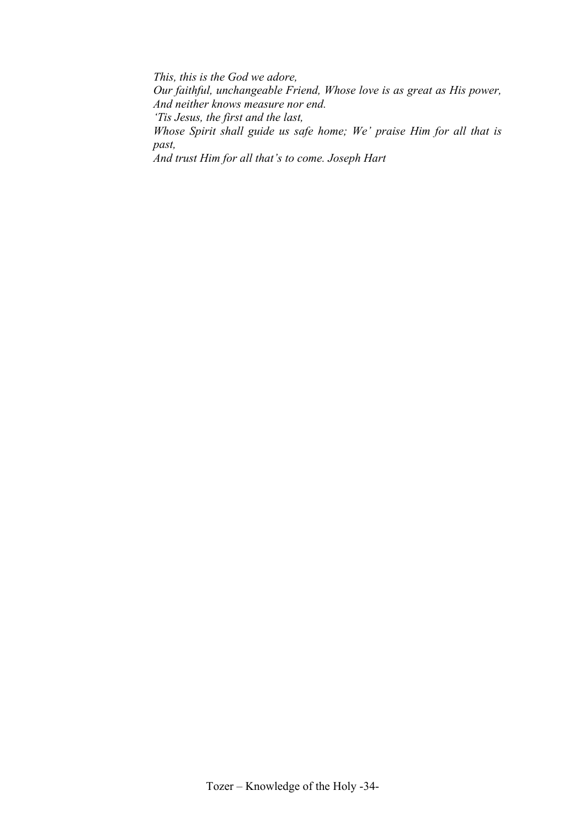*This, this is the God we adore, Our faithful, unchangeable Friend, Whose love is as great as His power, And neither knows measure nor end. 'Tis Jesus, the first and the last, Whose Spirit shall guide us safe home; We' praise Him for all that is past, And trust Him for all that's to come. Joseph Hart*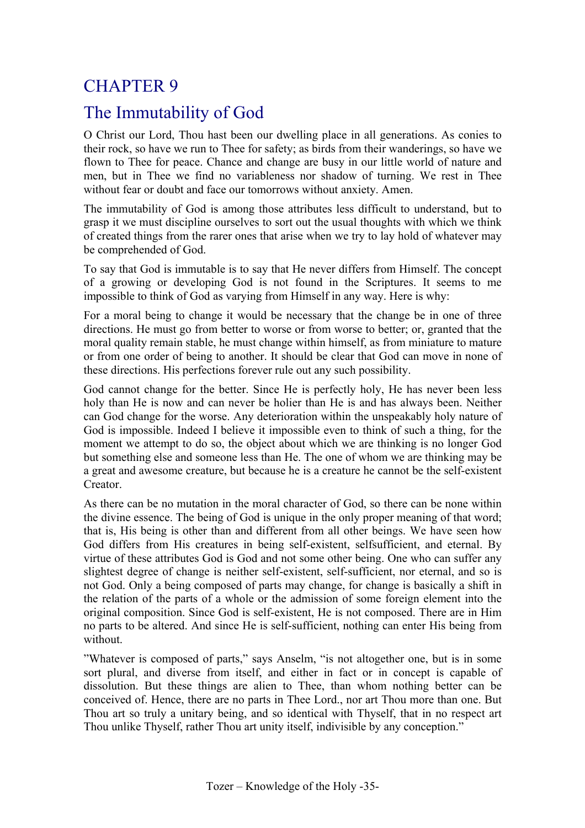#### <span id="page-34-0"></span>The Immutability of God

O Christ our Lord, Thou hast been our dwelling place in all generations. As conies to their rock, so have we run to Thee for safety; as birds from their wanderings, so have we flown to Thee for peace. Chance and change are busy in our little world of nature and men, but in Thee we find no variableness nor shadow of turning. We rest in Thee without fear or doubt and face our tomorrows without anxiety. Amen.

The immutability of God is among those attributes less difficult to understand, but to grasp it we must discipline ourselves to sort out the usual thoughts with which we think of created things from the rarer ones that arise when we try to lay hold of whatever may be comprehended of God.

To say that God is immutable is to say that He never differs from Himself. The concept of a growing or developing God is not found in the Scriptures. It seems to me impossible to think of God as varying from Himself in any way. Here is why:

For a moral being to change it would be necessary that the change be in one of three directions. He must go from better to worse or from worse to better; or, granted that the moral quality remain stable, he must change within himself, as from miniature to mature or from one order of being to another. It should be clear that God can move in none of these directions. His perfections forever rule out any such possibility.

God cannot change for the better. Since He is perfectly holy, He has never been less holy than He is now and can never be holier than He is and has always been. Neither can God change for the worse. Any deterioration within the unspeakably holy nature of God is impossible. Indeed I believe it impossible even to think of such a thing, for the moment we attempt to do so, the object about which we are thinking is no longer God but something else and someone less than He. The one of whom we are thinking may be a great and awesome creature, but because he is a creature he cannot be the self-existent Creator.

As there can be no mutation in the moral character of God, so there can be none within the divine essence. The being of God is unique in the only proper meaning of that word; that is, His being is other than and different from all other beings. We have seen how God differs from His creatures in being self-existent, selfsufficient, and eternal. By virtue of these attributes God is God and not some other being. One who can suffer any slightest degree of change is neither self-existent, self-sufficient, nor eternal, and so is not God. Only a being composed of parts may change, for change is basically a shift in the relation of the parts of a whole or the admission of some foreign element into the original composition. Since God is self-existent, He is not composed. There are in Him no parts to be altered. And since He is self-sufficient, nothing can enter His being from without.

"Whatever is composed of parts," says Anselm, "is not altogether one, but is in some sort plural, and diverse from itself, and either in fact or in concept is capable of dissolution. But these things are alien to Thee, than whom nothing better can be conceived of. Hence, there are no parts in Thee Lord., nor art Thou more than one. But Thou art so truly a unitary being, and so identical with Thyself, that in no respect art Thou unlike Thyself, rather Thou art unity itself, indivisible by any conception."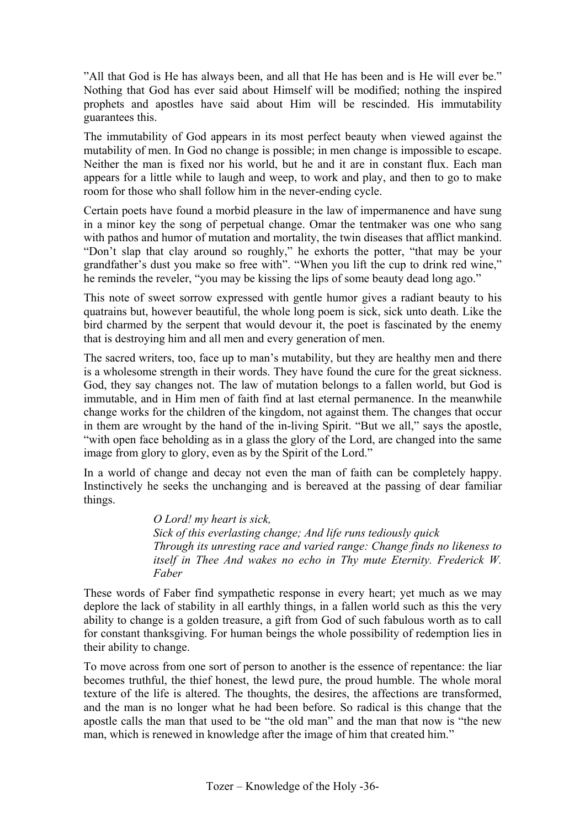"All that God is He has always been, and all that He has been and is He will ever be." Nothing that God has ever said about Himself will be modified; nothing the inspired prophets and apostles have said about Him will be rescinded. His immutability guarantees this.

The immutability of God appears in its most perfect beauty when viewed against the mutability of men. In God no change is possible; in men change is impossible to escape. Neither the man is fixed nor his world, but he and it are in constant flux. Each man appears for a little while to laugh and weep, to work and play, and then to go to make room for those who shall follow him in the never-ending cycle.

Certain poets have found a morbid pleasure in the law of impermanence and have sung in a minor key the song of perpetual change. Omar the tentmaker was one who sang with pathos and humor of mutation and mortality, the twin diseases that afflict mankind. "Don't slap that clay around so roughly," he exhorts the potter, "that may be your grandfather's dust you make so free with". "When you lift the cup to drink red wine," he reminds the reveler, "you may be kissing the lips of some beauty dead long ago."

This note of sweet sorrow expressed with gentle humor gives a radiant beauty to his quatrains but, however beautiful, the whole long poem is sick, sick unto death. Like the bird charmed by the serpent that would devour it, the poet is fascinated by the enemy that is destroying him and all men and every generation of men.

The sacred writers, too, face up to man's mutability, but they are healthy men and there is a wholesome strength in their words. They have found the cure for the great sickness. God, they say changes not. The law of mutation belongs to a fallen world, but God is immutable, and in Him men of faith find at last eternal permanence. In the meanwhile change works for the children of the kingdom, not against them. The changes that occur in them are wrought by the hand of the in-living Spirit. "But we all," says the apostle, "with open face beholding as in a glass the glory of the Lord, are changed into the same image from glory to glory, even as by the Spirit of the Lord."

In a world of change and decay not even the man of faith can be completely happy. Instinctively he seeks the unchanging and is bereaved at the passing of dear familiar things.

> *O Lord! my heart is sick, Sick of this everlasting change; And life runs tediously quick Through its unresting race and varied range: Change finds no likeness to itself in Thee And wakes no echo in Thy mute Eternity. Frederick W. Faber*

These words of Faber find sympathetic response in every heart; yet much as we may deplore the lack of stability in all earthly things, in a fallen world such as this the very ability to change is a golden treasure, a gift from God of such fabulous worth as to call for constant thanksgiving. For human beings the whole possibility of redemption lies in their ability to change.

To move across from one sort of person to another is the essence of repentance: the liar becomes truthful, the thief honest, the lewd pure, the proud humble. The whole moral texture of the life is altered. The thoughts, the desires, the affections are transformed, and the man is no longer what he had been before. So radical is this change that the apostle calls the man that used to be "the old man" and the man that now is "the new man, which is renewed in knowledge after the image of him that created him."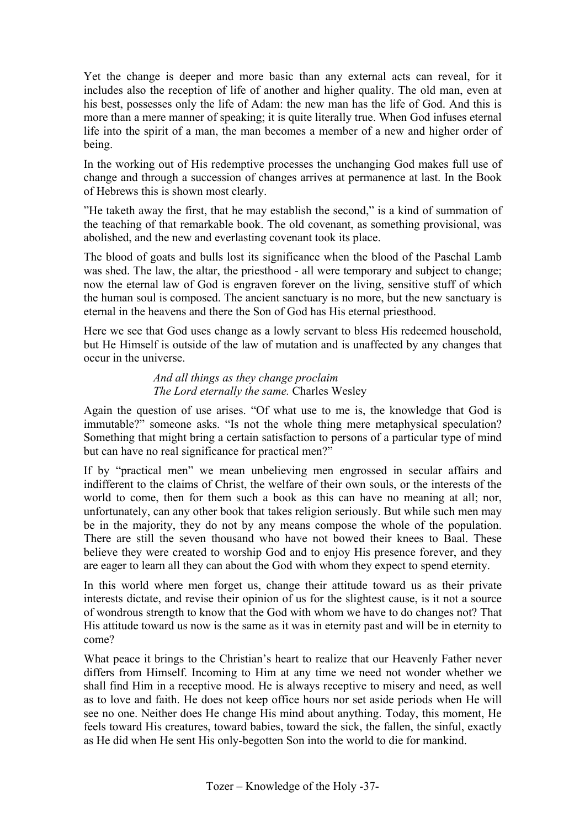Yet the change is deeper and more basic than any external acts can reveal, for it includes also the reception of life of another and higher quality. The old man, even at his best, possesses only the life of Adam: the new man has the life of God. And this is more than a mere manner of speaking; it is quite literally true. When God infuses eternal life into the spirit of a man, the man becomes a member of a new and higher order of being.

In the working out of His redemptive processes the unchanging God makes full use of change and through a succession of changes arrives at permanence at last. In the Book of Hebrews this is shown most clearly.

"He taketh away the first, that he may establish the second," is a kind of summation of the teaching of that remarkable book. The old covenant, as something provisional, was abolished, and the new and everlasting covenant took its place.

The blood of goats and bulls lost its significance when the blood of the Paschal Lamb was shed. The law, the altar, the priesthood - all were temporary and subject to change; now the eternal law of God is engraven forever on the living, sensitive stuff of which the human soul is composed. The ancient sanctuary is no more, but the new sanctuary is eternal in the heavens and there the Son of God has His eternal priesthood.

Here we see that God uses change as a lowly servant to bless His redeemed household, but He Himself is outside of the law of mutation and is unaffected by any changes that occur in the universe.

> *And all things as they change proclaim The Lord eternally the same.* Charles Wesley

Again the question of use arises. "Of what use to me is, the knowledge that God is immutable?" someone asks. "Is not the whole thing mere metaphysical speculation? Something that might bring a certain satisfaction to persons of a particular type of mind but can have no real significance for practical men?"

If by "practical men" we mean unbelieving men engrossed in secular affairs and indifferent to the claims of Christ, the welfare of their own souls, or the interests of the world to come, then for them such a book as this can have no meaning at all; nor, unfortunately, can any other book that takes religion seriously. But while such men may be in the majority, they do not by any means compose the whole of the population. There are still the seven thousand who have not bowed their knees to Baal. These believe they were created to worship God and to enjoy His presence forever, and they are eager to learn all they can about the God with whom they expect to spend eternity.

In this world where men forget us, change their attitude toward us as their private interests dictate, and revise their opinion of us for the slightest cause, is it not a source of wondrous strength to know that the God with whom we have to do changes not? That His attitude toward us now is the same as it was in eternity past and will be in eternity to come?

What peace it brings to the Christian's heart to realize that our Heavenly Father never differs from Himself. Incoming to Him at any time we need not wonder whether we shall find Him in a receptive mood. He is always receptive to misery and need, as well as to love and faith. He does not keep office hours nor set aside periods when He will see no one. Neither does He change His mind about anything. Today, this moment, He feels toward His creatures, toward babies, toward the sick, the fallen, the sinful, exactly as He did when He sent His only-begotten Son into the world to die for mankind.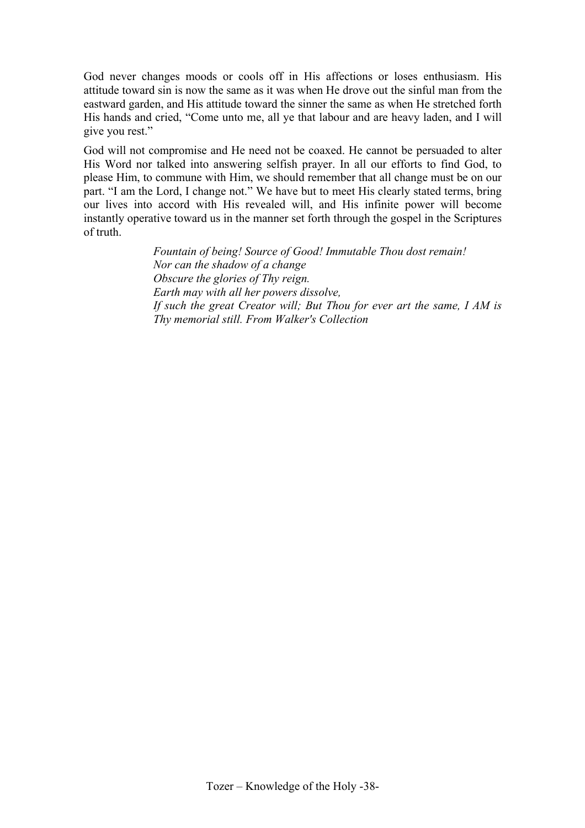God never changes moods or cools off in His affections or loses enthusiasm. His attitude toward sin is now the same as it was when He drove out the sinful man from the eastward garden, and His attitude toward the sinner the same as when He stretched forth His hands and cried, "Come unto me, all ye that labour and are heavy laden, and I will give you rest."

God will not compromise and He need not be coaxed. He cannot be persuaded to alter His Word nor talked into answering selfish prayer. In all our efforts to find God, to please Him, to commune with Him, we should remember that all change must be on our part. "I am the Lord, I change not." We have but to meet His clearly stated terms, bring our lives into accord with His revealed will, and His infinite power will become instantly operative toward us in the manner set forth through the gospel in the Scriptures of truth.

> *Fountain of being! Source of Good! Immutable Thou dost remain! Nor can the shadow of a change Obscure the glories of Thy reign. Earth may with all her powers dissolve, If such the great Creator will; But Thou for ever art the same, I AM is Thy memorial still. From Walker's Collection*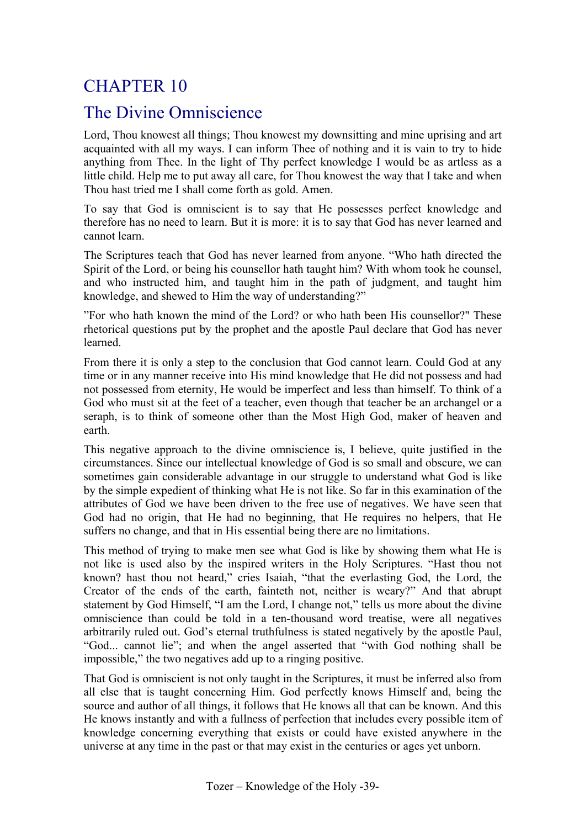#### The Divine Omniscience

Lord, Thou knowest all things; Thou knowest my downsitting and mine uprising and art acquainted with all my ways. I can inform Thee of nothing and it is vain to try to hide anything from Thee. In the light of Thy perfect knowledge I would be as artless as a little child. Help me to put away all care, for Thou knowest the way that I take and when Thou hast tried me I shall come forth as gold. Amen.

To say that God is omniscient is to say that He possesses perfect knowledge and therefore has no need to learn. But it is more: it is to say that God has never learned and cannot learn.

The Scriptures teach that God has never learned from anyone. "Who hath directed the Spirit of the Lord, or being his counsellor hath taught him? With whom took he counsel, and who instructed him, and taught him in the path of judgment, and taught him knowledge, and shewed to Him the way of understanding?"

"For who hath known the mind of the Lord? or who hath been His counsellor?" These rhetorical questions put by the prophet and the apostle Paul declare that God has never learned.

From there it is only a step to the conclusion that God cannot learn. Could God at any time or in any manner receive into His mind knowledge that He did not possess and had not possessed from eternity, He would be imperfect and less than himself. To think of a God who must sit at the feet of a teacher, even though that teacher be an archangel or a seraph, is to think of someone other than the Most High God, maker of heaven and earth.

This negative approach to the divine omniscience is, I believe, quite justified in the circumstances. Since our intellectual knowledge of God is so small and obscure, we can sometimes gain considerable advantage in our struggle to understand what God is like by the simple expedient of thinking what He is not like. So far in this examination of the attributes of God we have been driven to the free use of negatives. We have seen that God had no origin, that He had no beginning, that He requires no helpers, that He suffers no change, and that in His essential being there are no limitations.

This method of trying to make men see what God is like by showing them what He is not like is used also by the inspired writers in the Holy Scriptures. "Hast thou not known? hast thou not heard," cries Isaiah, "that the everlasting God, the Lord, the Creator of the ends of the earth, fainteth not, neither is weary?" And that abrupt statement by God Himself, "I am the Lord, I change not," tells us more about the divine omniscience than could be told in a ten-thousand word treatise, were all negatives arbitrarily ruled out. God's eternal truthfulness is stated negatively by the apostle Paul, "God... cannot lie"; and when the angel asserted that "with God nothing shall be impossible," the two negatives add up to a ringing positive.

That God is omniscient is not only taught in the Scriptures, it must be inferred also from all else that is taught concerning Him. God perfectly knows Himself and, being the source and author of all things, it follows that He knows all that can be known. And this He knows instantly and with a fullness of perfection that includes every possible item of knowledge concerning everything that exists or could have existed anywhere in the universe at any time in the past or that may exist in the centuries or ages yet unborn.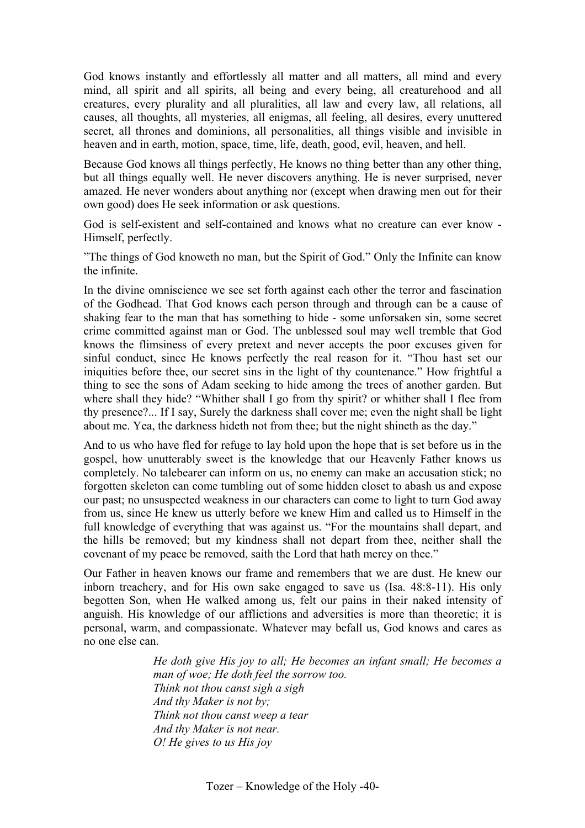God knows instantly and effortlessly all matter and all matters, all mind and every mind, all spirit and all spirits, all being and every being, all creaturehood and all creatures, every plurality and all pluralities, all law and every law, all relations, all causes, all thoughts, all mysteries, all enigmas, all feeling, all desires, every unuttered secret, all thrones and dominions, all personalities, all things visible and invisible in heaven and in earth, motion, space, time, life, death, good, evil, heaven, and hell.

Because God knows all things perfectly, He knows no thing better than any other thing, but all things equally well. He never discovers anything. He is never surprised, never amazed. He never wonders about anything nor (except when drawing men out for their own good) does He seek information or ask questions.

God is self-existent and self-contained and knows what no creature can ever know - Himself, perfectly.

"The things of God knoweth no man, but the Spirit of God." Only the Infinite can know the infinite.

In the divine omniscience we see set forth against each other the terror and fascination of the Godhead. That God knows each person through and through can be a cause of shaking fear to the man that has something to hide - some unforsaken sin, some secret crime committed against man or God. The unblessed soul may well tremble that God knows the flimsiness of every pretext and never accepts the poor excuses given for sinful conduct, since He knows perfectly the real reason for it. "Thou hast set our iniquities before thee, our secret sins in the light of thy countenance." How frightful a thing to see the sons of Adam seeking to hide among the trees of another garden. But where shall they hide? "Whither shall I go from thy spirit? or whither shall I flee from thy presence?... If I say, Surely the darkness shall cover me; even the night shall be light about me. Yea, the darkness hideth not from thee; but the night shineth as the day."

And to us who have fled for refuge to lay hold upon the hope that is set before us in the gospel, how unutterably sweet is the knowledge that our Heavenly Father knows us completely. No talebearer can inform on us, no enemy can make an accusation stick; no forgotten skeleton can come tumbling out of some hidden closet to abash us and expose our past; no unsuspected weakness in our characters can come to light to turn God away from us, since He knew us utterly before we knew Him and called us to Himself in the full knowledge of everything that was against us. "For the mountains shall depart, and the hills be removed; but my kindness shall not depart from thee, neither shall the covenant of my peace be removed, saith the Lord that hath mercy on thee."

Our Father in heaven knows our frame and remembers that we are dust. He knew our inborn treachery, and for His own sake engaged to save us (Isa. 48:8-11). His only begotten Son, when He walked among us, felt our pains in their naked intensity of anguish. His knowledge of our afflictions and adversities is more than theoretic; it is personal, warm, and compassionate. Whatever may befall us, God knows and cares as no one else can.

> *He doth give His joy to all; He becomes an infant small; He becomes a man of woe; He doth feel the sorrow too. Think not thou canst sigh a sigh And thy Maker is not by; Think not thou canst weep a tear And thy Maker is not near. O! He gives to us His joy*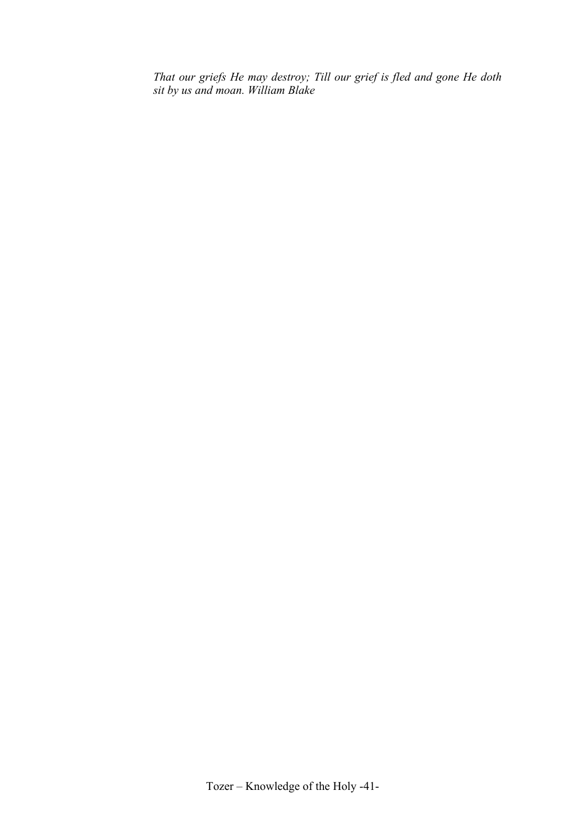*That our griefs He may destroy; Till our grief is fled and gone He doth sit by us and moan. William Blake*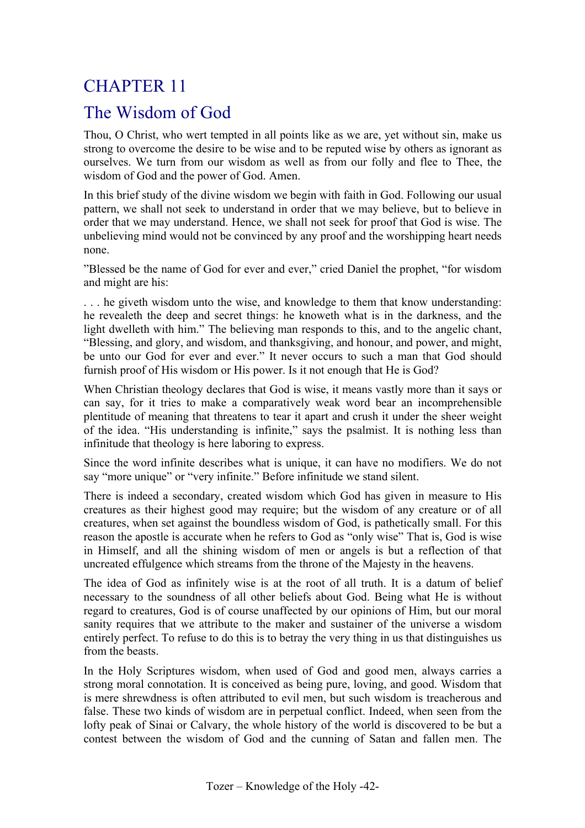### The Wisdom of God

Thou, O Christ, who wert tempted in all points like as we are, yet without sin, make us strong to overcome the desire to be wise and to be reputed wise by others as ignorant as ourselves. We turn from our wisdom as well as from our folly and flee to Thee, the wisdom of God and the power of God. Amen.

In this brief study of the divine wisdom we begin with faith in God. Following our usual pattern, we shall not seek to understand in order that we may believe, but to believe in order that we may understand. Hence, we shall not seek for proof that God is wise. The unbelieving mind would not be convinced by any proof and the worshipping heart needs none.

"Blessed be the name of God for ever and ever," cried Daniel the prophet, "for wisdom and might are his:

. . . he giveth wisdom unto the wise, and knowledge to them that know understanding: he revealeth the deep and secret things: he knoweth what is in the darkness, and the light dwelleth with him." The believing man responds to this, and to the angelic chant, "Blessing, and glory, and wisdom, and thanksgiving, and honour, and power, and might, be unto our God for ever and ever." It never occurs to such a man that God should furnish proof of His wisdom or His power. Is it not enough that He is God?

When Christian theology declares that God is wise, it means vastly more than it says or can say, for it tries to make a comparatively weak word bear an incomprehensible plentitude of meaning that threatens to tear it apart and crush it under the sheer weight of the idea. "His understanding is infinite," says the psalmist. It is nothing less than infinitude that theology is here laboring to express.

Since the word infinite describes what is unique, it can have no modifiers. We do not say "more unique" or "very infinite." Before infinitude we stand silent.

There is indeed a secondary, created wisdom which God has given in measure to His creatures as their highest good may require; but the wisdom of any creature or of all creatures, when set against the boundless wisdom of God, is pathetically small. For this reason the apostle is accurate when he refers to God as "only wise" That is, God is wise in Himself, and all the shining wisdom of men or angels is but a reflection of that uncreated effulgence which streams from the throne of the Majesty in the heavens.

The idea of God as infinitely wise is at the root of all truth. It is a datum of belief necessary to the soundness of all other beliefs about God. Being what He is without regard to creatures, God is of course unaffected by our opinions of Him, but our moral sanity requires that we attribute to the maker and sustainer of the universe a wisdom entirely perfect. To refuse to do this is to betray the very thing in us that distinguishes us from the beasts.

In the Holy Scriptures wisdom, when used of God and good men, always carries a strong moral connotation. It is conceived as being pure, loving, and good. Wisdom that is mere shrewdness is often attributed to evil men, but such wisdom is treacherous and false. These two kinds of wisdom are in perpetual conflict. Indeed, when seen from the lofty peak of Sinai or Calvary, the whole history of the world is discovered to be but a contest between the wisdom of God and the cunning of Satan and fallen men. The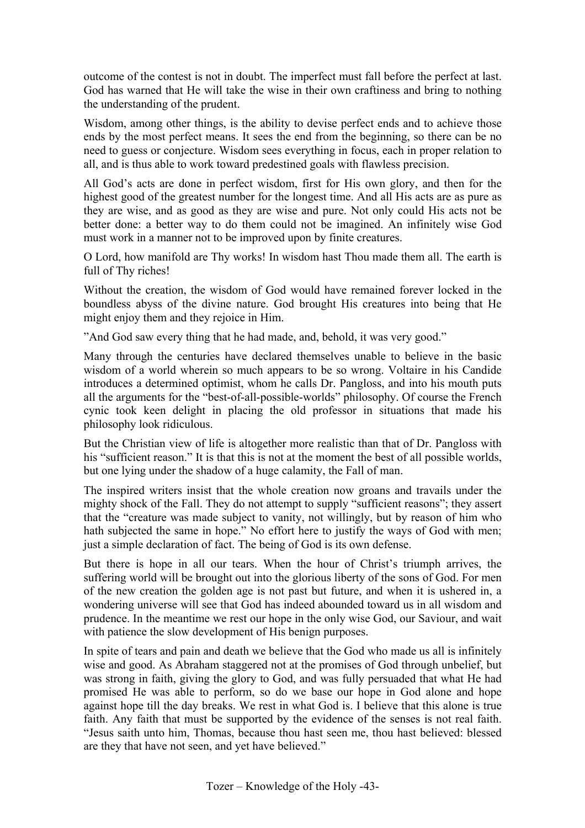outcome of the contest is not in doubt. The imperfect must fall before the perfect at last. God has warned that He will take the wise in their own craftiness and bring to nothing the understanding of the prudent.

Wisdom, among other things, is the ability to devise perfect ends and to achieve those ends by the most perfect means. It sees the end from the beginning, so there can be no need to guess or conjecture. Wisdom sees everything in focus, each in proper relation to all, and is thus able to work toward predestined goals with flawless precision.

All God's acts are done in perfect wisdom, first for His own glory, and then for the highest good of the greatest number for the longest time. And all His acts are as pure as they are wise, and as good as they are wise and pure. Not only could His acts not be better done: a better way to do them could not be imagined. An infinitely wise God must work in a manner not to be improved upon by finite creatures.

O Lord, how manifold are Thy works! In wisdom hast Thou made them all. The earth is full of Thy riches!

Without the creation, the wisdom of God would have remained forever locked in the boundless abyss of the divine nature. God brought His creatures into being that He might enjoy them and they rejoice in Him.

"And God saw every thing that he had made, and, behold, it was very good."

Many through the centuries have declared themselves unable to believe in the basic wisdom of a world wherein so much appears to be so wrong. Voltaire in his Candide introduces a determined optimist, whom he calls Dr. Pangloss, and into his mouth puts all the arguments for the "best-of-all-possible-worlds" philosophy. Of course the French cynic took keen delight in placing the old professor in situations that made his philosophy look ridiculous.

But the Christian view of life is altogether more realistic than that of Dr. Pangloss with his "sufficient reason." It is that this is not at the moment the best of all possible worlds, but one lying under the shadow of a huge calamity, the Fall of man.

The inspired writers insist that the whole creation now groans and travails under the mighty shock of the Fall. They do not attempt to supply "sufficient reasons"; they assert that the "creature was made subject to vanity, not willingly, but by reason of him who hath subjected the same in hope." No effort here to justify the ways of God with men; just a simple declaration of fact. The being of God is its own defense.

But there is hope in all our tears. When the hour of Christ's triumph arrives, the suffering world will be brought out into the glorious liberty of the sons of God. For men of the new creation the golden age is not past but future, and when it is ushered in, a wondering universe will see that God has indeed abounded toward us in all wisdom and prudence. In the meantime we rest our hope in the only wise God, our Saviour, and wait with patience the slow development of His benign purposes.

In spite of tears and pain and death we believe that the God who made us all is infinitely wise and good. As Abraham staggered not at the promises of God through unbelief, but was strong in faith, giving the glory to God, and was fully persuaded that what He had promised He was able to perform, so do we base our hope in God alone and hope against hope till the day breaks. We rest in what God is. I believe that this alone is true faith. Any faith that must be supported by the evidence of the senses is not real faith. "Jesus saith unto him, Thomas, because thou hast seen me, thou hast believed: blessed are they that have not seen, and yet have believed."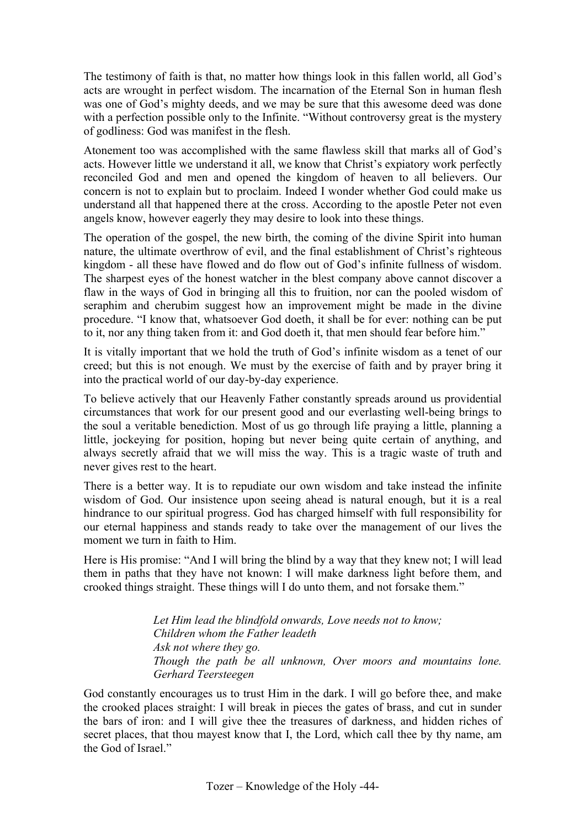The testimony of faith is that, no matter how things look in this fallen world, all God's acts are wrought in perfect wisdom. The incarnation of the Eternal Son in human flesh was one of God's mighty deeds, and we may be sure that this awesome deed was done with a perfection possible only to the Infinite. "Without controversy great is the mystery of godliness: God was manifest in the flesh.

Atonement too was accomplished with the same flawless skill that marks all of God's acts. However little we understand it all, we know that Christ's expiatory work perfectly reconciled God and men and opened the kingdom of heaven to all believers. Our concern is not to explain but to proclaim. Indeed I wonder whether God could make us understand all that happened there at the cross. According to the apostle Peter not even angels know, however eagerly they may desire to look into these things.

The operation of the gospel, the new birth, the coming of the divine Spirit into human nature, the ultimate overthrow of evil, and the final establishment of Christ's righteous kingdom - all these have flowed and do flow out of God's infinite fullness of wisdom. The sharpest eyes of the honest watcher in the blest company above cannot discover a flaw in the ways of God in bringing all this to fruition, nor can the pooled wisdom of seraphim and cherubim suggest how an improvement might be made in the divine procedure. "I know that, whatsoever God doeth, it shall be for ever: nothing can be put to it, nor any thing taken from it: and God doeth it, that men should fear before him."

It is vitally important that we hold the truth of God's infinite wisdom as a tenet of our creed; but this is not enough. We must by the exercise of faith and by prayer bring it into the practical world of our day-by-day experience.

To believe actively that our Heavenly Father constantly spreads around us providential circumstances that work for our present good and our everlasting well-being brings to the soul a veritable benediction. Most of us go through life praying a little, planning a little, jockeying for position, hoping but never being quite certain of anything, and always secretly afraid that we will miss the way. This is a tragic waste of truth and never gives rest to the heart.

There is a better way. It is to repudiate our own wisdom and take instead the infinite wisdom of God. Our insistence upon seeing ahead is natural enough, but it is a real hindrance to our spiritual progress. God has charged himself with full responsibility for our eternal happiness and stands ready to take over the management of our lives the moment we turn in faith to Him.

Here is His promise: "And I will bring the blind by a way that they knew not; I will lead them in paths that they have not known: I will make darkness light before them, and crooked things straight. These things will I do unto them, and not forsake them."

> *Let Him lead the blindfold onwards, Love needs not to know; Children whom the Father leadeth Ask not where they go. Though the path be all unknown, Over moors and mountains lone. Gerhard Teersteegen*

God constantly encourages us to trust Him in the dark. I will go before thee, and make the crooked places straight: I will break in pieces the gates of brass, and cut in sunder the bars of iron: and I will give thee the treasures of darkness, and hidden riches of secret places, that thou mayest know that I, the Lord, which call thee by thy name, am the God of Israel."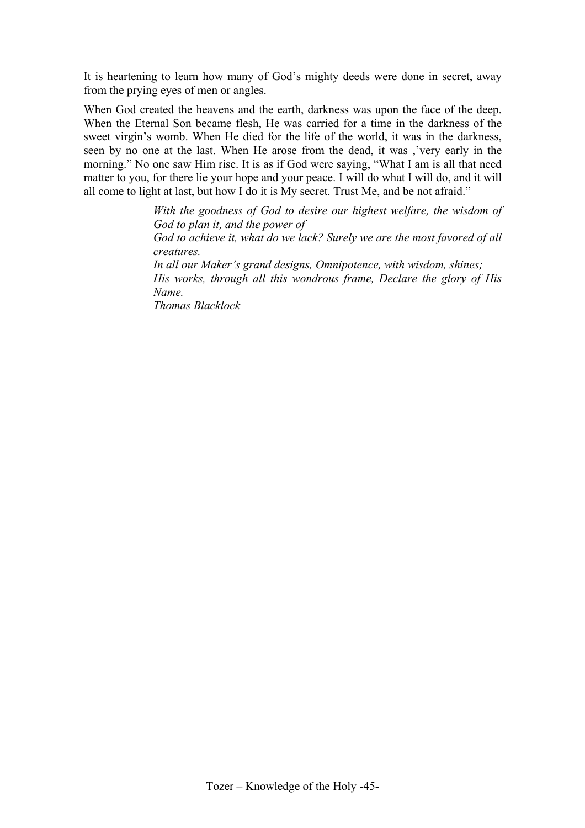It is heartening to learn how many of God's mighty deeds were done in secret, away from the prying eyes of men or angles.

When God created the heavens and the earth, darkness was upon the face of the deep. When the Eternal Son became flesh, He was carried for a time in the darkness of the sweet virgin's womb. When He died for the life of the world, it was in the darkness, seen by no one at the last. When He arose from the dead, it was ,'very early in the morning." No one saw Him rise. It is as if God were saying, "What I am is all that need matter to you, for there lie your hope and your peace. I will do what I will do, and it will all come to light at last, but how I do it is My secret. Trust Me, and be not afraid."

> *With the goodness of God to desire our highest welfare, the wisdom of God to plan it, and the power of God to achieve it, what do we lack? Surely we are the most favored of all creatures. In all our Maker's grand designs, Omnipotence, with wisdom, shines; His works, through all this wondrous frame, Declare the glory of His Name. Thomas Blacklock*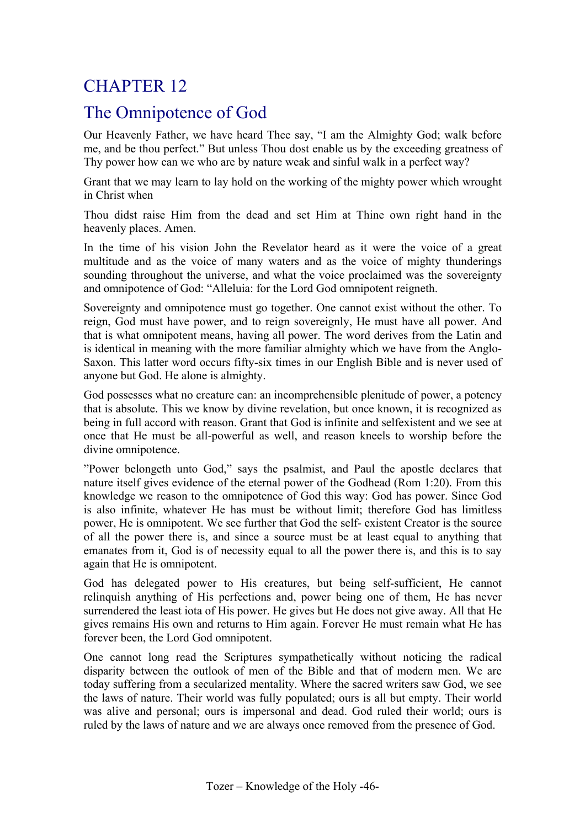### The Omnipotence of God

Our Heavenly Father, we have heard Thee say, "I am the Almighty God; walk before me, and be thou perfect." But unless Thou dost enable us by the exceeding greatness of Thy power how can we who are by nature weak and sinful walk in a perfect way?

Grant that we may learn to lay hold on the working of the mighty power which wrought in Christ when

Thou didst raise Him from the dead and set Him at Thine own right hand in the heavenly places. Amen.

In the time of his vision John the Revelator heard as it were the voice of a great multitude and as the voice of many waters and as the voice of mighty thunderings sounding throughout the universe, and what the voice proclaimed was the sovereignty and omnipotence of God: "Alleluia: for the Lord God omnipotent reigneth.

Sovereignty and omnipotence must go together. One cannot exist without the other. To reign, God must have power, and to reign sovereignly, He must have all power. And that is what omnipotent means, having all power. The word derives from the Latin and is identical in meaning with the more familiar almighty which we have from the Anglo-Saxon. This latter word occurs fifty-six times in our English Bible and is never used of anyone but God. He alone is almighty.

God possesses what no creature can: an incomprehensible plenitude of power, a potency that is absolute. This we know by divine revelation, but once known, it is recognized as being in full accord with reason. Grant that God is infinite and selfexistent and we see at once that He must be all-powerful as well, and reason kneels to worship before the divine omnipotence.

"Power belongeth unto God," says the psalmist, and Paul the apostle declares that nature itself gives evidence of the eternal power of the Godhead (Rom 1:20). From this knowledge we reason to the omnipotence of God this way: God has power. Since God is also infinite, whatever He has must be without limit; therefore God has limitless power, He is omnipotent. We see further that God the self- existent Creator is the source of all the power there is, and since a source must be at least equal to anything that emanates from it, God is of necessity equal to all the power there is, and this is to say again that He is omnipotent.

God has delegated power to His creatures, but being self-sufficient, He cannot relinquish anything of His perfections and, power being one of them, He has never surrendered the least iota of His power. He gives but He does not give away. All that He gives remains His own and returns to Him again. Forever He must remain what He has forever been, the Lord God omnipotent.

One cannot long read the Scriptures sympathetically without noticing the radical disparity between the outlook of men of the Bible and that of modern men. We are today suffering from a secularized mentality. Where the sacred writers saw God, we see the laws of nature. Their world was fully populated; ours is all but empty. Their world was alive and personal; ours is impersonal and dead. God ruled their world; ours is ruled by the laws of nature and we are always once removed from the presence of God.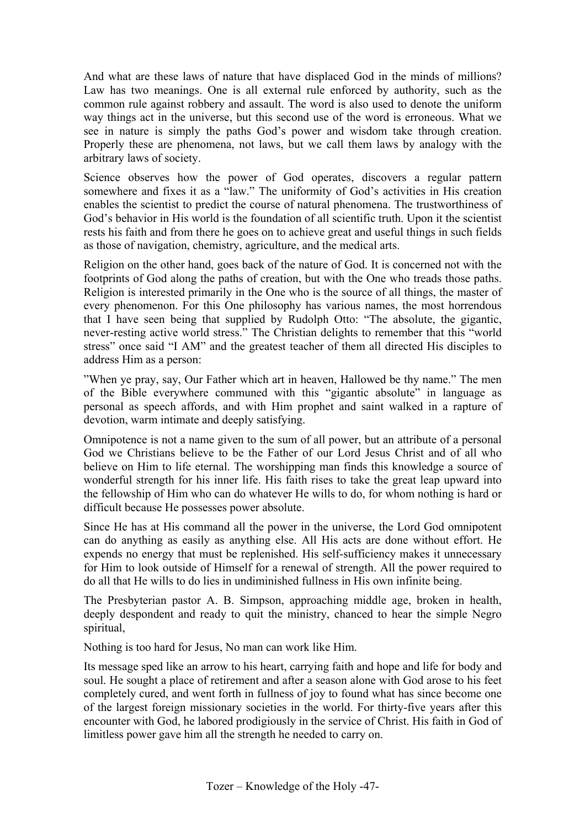And what are these laws of nature that have displaced God in the minds of millions? Law has two meanings. One is all external rule enforced by authority, such as the common rule against robbery and assault. The word is also used to denote the uniform way things act in the universe, but this second use of the word is erroneous. What we see in nature is simply the paths God's power and wisdom take through creation. Properly these are phenomena, not laws, but we call them laws by analogy with the arbitrary laws of society.

Science observes how the power of God operates, discovers a regular pattern somewhere and fixes it as a "law." The uniformity of God's activities in His creation enables the scientist to predict the course of natural phenomena. The trustworthiness of God's behavior in His world is the foundation of all scientific truth. Upon it the scientist rests his faith and from there he goes on to achieve great and useful things in such fields as those of navigation, chemistry, agriculture, and the medical arts.

Religion on the other hand, goes back of the nature of God. It is concerned not with the footprints of God along the paths of creation, but with the One who treads those paths. Religion is interested primarily in the One who is the source of all things, the master of every phenomenon. For this One philosophy has various names, the most horrendous that I have seen being that supplied by Rudolph Otto: "The absolute, the gigantic, never-resting active world stress." The Christian delights to remember that this "world stress" once said "I AM" and the greatest teacher of them all directed His disciples to address Him as a person:

"When ye pray, say, Our Father which art in heaven, Hallowed be thy name." The men of the Bible everywhere communed with this "gigantic absolute" in language as personal as speech affords, and with Him prophet and saint walked in a rapture of devotion, warm intimate and deeply satisfying.

Omnipotence is not a name given to the sum of all power, but an attribute of a personal God we Christians believe to be the Father of our Lord Jesus Christ and of all who believe on Him to life eternal. The worshipping man finds this knowledge a source of wonderful strength for his inner life. His faith rises to take the great leap upward into the fellowship of Him who can do whatever He wills to do, for whom nothing is hard or difficult because He possesses power absolute.

Since He has at His command all the power in the universe, the Lord God omnipotent can do anything as easily as anything else. All His acts are done without effort. He expends no energy that must be replenished. His self-sufficiency makes it unnecessary for Him to look outside of Himself for a renewal of strength. All the power required to do all that He wills to do lies in undiminished fullness in His own infinite being.

The Presbyterian pastor A. B. Simpson, approaching middle age, broken in health, deeply despondent and ready to quit the ministry, chanced to hear the simple Negro spiritual,

Nothing is too hard for Jesus, No man can work like Him.

Its message sped like an arrow to his heart, carrying faith and hope and life for body and soul. He sought a place of retirement and after a season alone with God arose to his feet completely cured, and went forth in fullness of joy to found what has since become one of the largest foreign missionary societies in the world. For thirty-five years after this encounter with God, he labored prodigiously in the service of Christ. His faith in God of limitless power gave him all the strength he needed to carry on.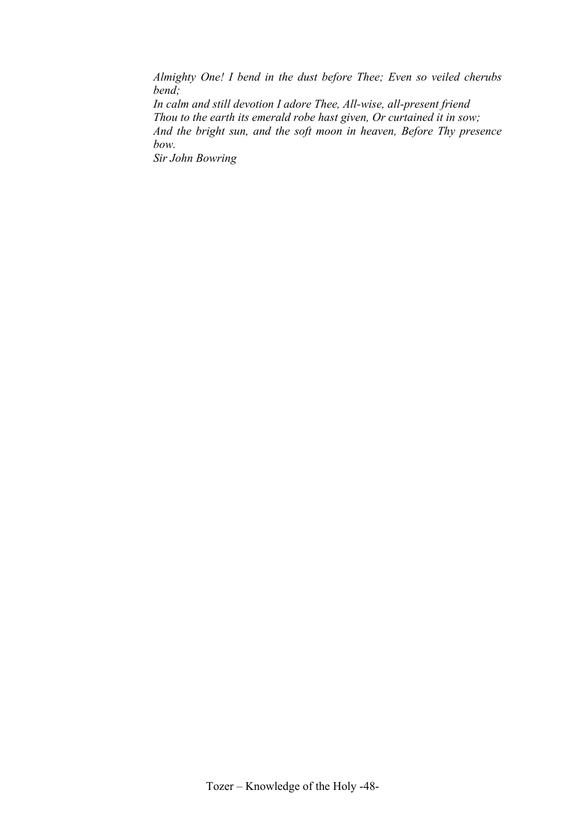*Almighty One! I bend in the dust before Thee; Even so veiled cherubs bend;* 

*In calm and still devotion I adore Thee, All-wise, all-present friend Thou to the earth its emerald robe hast given, Or curtained it in sow; And the bright sun, and the soft moon in heaven, Before Thy presence bow.* 

*Sir John Bowring*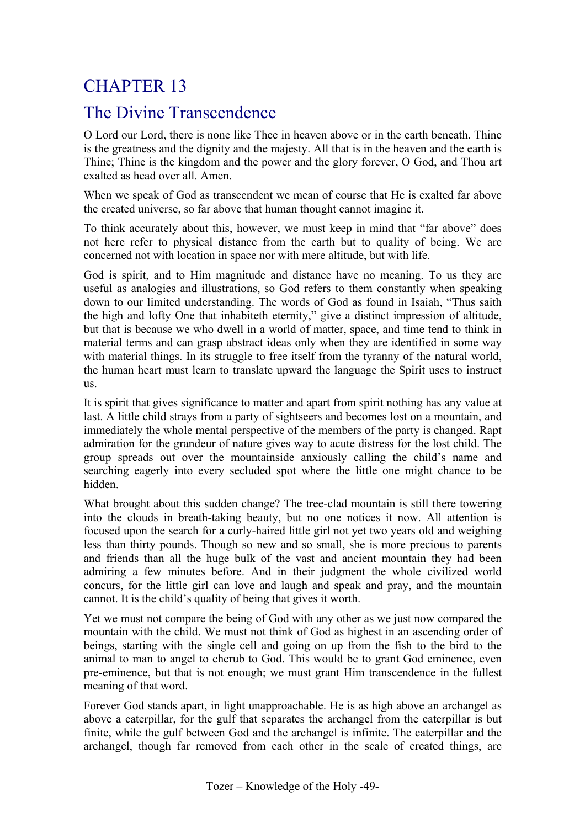### The Divine Transcendence

O Lord our Lord, there is none like Thee in heaven above or in the earth beneath. Thine is the greatness and the dignity and the majesty. All that is in the heaven and the earth is Thine; Thine is the kingdom and the power and the glory forever, O God, and Thou art exalted as head over all. Amen.

When we speak of God as transcendent we mean of course that He is exalted far above the created universe, so far above that human thought cannot imagine it.

To think accurately about this, however, we must keep in mind that "far above" does not here refer to physical distance from the earth but to quality of being. We are concerned not with location in space nor with mere altitude, but with life.

God is spirit, and to Him magnitude and distance have no meaning. To us they are useful as analogies and illustrations, so God refers to them constantly when speaking down to our limited understanding. The words of God as found in Isaiah, "Thus saith the high and lofty One that inhabiteth eternity," give a distinct impression of altitude, but that is because we who dwell in a world of matter, space, and time tend to think in material terms and can grasp abstract ideas only when they are identified in some way with material things. In its struggle to free itself from the tyranny of the natural world, the human heart must learn to translate upward the language the Spirit uses to instruct us.

It is spirit that gives significance to matter and apart from spirit nothing has any value at last. A little child strays from a party of sightseers and becomes lost on a mountain, and immediately the whole mental perspective of the members of the party is changed. Rapt admiration for the grandeur of nature gives way to acute distress for the lost child. The group spreads out over the mountainside anxiously calling the child's name and searching eagerly into every secluded spot where the little one might chance to be hidden.

What brought about this sudden change? The tree-clad mountain is still there towering into the clouds in breath-taking beauty, but no one notices it now. All attention is focused upon the search for a curly-haired little girl not yet two years old and weighing less than thirty pounds. Though so new and so small, she is more precious to parents and friends than all the huge bulk of the vast and ancient mountain they had been admiring a few minutes before. And in their judgment the whole civilized world concurs, for the little girl can love and laugh and speak and pray, and the mountain cannot. It is the child's quality of being that gives it worth.

Yet we must not compare the being of God with any other as we just now compared the mountain with the child. We must not think of God as highest in an ascending order of beings, starting with the single cell and going on up from the fish to the bird to the animal to man to angel to cherub to God. This would be to grant God eminence, even pre-eminence, but that is not enough; we must grant Him transcendence in the fullest meaning of that word.

Forever God stands apart, in light unapproachable. He is as high above an archangel as above a caterpillar, for the gulf that separates the archangel from the caterpillar is but finite, while the gulf between God and the archangel is infinite. The caterpillar and the archangel, though far removed from each other in the scale of created things, are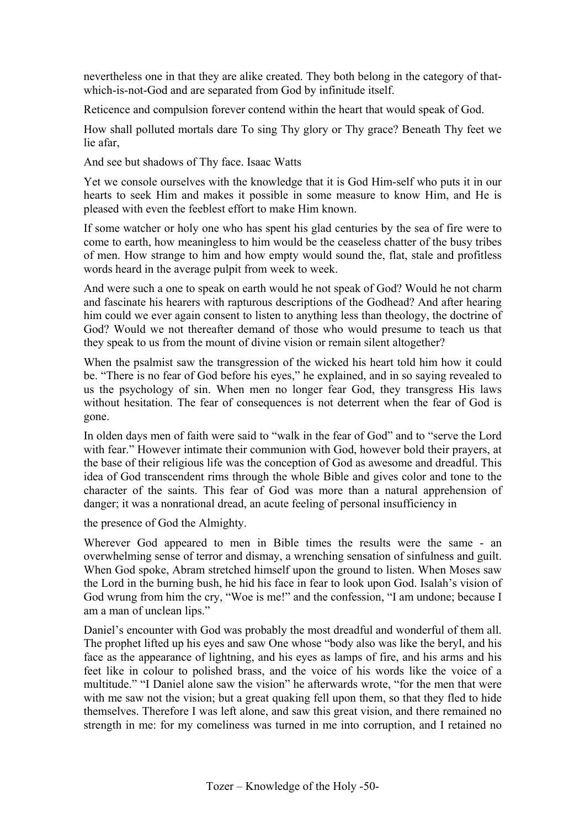nevertheless one in that they are alike created. They both belong in the category of thatwhich-is-not-God and are separated from God by infinitude itself.

Reticence and compulsion forever contend within the heart that would speak of God.

How shall polluted mortals dare To sing Thy glory or Thy grace? Beneath Thy feet we lie afar,

And see but shadows of Thy face. Isaac Watts

Yet we console ourselves with the knowledge that it is God Him-self who puts it in our hearts to seek Him and makes it possible in some measure to know Him, and He is pleased with even the feeblest effort to make Him known.

If some watcher or holy one who has spent his glad centuries by the sea of fire were to come to earth, how meaningless to him would be the ceaseless chatter of the busy tribes of men. How strange to him and how empty would sound the, flat, stale and profitless words heard in the average pulpit from week to week.

And were such a one to speak on earth would he not speak of God? Would he not charm and fascinate his hearers with rapturous descriptions of the Godhead? And after hearing him could we ever again consent to listen to anything less than theology, the doctrine of God? Would we not thereafter demand of those who would presume to teach us that they speak to us from the mount of divine vision or remain silent altogether?

When the psalmist saw the transgression of the wicked his heart told him how it could be. "There is no fear of God before his eyes," he explained, and in so saying revealed to us the psychology of sin. When men no longer fear God, they transgress His laws without hesitation. The fear of consequences is not deterrent when the fear of God is gone.

In olden days men of faith were said to "walk in the fear of God" and to "serve the Lord with fear." However intimate their communion with God, however bold their prayers, at the base of their religious life was the conception of God as awesome and dreadful. This idea of God transcendent rims through the whole Bible and gives color and tone to the character of the saints. This fear of God was more than a natural apprehension of danger; it was a nonrational dread, an acute feeling of personal insufficiency in

the presence of God the Almighty.

Wherever God appeared to men in Bible times the results were the same - an overwhelming sense of terror and dismay, a wrenching sensation of sinfulness and guilt. When God spoke, Abram stretched himself upon the ground to listen. When Moses saw the Lord in the burning bush, he hid his face in fear to look upon God. Isalah's vision of God wrung from him the cry, "Woe is me!" and the confession, "I am undone; because I am a man of unclean lips."

Daniel's encounter with God was probably the most dreadful and wonderful of them all. The prophet lifted up his eyes and saw One whose "body also was like the beryl, and his face as the appearance of lightning, and his eyes as lamps of fire, and his arms and his feet like in colour to polished brass, and the voice of his words like the voice of a multitude." "I Daniel alone saw the vision" he afterwards wrote, "for the men that were with me saw not the vision; but a great quaking fell upon them, so that they fled to hide themselves. Therefore I was left alone, and saw this great vision, and there remained no strength in me: for my comeliness was turned in me into corruption, and I retained no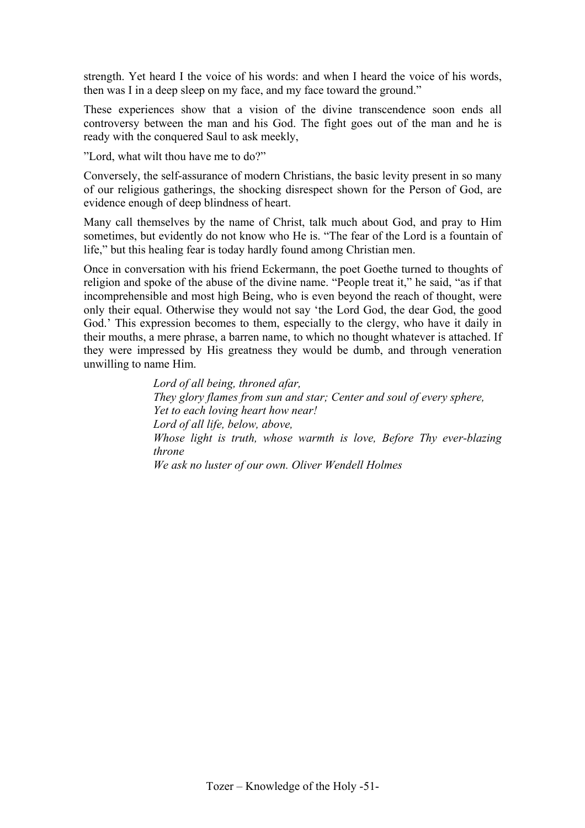strength. Yet heard I the voice of his words: and when I heard the voice of his words, then was I in a deep sleep on my face, and my face toward the ground."

These experiences show that a vision of the divine transcendence soon ends all controversy between the man and his God. The fight goes out of the man and he is ready with the conquered Saul to ask meekly,

"Lord, what wilt thou have me to do?"

Conversely, the self-assurance of modern Christians, the basic levity present in so many of our religious gatherings, the shocking disrespect shown for the Person of God, are evidence enough of deep blindness of heart.

Many call themselves by the name of Christ, talk much about God, and pray to Him sometimes, but evidently do not know who He is. "The fear of the Lord is a fountain of life," but this healing fear is today hardly found among Christian men.

Once in conversation with his friend Eckermann, the poet Goethe turned to thoughts of religion and spoke of the abuse of the divine name. "People treat it," he said, "as if that incomprehensible and most high Being, who is even beyond the reach of thought, were only their equal. Otherwise they would not say 'the Lord God, the dear God, the good God.' This expression becomes to them, especially to the clergy, who have it daily in their mouths, a mere phrase, a barren name, to which no thought whatever is attached. If they were impressed by His greatness they would be dumb, and through veneration unwilling to name Him.

> *Lord of all being, throned afar, They glory flames from sun and star; Center and soul of every sphere, Yet to each loving heart how near! Lord of all life, below, above, Whose light is truth, whose warmth is love, Before Thy ever-blazing throne We ask no luster of our own. Oliver Wendell Holmes*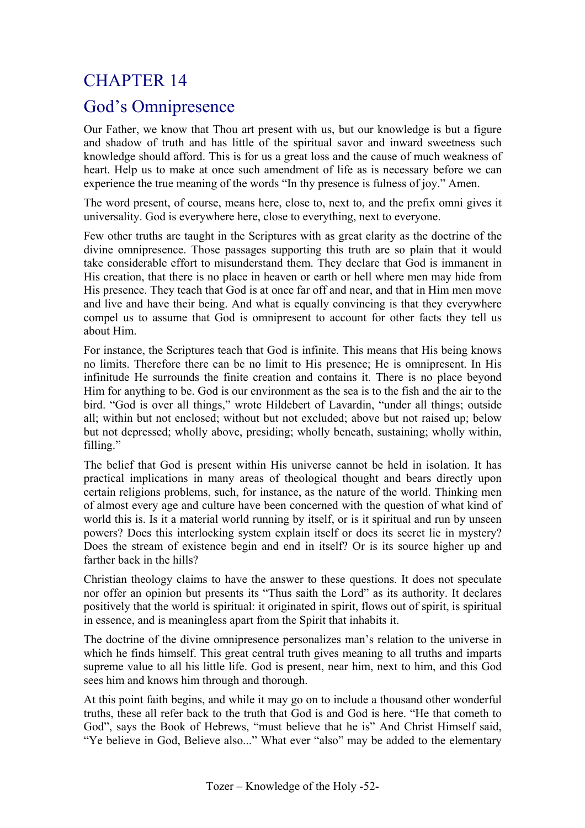### God's Omnipresence

Our Father, we know that Thou art present with us, but our knowledge is but a figure and shadow of truth and has little of the spiritual savor and inward sweetness such knowledge should afford. This is for us a great loss and the cause of much weakness of heart. Help us to make at once such amendment of life as is necessary before we can experience the true meaning of the words "In thy presence is fulness of joy." Amen.

The word present, of course, means here, close to, next to, and the prefix omni gives it universality. God is everywhere here, close to everything, next to everyone.

Few other truths are taught in the Scriptures with as great clarity as the doctrine of the divine omnipresence. Those passages supporting this truth are so plain that it would take considerable effort to misunderstand them. They declare that God is immanent in His creation, that there is no place in heaven or earth or hell where men may hide from His presence. They teach that God is at once far off and near, and that in Him men move and live and have their being. And what is equally convincing is that they everywhere compel us to assume that God is omnipresent to account for other facts they tell us about Him.

For instance, the Scriptures teach that God is infinite. This means that His being knows no limits. Therefore there can be no limit to His presence; He is omnipresent. In His infinitude He surrounds the finite creation and contains it. There is no place beyond Him for anything to be. God is our environment as the sea is to the fish and the air to the bird. "God is over all things," wrote Hildebert of Lavardin, "under all things; outside all; within but not enclosed; without but not excluded; above but not raised up; below but not depressed; wholly above, presiding; wholly beneath, sustaining; wholly within, filling."

The belief that God is present within His universe cannot be held in isolation. It has practical implications in many areas of theological thought and bears directly upon certain religions problems, such, for instance, as the nature of the world. Thinking men of almost every age and culture have been concerned with the question of what kind of world this is. Is it a material world running by itself, or is it spiritual and run by unseen powers? Does this interlocking system explain itself or does its secret lie in mystery? Does the stream of existence begin and end in itself? Or is its source higher up and farther back in the hills?

Christian theology claims to have the answer to these questions. It does not speculate nor offer an opinion but presents its "Thus saith the Lord" as its authority. It declares positively that the world is spiritual: it originated in spirit, flows out of spirit, is spiritual in essence, and is meaningless apart from the Spirit that inhabits it.

The doctrine of the divine omnipresence personalizes man's relation to the universe in which he finds himself. This great central truth gives meaning to all truths and imparts supreme value to all his little life. God is present, near him, next to him, and this God sees him and knows him through and thorough.

At this point faith begins, and while it may go on to include a thousand other wonderful truths, these all refer back to the truth that God is and God is here. "He that cometh to God", says the Book of Hebrews, "must believe that he is" And Christ Himself said, "Ye believe in God, Believe also..." What ever "also" may be added to the elementary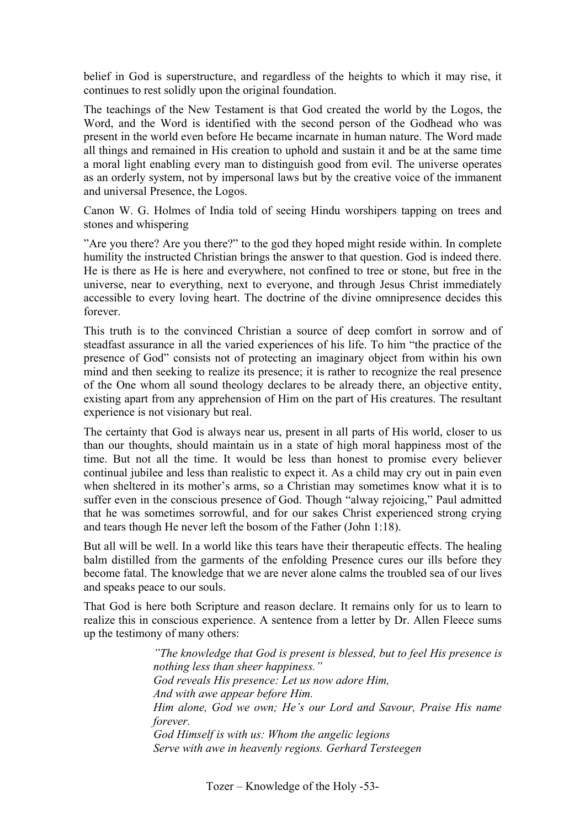belief in God is superstructure, and regardless of the heights to which it may rise, it continues to rest solidly upon the original foundation.

The teachings of the New Testament is that God created the world by the Logos, the Word, and the Word is identified with the second person of the Godhead who was present in the world even before He became incarnate in human nature. The Word made all things and remained in His creation to uphold and sustain it and be at the same time a moral light enabling every man to distinguish good from evil. The universe operates as an orderly system, not by impersonal laws but by the creative voice of the immanent and universal Presence, the Logos.

Canon W. G. Holmes of India told of seeing Hindu worshipers tapping on trees and stones and whispering

"Are you there? Are you there?" to the god they hoped might reside within. In complete humility the instructed Christian brings the answer to that question. God is indeed there. He is there as He is here and everywhere, not confined to tree or stone, but free in the universe, near to everything, next to everyone, and through Jesus Christ immediately accessible to every loving heart. The doctrine of the divine omnipresence decides this forever.

This truth is to the convinced Christian a source of deep comfort in sorrow and of steadfast assurance in all the varied experiences of his life. To him "the practice of the presence of God" consists not of protecting an imaginary object from within his own mind and then seeking to realize its presence; it is rather to recognize the real presence of the One whom all sound theology declares to be already there, an objective entity, existing apart from any apprehension of Him on the part of His creatures. The resultant experience is not visionary but real.

The certainty that God is always near us, present in all parts of His world, closer to us than our thoughts, should maintain us in a state of high moral happiness most of the time. But not all the time. It would be less than honest to promise every believer continual jubilee and less than realistic to expect it. As a child may cry out in pain even when sheltered in its mother's arms, so a Christian may sometimes know what it is to suffer even in the conscious presence of God. Though "alway rejoicing," Paul admitted that he was sometimes sorrowful, and for our sakes Christ experienced strong crying and tears though He never left the bosom of the Father (John 1:18).

But all will be well. In a world like this tears have their therapeutic effects. The healing balm distilled from the garments of the enfolding Presence cures our ills before they become fatal. The knowledge that we are never alone calms the troubled sea of our lives and speaks peace to our souls.

That God is here both Scripture and reason declare. It remains only for us to learn to realize this in conscious experience. A sentence from a letter by Dr. Allen Fleece sums up the testimony of many others:

> *"The knowledge that God is present is blessed, but to feel His presence is nothing less than sheer happiness." God reveals His presence: Let us now adore Him, And with awe appear before Him. Him alone, God we own; He's our Lord and Savour, Praise His name forever. God Himself is with us: Whom the angelic legions Serve with awe in heavenly regions. Gerhard Tersteegen*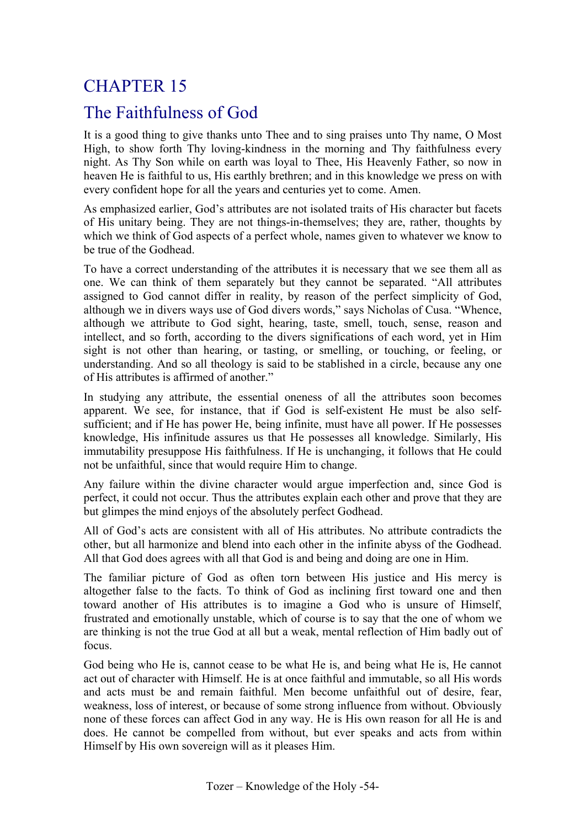### The Faithfulness of God

It is a good thing to give thanks unto Thee and to sing praises unto Thy name, O Most High, to show forth Thy loving-kindness in the morning and Thy faithfulness every night. As Thy Son while on earth was loyal to Thee, His Heavenly Father, so now in heaven He is faithful to us, His earthly brethren; and in this knowledge we press on with every confident hope for all the years and centuries yet to come. Amen.

As emphasized earlier, God's attributes are not isolated traits of His character but facets of His unitary being. They are not things-in-themselves; they are, rather, thoughts by which we think of God aspects of a perfect whole, names given to whatever we know to be true of the Godhead.

To have a correct understanding of the attributes it is necessary that we see them all as one. We can think of them separately but they cannot be separated. "All attributes assigned to God cannot differ in reality, by reason of the perfect simplicity of God, although we in divers ways use of God divers words," says Nicholas of Cusa. "Whence, although we attribute to God sight, hearing, taste, smell, touch, sense, reason and intellect, and so forth, according to the divers significations of each word, yet in Him sight is not other than hearing, or tasting, or smelling, or touching, or feeling, or understanding. And so all theology is said to be stablished in a circle, because any one of His attributes is affirmed of another."

In studying any attribute, the essential oneness of all the attributes soon becomes apparent. We see, for instance, that if God is self-existent He must be also selfsufficient; and if He has power He, being infinite, must have all power. If He possesses knowledge, His infinitude assures us that He possesses all knowledge. Similarly, His immutability presuppose His faithfulness. If He is unchanging, it follows that He could not be unfaithful, since that would require Him to change.

Any failure within the divine character would argue imperfection and, since God is perfect, it could not occur. Thus the attributes explain each other and prove that they are but glimpes the mind enjoys of the absolutely perfect Godhead.

All of God's acts are consistent with all of His attributes. No attribute contradicts the other, but all harmonize and blend into each other in the infinite abyss of the Godhead. All that God does agrees with all that God is and being and doing are one in Him.

The familiar picture of God as often torn between His justice and His mercy is altogether false to the facts. To think of God as inclining first toward one and then toward another of His attributes is to imagine a God who is unsure of Himself, frustrated and emotionally unstable, which of course is to say that the one of whom we are thinking is not the true God at all but a weak, mental reflection of Him badly out of focus.

God being who He is, cannot cease to be what He is, and being what He is, He cannot act out of character with Himself. He is at once faithful and immutable, so all His words and acts must be and remain faithful. Men become unfaithful out of desire, fear, weakness, loss of interest, or because of some strong influence from without. Obviously none of these forces can affect God in any way. He is His own reason for all He is and does. He cannot be compelled from without, but ever speaks and acts from within Himself by His own sovereign will as it pleases Him.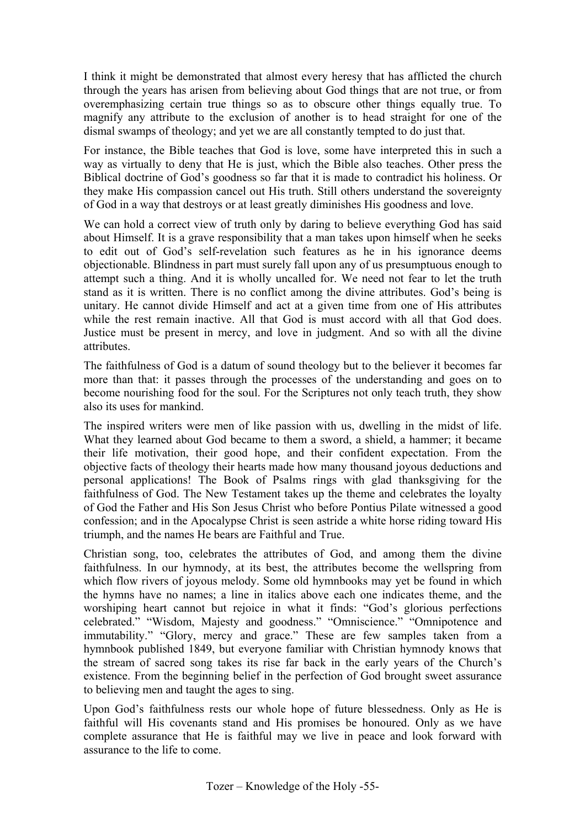I think it might be demonstrated that almost every heresy that has afflicted the church through the years has arisen from believing about God things that are not true, or from overemphasizing certain true things so as to obscure other things equally true. To magnify any attribute to the exclusion of another is to head straight for one of the dismal swamps of theology; and yet we are all constantly tempted to do just that.

For instance, the Bible teaches that God is love, some have interpreted this in such a way as virtually to deny that He is just, which the Bible also teaches. Other press the Biblical doctrine of God's goodness so far that it is made to contradict his holiness. Or they make His compassion cancel out His truth. Still others understand the sovereignty of God in a way that destroys or at least greatly diminishes His goodness and love.

We can hold a correct view of truth only by daring to believe everything God has said about Himself. It is a grave responsibility that a man takes upon himself when he seeks to edit out of God's self-revelation such features as he in his ignorance deems objectionable. Blindness in part must surely fall upon any of us presumptuous enough to attempt such a thing. And it is wholly uncalled for. We need not fear to let the truth stand as it is written. There is no conflict among the divine attributes. God's being is unitary. He cannot divide Himself and act at a given time from one of His attributes while the rest remain inactive. All that God is must accord with all that God does. Justice must be present in mercy, and love in judgment. And so with all the divine attributes.

The faithfulness of God is a datum of sound theology but to the believer it becomes far more than that: it passes through the processes of the understanding and goes on to become nourishing food for the soul. For the Scriptures not only teach truth, they show also its uses for mankind.

The inspired writers were men of like passion with us, dwelling in the midst of life. What they learned about God became to them a sword, a shield, a hammer; it became their life motivation, their good hope, and their confident expectation. From the objective facts of theology their hearts made how many thousand joyous deductions and personal applications! The Book of Psalms rings with glad thanksgiving for the faithfulness of God. The New Testament takes up the theme and celebrates the loyalty of God the Father and His Son Jesus Christ who before Pontius Pilate witnessed a good confession; and in the Apocalypse Christ is seen astride a white horse riding toward His triumph, and the names He bears are Faithful and True.

Christian song, too, celebrates the attributes of God, and among them the divine faithfulness. In our hymnody, at its best, the attributes become the wellspring from which flow rivers of joyous melody. Some old hymnbooks may yet be found in which the hymns have no names; a line in italics above each one indicates theme, and the worshiping heart cannot but rejoice in what it finds: "God's glorious perfections celebrated." "Wisdom, Majesty and goodness." "Omniscience." "Omnipotence and immutability." "Glory, mercy and grace." These are few samples taken from a hymnbook published 1849, but everyone familiar with Christian hymnody knows that the stream of sacred song takes its rise far back in the early years of the Church's existence. From the beginning belief in the perfection of God brought sweet assurance to believing men and taught the ages to sing.

Upon God's faithfulness rests our whole hope of future blessedness. Only as He is faithful will His covenants stand and His promises be honoured. Only as we have complete assurance that He is faithful may we live in peace and look forward with assurance to the life to come.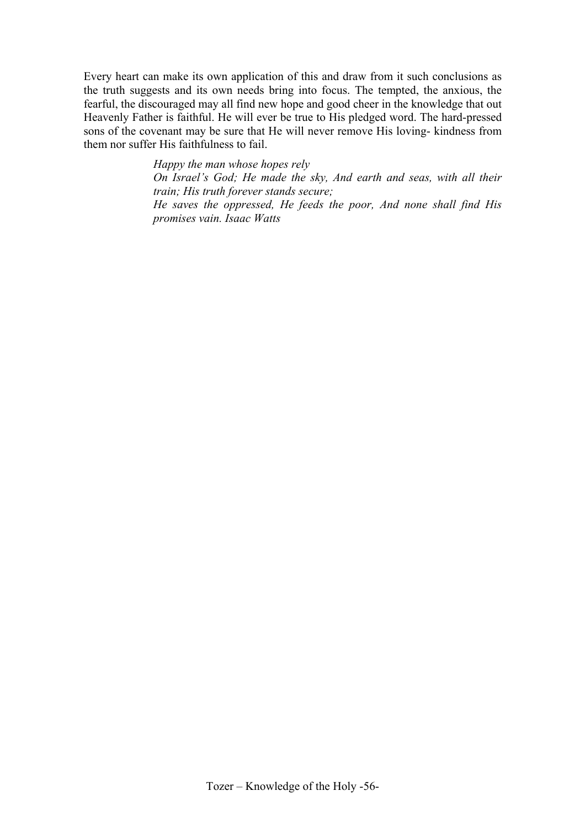Every heart can make its own application of this and draw from it such conclusions as the truth suggests and its own needs bring into focus. The tempted, the anxious, the fearful, the discouraged may all find new hope and good cheer in the knowledge that out Heavenly Father is faithful. He will ever be true to His pledged word. The hard-pressed sons of the covenant may be sure that He will never remove His loving- kindness from them nor suffer His faithfulness to fail.

> *Happy the man whose hopes rely On Israel's God; He made the sky, And earth and seas, with all their train; His truth forever stands secure; He saves the oppressed, He feeds the poor, And none shall find His promises vain. Isaac Watts*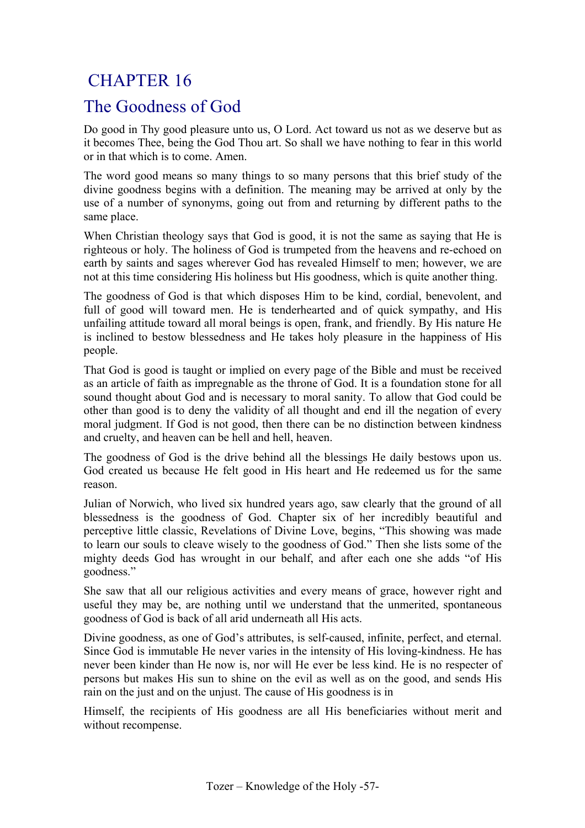#### The Goodness of God

Do good in Thy good pleasure unto us, O Lord. Act toward us not as we deserve but as it becomes Thee, being the God Thou art. So shall we have nothing to fear in this world or in that which is to come. Amen.

The word good means so many things to so many persons that this brief study of the divine goodness begins with a definition. The meaning may be arrived at only by the use of a number of synonyms, going out from and returning by different paths to the same place.

When Christian theology says that God is good, it is not the same as saying that He is righteous or holy. The holiness of God is trumpeted from the heavens and re-echoed on earth by saints and sages wherever God has revealed Himself to men; however, we are not at this time considering His holiness but His goodness, which is quite another thing.

The goodness of God is that which disposes Him to be kind, cordial, benevolent, and full of good will toward men. He is tenderhearted and of quick sympathy, and His unfailing attitude toward all moral beings is open, frank, and friendly. By His nature He is inclined to bestow blessedness and He takes holy pleasure in the happiness of His people.

That God is good is taught or implied on every page of the Bible and must be received as an article of faith as impregnable as the throne of God. It is a foundation stone for all sound thought about God and is necessary to moral sanity. To allow that God could be other than good is to deny the validity of all thought and end ill the negation of every moral judgment. If God is not good, then there can be no distinction between kindness and cruelty, and heaven can be hell and hell, heaven.

The goodness of God is the drive behind all the blessings He daily bestows upon us. God created us because He felt good in His heart and He redeemed us for the same reason.

Julian of Norwich, who lived six hundred years ago, saw clearly that the ground of all blessedness is the goodness of God. Chapter six of her incredibly beautiful and perceptive little classic, Revelations of Divine Love, begins, "This showing was made to learn our souls to cleave wisely to the goodness of God." Then she lists some of the mighty deeds God has wrought in our behalf, and after each one she adds "of His goodness."

She saw that all our religious activities and every means of grace, however right and useful they may be, are nothing until we understand that the unmerited, spontaneous goodness of God is back of all arid underneath all His acts.

Divine goodness, as one of God's attributes, is self-caused, infinite, perfect, and eternal. Since God is immutable He never varies in the intensity of His loving-kindness. He has never been kinder than He now is, nor will He ever be less kind. He is no respecter of persons but makes His sun to shine on the evil as well as on the good, and sends His rain on the just and on the unjust. The cause of His goodness is in

Himself, the recipients of His goodness are all His beneficiaries without merit and without recompense.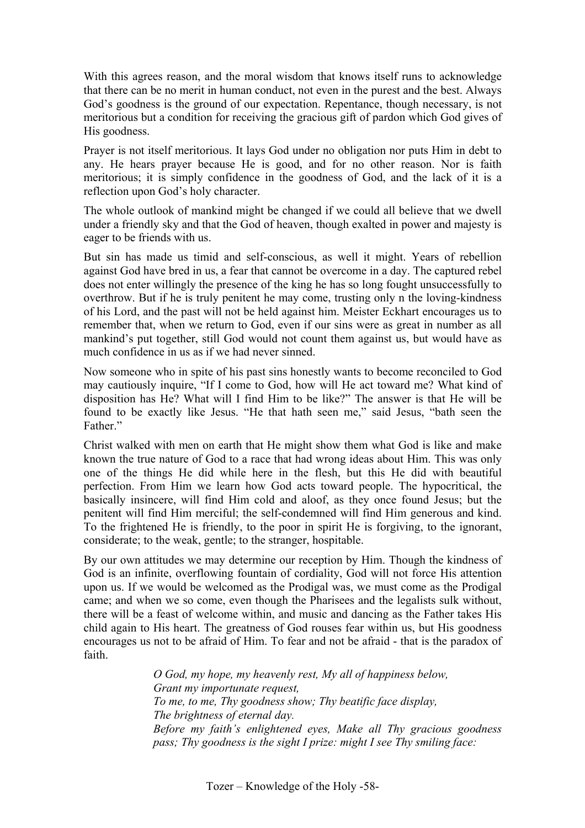With this agrees reason, and the moral wisdom that knows itself runs to acknowledge that there can be no merit in human conduct, not even in the purest and the best. Always God's goodness is the ground of our expectation. Repentance, though necessary, is not meritorious but a condition for receiving the gracious gift of pardon which God gives of His goodness.

Prayer is not itself meritorious. It lays God under no obligation nor puts Him in debt to any. He hears prayer because He is good, and for no other reason. Nor is faith meritorious; it is simply confidence in the goodness of God, and the lack of it is a reflection upon God's holy character.

The whole outlook of mankind might be changed if we could all believe that we dwell under a friendly sky and that the God of heaven, though exalted in power and majesty is eager to be friends with us.

But sin has made us timid and self-conscious, as well it might. Years of rebellion against God have bred in us, a fear that cannot be overcome in a day. The captured rebel does not enter willingly the presence of the king he has so long fought unsuccessfully to overthrow. But if he is truly penitent he may come, trusting only n the loving-kindness of his Lord, and the past will not be held against him. Meister Eckhart encourages us to remember that, when we return to God, even if our sins were as great in number as all mankind's put together, still God would not count them against us, but would have as much confidence in us as if we had never sinned.

Now someone who in spite of his past sins honestly wants to become reconciled to God may cautiously inquire, "If I come to God, how will He act toward me? What kind of disposition has He? What will I find Him to be like?" The answer is that He will be found to be exactly like Jesus. "He that hath seen me," said Jesus, "bath seen the Father."

Christ walked with men on earth that He might show them what God is like and make known the true nature of God to a race that had wrong ideas about Him. This was only one of the things He did while here in the flesh, but this He did with beautiful perfection. From Him we learn how God acts toward people. The hypocritical, the basically insincere, will find Him cold and aloof, as they once found Jesus; but the penitent will find Him merciful; the self-condemned will find Him generous and kind. To the frightened He is friendly, to the poor in spirit He is forgiving, to the ignorant, considerate; to the weak, gentle; to the stranger, hospitable.

By our own attitudes we may determine our reception by Him. Though the kindness of God is an infinite, overflowing fountain of cordiality, God will not force His attention upon us. If we would be welcomed as the Prodigal was, we must come as the Prodigal came; and when we so come, even though the Pharisees and the legalists sulk without, there will be a feast of welcome within, and music and dancing as the Father takes His child again to His heart. The greatness of God rouses fear within us, but His goodness encourages us not to be afraid of Him. To fear and not be afraid - that is the paradox of faith.

> *O God, my hope, my heavenly rest, My all of happiness below, Grant my importunate request, To me, to me, Thy goodness show; Thy beatific face display, The brightness of eternal day. Before my faith's enlightened eyes, Make all Thy gracious goodness pass; Thy goodness is the sight I prize: might I see Thy smiling face:*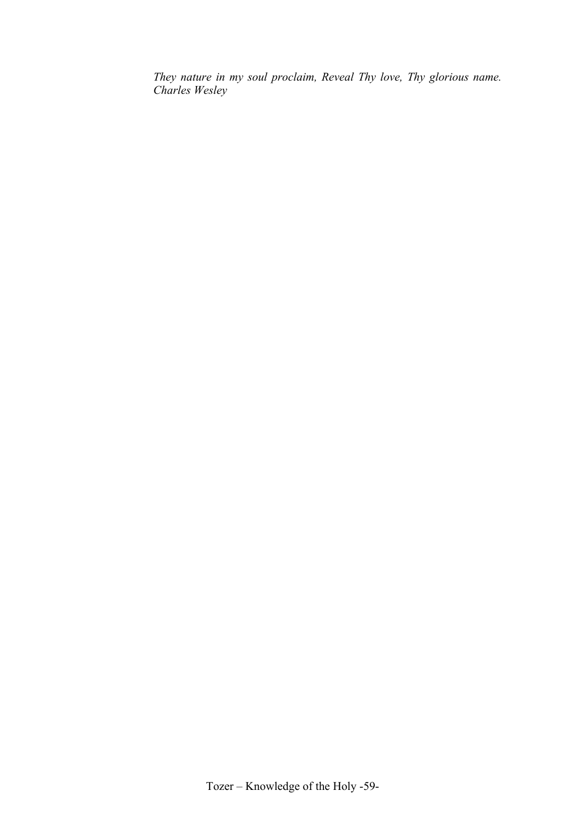*They nature in my soul proclaim, Reveal Thy love, Thy glorious name. Charles Wesley*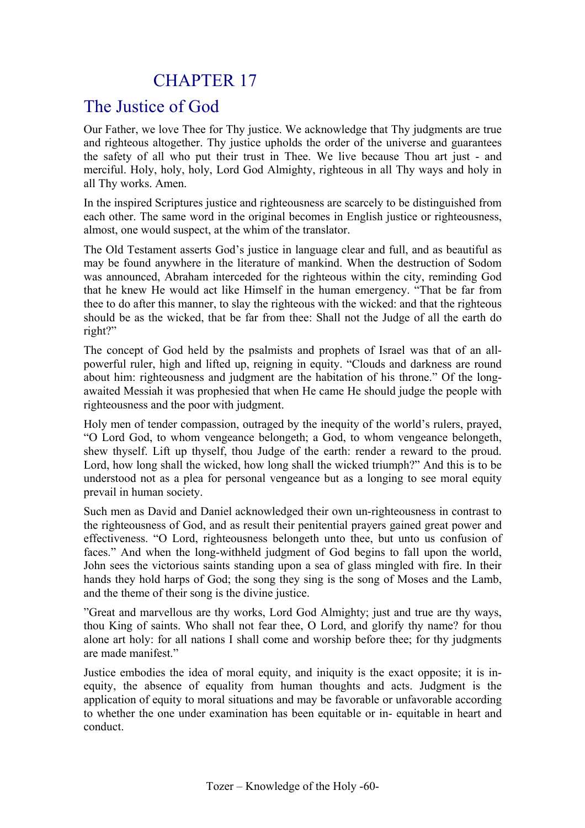#### The Justice of God

Our Father, we love Thee for Thy justice. We acknowledge that Thy judgments are true and righteous altogether. Thy justice upholds the order of the universe and guarantees the safety of all who put their trust in Thee. We live because Thou art just - and merciful. Holy, holy, holy, Lord God Almighty, righteous in all Thy ways and holy in all Thy works. Amen.

In the inspired Scriptures justice and righteousness are scarcely to be distinguished from each other. The same word in the original becomes in English justice or righteousness, almost, one would suspect, at the whim of the translator.

The Old Testament asserts God's justice in language clear and full, and as beautiful as may be found anywhere in the literature of mankind. When the destruction of Sodom was announced, Abraham interceded for the righteous within the city, reminding God that he knew He would act like Himself in the human emergency. "That be far from thee to do after this manner, to slay the righteous with the wicked: and that the righteous should be as the wicked, that be far from thee: Shall not the Judge of all the earth do right?"

The concept of God held by the psalmists and prophets of Israel was that of an allpowerful ruler, high and lifted up, reigning in equity. "Clouds and darkness are round about him: righteousness and judgment are the habitation of his throne." Of the longawaited Messiah it was prophesied that when He came He should judge the people with righteousness and the poor with judgment.

Holy men of tender compassion, outraged by the inequity of the world's rulers, prayed, "O Lord God, to whom vengeance belongeth; a God, to whom vengeance belongeth, shew thyself. Lift up thyself, thou Judge of the earth: render a reward to the proud. Lord, how long shall the wicked, how long shall the wicked triumph?" And this is to be understood not as a plea for personal vengeance but as a longing to see moral equity prevail in human society.

Such men as David and Daniel acknowledged their own un-righteousness in contrast to the righteousness of God, and as result their penitential prayers gained great power and effectiveness. "O Lord, righteousness belongeth unto thee, but unto us confusion of faces." And when the long-withheld judgment of God begins to fall upon the world, John sees the victorious saints standing upon a sea of glass mingled with fire. In their hands they hold harps of God; the song they sing is the song of Moses and the Lamb, and the theme of their song is the divine justice.

"Great and marvellous are thy works, Lord God Almighty; just and true are thy ways, thou King of saints. Who shall not fear thee, O Lord, and glorify thy name? for thou alone art holy: for all nations I shall come and worship before thee; for thy judgments are made manifest."

Justice embodies the idea of moral equity, and iniquity is the exact opposite; it is inequity, the absence of equality from human thoughts and acts. Judgment is the application of equity to moral situations and may be favorable or unfavorable according to whether the one under examination has been equitable or in- equitable in heart and conduct.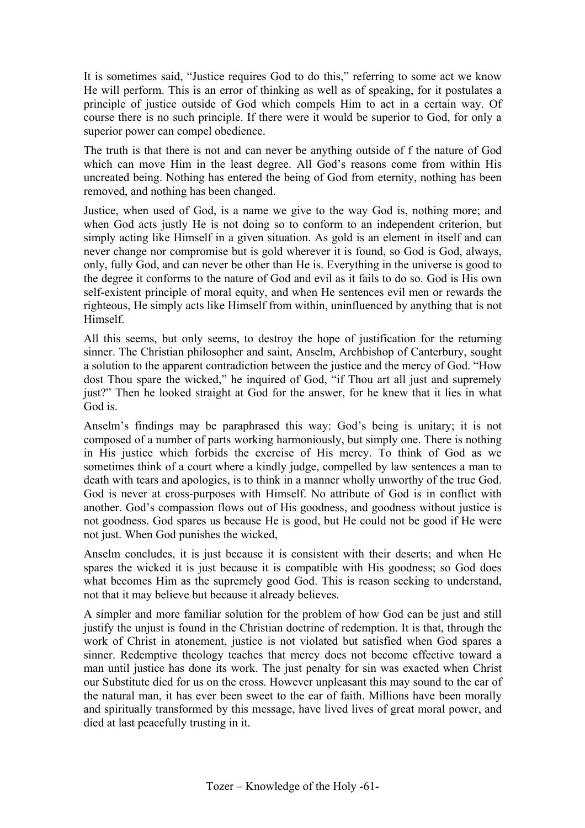It is sometimes said, "Justice requires God to do this," referring to some act we know He will perform. This is an error of thinking as well as of speaking, for it postulates a principle of justice outside of God which compels Him to act in a certain way. Of course there is no such principle. If there were it would be superior to God, for only a superior power can compel obedience.

The truth is that there is not and can never be anything outside of f the nature of God which can move Him in the least degree. All God's reasons come from within His uncreated being. Nothing has entered the being of God from eternity, nothing has been removed, and nothing has been changed.

Justice, when used of God, is a name we give to the way God is, nothing more; and when God acts justly He is not doing so to conform to an independent criterion, but simply acting like Himself in a given situation. As gold is an element in itself and can never change nor compromise but is gold wherever it is found, so God is God, always, only, fully God, and can never be other than He is. Everything in the universe is good to the degree it conforms to the nature of God and evil as it fails to do so. God is His own self-existent principle of moral equity, and when He sentences evil men or rewards the righteous, He simply acts like Himself from within, uninfluenced by anything that is not Himself.

All this seems, but only seems, to destroy the hope of justification for the returning sinner. The Christian philosopher and saint, Anselm, Archbishop of Canterbury, sought a solution to the apparent contradiction between the justice and the mercy of God. "How dost Thou spare the wicked," he inquired of God, "if Thou art all just and supremely just?" Then he looked straight at God for the answer, for he knew that it lies in what God is.

Anselm's findings may be paraphrased this way: God's being is unitary; it is not composed of a number of parts working harmoniously, but simply one. There is nothing in His justice which forbids the exercise of His mercy. To think of God as we sometimes think of a court where a kindly judge, compelled by law sentences a man to death with tears and apologies, is to think in a manner wholly unworthy of the true God. God is never at cross-purposes with Himself. No attribute of God is in conflict with another. God's compassion flows out of His goodness, and goodness without justice is not goodness. God spares us because He is good, but He could not be good if He were not just. When God punishes the wicked,

Anselm concludes, it is just because it is consistent with their deserts; and when He spares the wicked it is just because it is compatible with His goodness; so God does what becomes Him as the supremely good God. This is reason seeking to understand, not that it may believe but because it already believes.

A simpler and more familiar solution for the problem of how God can be just and still justify the unjust is found in the Christian doctrine of redemption. It is that, through the work of Christ in atonement, justice is not violated but satisfied when God spares a sinner. Redemptive theology teaches that mercy does not become effective toward a man until justice has done its work. The just penalty for sin was exacted when Christ our Substitute died for us on the cross. However unpleasant this may sound to the ear of the natural man, it has ever been sweet to the ear of faith. Millions have been morally and spiritually transformed by this message, have lived lives of great moral power, and died at last peacefully trusting in it.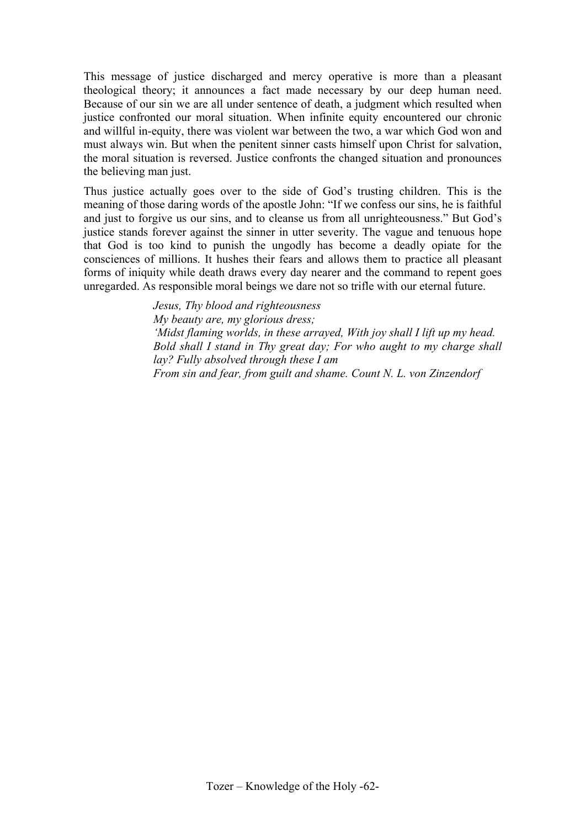This message of justice discharged and mercy operative is more than a pleasant theological theory; it announces a fact made necessary by our deep human need. Because of our sin we are all under sentence of death, a judgment which resulted when justice confronted our moral situation. When infinite equity encountered our chronic and willful in-equity, there was violent war between the two, a war which God won and must always win. But when the penitent sinner casts himself upon Christ for salvation, the moral situation is reversed. Justice confronts the changed situation and pronounces the believing man just.

Thus justice actually goes over to the side of God's trusting children. This is the meaning of those daring words of the apostle John: "If we confess our sins, he is faithful and just to forgive us our sins, and to cleanse us from all unrighteousness." But God's justice stands forever against the sinner in utter severity. The vague and tenuous hope that God is too kind to punish the ungodly has become a deadly opiate for the consciences of millions. It hushes their fears and allows them to practice all pleasant forms of iniquity while death draws every day nearer and the command to repent goes unregarded. As responsible moral beings we dare not so trifle with our eternal future.

> *Jesus, Thy blood and righteousness My beauty are, my glorious dress; 'Midst flaming worlds, in these arrayed, With joy shall I lift up my head. Bold shall I stand in Thy great day; For who aught to my charge shall lay? Fully absolved through these I am From sin and fear, from guilt and shame. Count N. L. von Zinzendorf*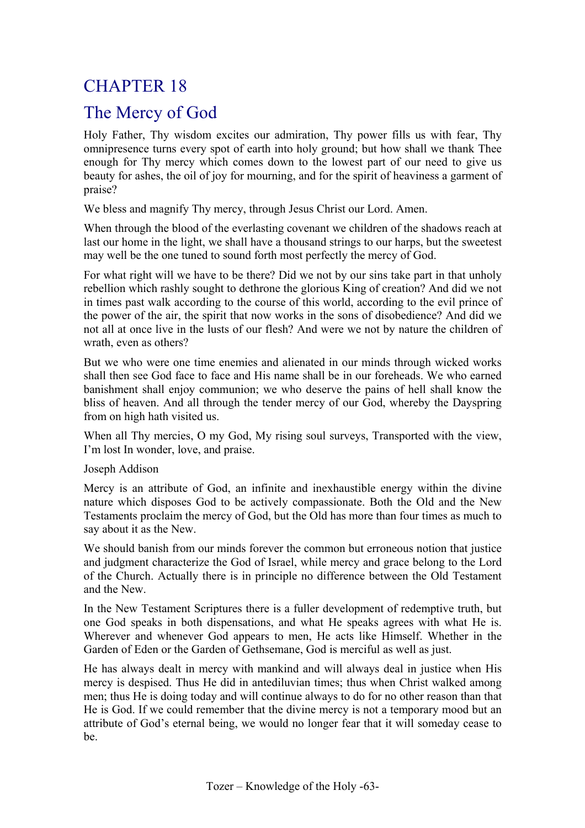### The Mercy of God

Holy Father, Thy wisdom excites our admiration, Thy power fills us with fear, Thy omnipresence turns every spot of earth into holy ground; but how shall we thank Thee enough for Thy mercy which comes down to the lowest part of our need to give us beauty for ashes, the oil of joy for mourning, and for the spirit of heaviness a garment of praise?

We bless and magnify Thy mercy, through Jesus Christ our Lord. Amen.

When through the blood of the everlasting covenant we children of the shadows reach at last our home in the light, we shall have a thousand strings to our harps, but the sweetest may well be the one tuned to sound forth most perfectly the mercy of God.

For what right will we have to be there? Did we not by our sins take part in that unholy rebellion which rashly sought to dethrone the glorious King of creation? And did we not in times past walk according to the course of this world, according to the evil prince of the power of the air, the spirit that now works in the sons of disobedience? And did we not all at once live in the lusts of our flesh? And were we not by nature the children of wrath, even as others?

But we who were one time enemies and alienated in our minds through wicked works shall then see God face to face and His name shall be in our foreheads. We who earned banishment shall enjoy communion; we who deserve the pains of hell shall know the bliss of heaven. And all through the tender mercy of our God, whereby the Dayspring from on high hath visited us.

When all Thy mercies, O my God, My rising soul surveys, Transported with the view, I'm lost In wonder, love, and praise.

Joseph Addison

Mercy is an attribute of God, an infinite and inexhaustible energy within the divine nature which disposes God to be actively compassionate. Both the Old and the New Testaments proclaim the mercy of God, but the Old has more than four times as much to say about it as the New.

We should banish from our minds forever the common but erroneous notion that justice and judgment characterize the God of Israel, while mercy and grace belong to the Lord of the Church. Actually there is in principle no difference between the Old Testament and the New.

In the New Testament Scriptures there is a fuller development of redemptive truth, but one God speaks in both dispensations, and what He speaks agrees with what He is. Wherever and whenever God appears to men, He acts like Himself. Whether in the Garden of Eden or the Garden of Gethsemane, God is merciful as well as just.

He has always dealt in mercy with mankind and will always deal in justice when His mercy is despised. Thus He did in antediluvian times; thus when Christ walked among men; thus He is doing today and will continue always to do for no other reason than that He is God. If we could remember that the divine mercy is not a temporary mood but an attribute of God's eternal being, we would no longer fear that it will someday cease to be.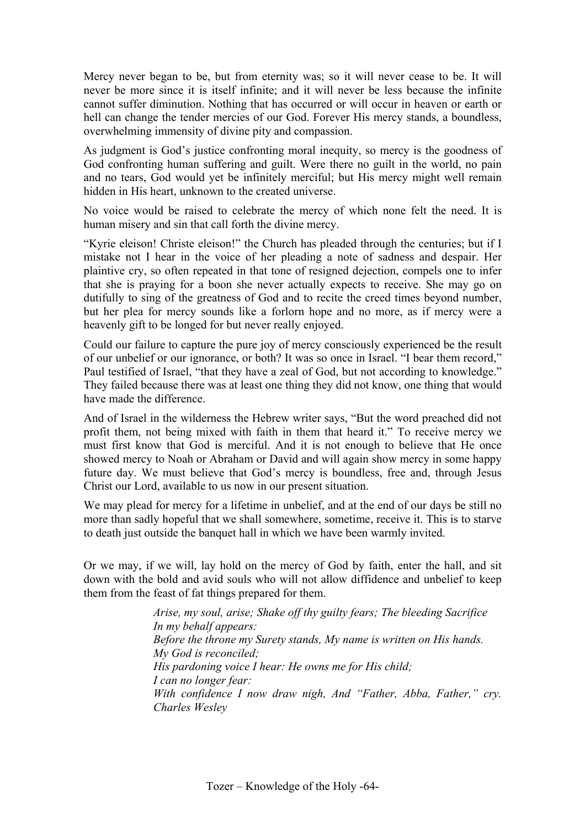Mercy never began to be, but from eternity was; so it will never cease to be. It will never be more since it is itself infinite; and it will never be less because the infinite cannot suffer diminution. Nothing that has occurred or will occur in heaven or earth or hell can change the tender mercies of our God. Forever His mercy stands, a boundless, overwhelming immensity of divine pity and compassion.

As judgment is God's justice confronting moral inequity, so mercy is the goodness of God confronting human suffering and guilt. Were there no guilt in the world, no pain and no tears, God would yet be infinitely merciful; but His mercy might well remain hidden in His heart, unknown to the created universe.

No voice would be raised to celebrate the mercy of which none felt the need. It is human misery and sin that call forth the divine mercy.

"Kyrie eleison! Christe eleison!" the Church has pleaded through the centuries; but if I mistake not I hear in the voice of her pleading a note of sadness and despair. Her plaintive cry, so often repeated in that tone of resigned dejection, compels one to infer that she is praying for a boon she never actually expects to receive. She may go on dutifully to sing of the greatness of God and to recite the creed times beyond number, but her plea for mercy sounds like a forlorn hope and no more, as if mercy were a heavenly gift to be longed for but never really enjoyed.

Could our failure to capture the pure joy of mercy consciously experienced be the result of our unbelief or our ignorance, or both? It was so once in Israel. "I bear them record," Paul testified of Israel, "that they have a zeal of God, but not according to knowledge." They failed because there was at least one thing they did not know, one thing that would have made the difference.

And of Israel in the wilderness the Hebrew writer says, "But the word preached did not profit them, not being mixed with faith in them that heard it." To receive mercy we must first know that God is merciful. And it is not enough to believe that He once showed mercy to Noah or Abraham or David and will again show mercy in some happy future day. We must believe that God's mercy is boundless, free and, through Jesus Christ our Lord, available to us now in our present situation.

We may plead for mercy for a lifetime in unbelief, and at the end of our days be still no more than sadly hopeful that we shall somewhere, sometime, receive it. This is to starve to death just outside the banquet hall in which we have been warmly invited.

Or we may, if we will, lay hold on the mercy of God by faith, enter the hall, and sit down with the bold and avid souls who will not allow diffidence and unbelief to keep them from the feast of fat things prepared for them.

> *Arise, my soul, arise; Shake off thy guilty fears; The bleeding Sacrifice In my behalf appears: Before the throne my Surety stands, My name is written on His hands. My God is reconciled; His pardoning voice I hear: He owns me for His child; I can no longer fear: With confidence I now draw nigh, And "Father, Abba, Father," cry. Charles Wesley*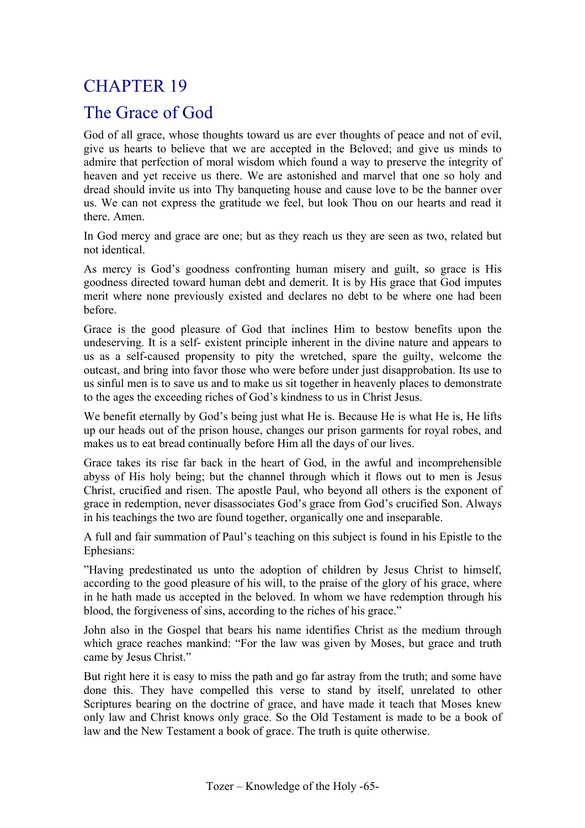### The Grace of God

God of all grace, whose thoughts toward us are ever thoughts of peace and not of evil, give us hearts to believe that we are accepted in the Beloved; and give us minds to admire that perfection of moral wisdom which found a way to preserve the integrity of heaven and yet receive us there. We are astonished and marvel that one so holy and dread should invite us into Thy banqueting house and cause love to be the banner over us. We can not express the gratitude we feel, but look Thou on our hearts and read it there. Amen.

In God mercy and grace are one; but as they reach us they are seen as two, related but not identical.

As mercy is God's goodness confronting human misery and guilt, so grace is His goodness directed toward human debt and demerit. It is by His grace that God imputes merit where none previously existed and declares no debt to be where one had been before.

Grace is the good pleasure of God that inclines Him to bestow benefits upon the undeserving. It is a self- existent principle inherent in the divine nature and appears to us as a self-caused propensity to pity the wretched, spare the guilty, welcome the outcast, and bring into favor those who were before under just disapprobation. Its use to us sinful men is to save us and to make us sit together in heavenly places to demonstrate to the ages the exceeding riches of God's kindness to us in Christ Jesus.

We benefit eternally by God's being just what He is. Because He is what He is, He lifts up our heads out of the prison house, changes our prison garments for royal robes, and makes us to eat bread continually before Him all the days of our lives.

Grace takes its rise far back in the heart of God, in the awful and incomprehensible abyss of His holy being; but the channel through which it flows out to men is Jesus Christ, crucified and risen. The apostle Paul, who beyond all others is the exponent of grace in redemption, never disassociates God's grace from God's crucified Son. Always in his teachings the two are found together, organically one and inseparable.

A full and fair summation of Paul's teaching on this subject is found in his Epistle to the Ephesians:

"Having predestinated us unto the adoption of children by Jesus Christ to himself, according to the good pleasure of his will, to the praise of the glory of his grace, where in he hath made us accepted in the beloved. In whom we have redemption through his blood, the forgiveness of sins, according to the riches of his grace."

John also in the Gospel that bears his name identifies Christ as the medium through which grace reaches mankind: "For the law was given by Moses, but grace and truth came by Jesus Christ."

But right here it is easy to miss the path and go far astray from the truth; and some have done this. They have compelled this verse to stand by itself, unrelated to other Scriptures bearing on the doctrine of grace, and have made it teach that Moses knew only law and Christ knows only grace. So the Old Testament is made to be a book of law and the New Testament a book of grace. The truth is quite otherwise.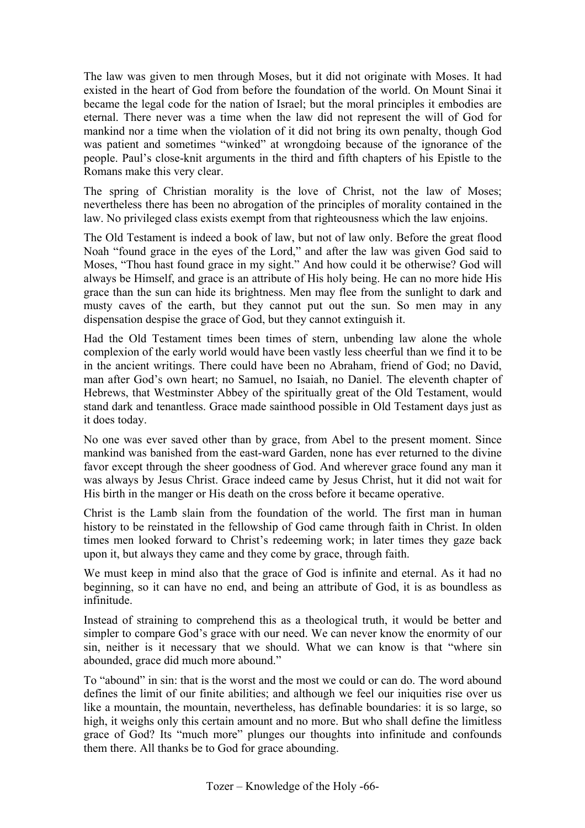The law was given to men through Moses, but it did not originate with Moses. It had existed in the heart of God from before the foundation of the world. On Mount Sinai it became the legal code for the nation of Israel; but the moral principles it embodies are eternal. There never was a time when the law did not represent the will of God for mankind nor a time when the violation of it did not bring its own penalty, though God was patient and sometimes "winked" at wrongdoing because of the ignorance of the people. Paul's close-knit arguments in the third and fifth chapters of his Epistle to the Romans make this very clear.

The spring of Christian morality is the love of Christ, not the law of Moses; nevertheless there has been no abrogation of the principles of morality contained in the law. No privileged class exists exempt from that righteousness which the law enjoins.

The Old Testament is indeed a book of law, but not of law only. Before the great flood Noah "found grace in the eyes of the Lord," and after the law was given God said to Moses, "Thou hast found grace in my sight." And how could it be otherwise? God will always be Himself, and grace is an attribute of His holy being. He can no more hide His grace than the sun can hide its brightness. Men may flee from the sunlight to dark and musty caves of the earth, but they cannot put out the sun. So men may in any dispensation despise the grace of God, but they cannot extinguish it.

Had the Old Testament times been times of stern, unbending law alone the whole complexion of the early world would have been vastly less cheerful than we find it to be in the ancient writings. There could have been no Abraham, friend of God; no David, man after God's own heart; no Samuel, no Isaiah, no Daniel. The eleventh chapter of Hebrews, that Westminster Abbey of the spiritually great of the Old Testament, would stand dark and tenantless. Grace made sainthood possible in Old Testament days just as it does today.

No one was ever saved other than by grace, from Abel to the present moment. Since mankind was banished from the east-ward Garden, none has ever returned to the divine favor except through the sheer goodness of God. And wherever grace found any man it was always by Jesus Christ. Grace indeed came by Jesus Christ, hut it did not wait for His birth in the manger or His death on the cross before it became operative.

Christ is the Lamb slain from the foundation of the world. The first man in human history to be reinstated in the fellowship of God came through faith in Christ. In olden times men looked forward to Christ's redeeming work; in later times they gaze back upon it, but always they came and they come by grace, through faith.

We must keep in mind also that the grace of God is infinite and eternal. As it had no beginning, so it can have no end, and being an attribute of God, it is as boundless as infinitude.

Instead of straining to comprehend this as a theological truth, it would be better and simpler to compare God's grace with our need. We can never know the enormity of our sin, neither is it necessary that we should. What we can know is that "where sin abounded, grace did much more abound."

To "abound" in sin: that is the worst and the most we could or can do. The word abound defines the limit of our finite abilities; and although we feel our iniquities rise over us like a mountain, the mountain, nevertheless, has definable boundaries: it is so large, so high, it weighs only this certain amount and no more. But who shall define the limitless grace of God? Its "much more" plunges our thoughts into infinitude and confounds them there. All thanks be to God for grace abounding.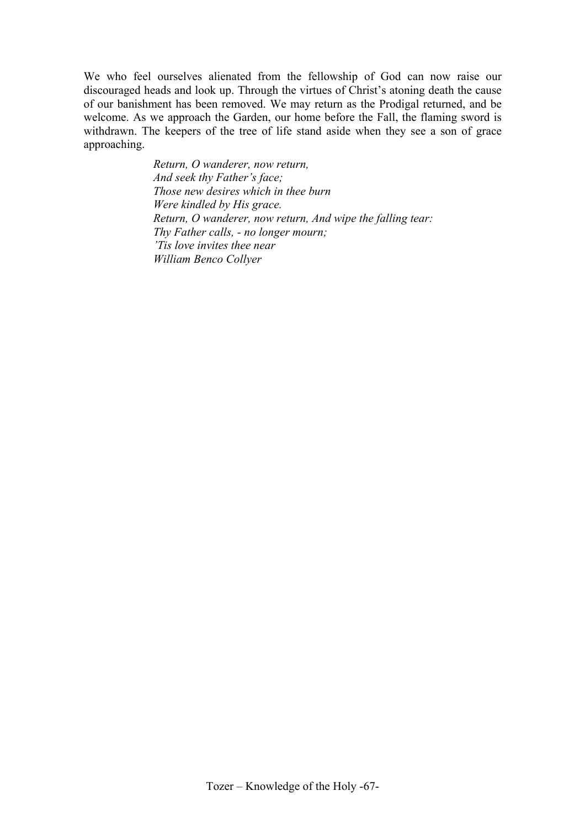We who feel ourselves alienated from the fellowship of God can now raise our discouraged heads and look up. Through the virtues of Christ's atoning death the cause of our banishment has been removed. We may return as the Prodigal returned, and be welcome. As we approach the Garden, our home before the Fall, the flaming sword is withdrawn. The keepers of the tree of life stand aside when they see a son of grace approaching.

> *Return, O wanderer, now return, And seek thy Father's face; Those new desires which in thee burn Were kindled by His grace. Return, O wanderer, now return, And wipe the falling tear: Thy Father calls, - no longer mourn; 'Tis love invites thee near William Benco Collyer*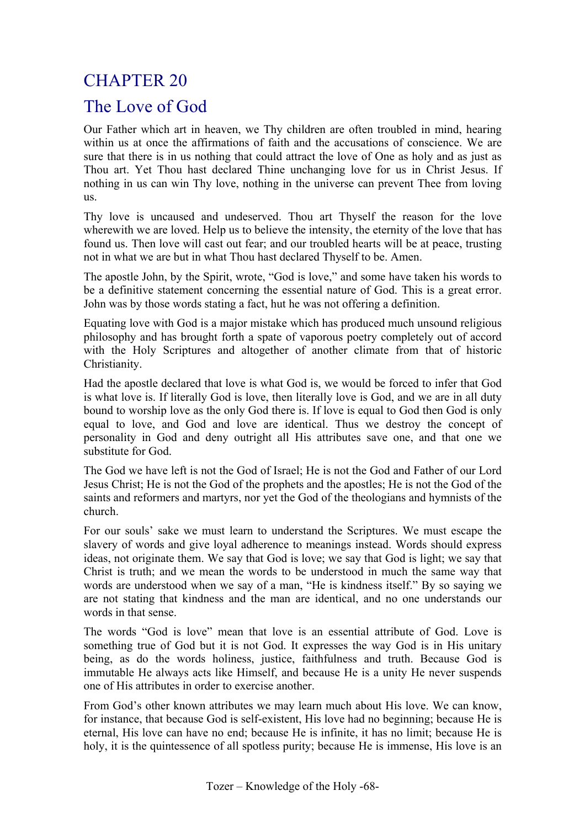#### The Love of God

Our Father which art in heaven, we Thy children are often troubled in mind, hearing within us at once the affirmations of faith and the accusations of conscience. We are sure that there is in us nothing that could attract the love of One as holy and as just as Thou art. Yet Thou hast declared Thine unchanging love for us in Christ Jesus. If nothing in us can win Thy love, nothing in the universe can prevent Thee from loving us.

Thy love is uncaused and undeserved. Thou art Thyself the reason for the love wherewith we are loved. Help us to believe the intensity, the eternity of the love that has found us. Then love will cast out fear; and our troubled hearts will be at peace, trusting not in what we are but in what Thou hast declared Thyself to be. Amen.

The apostle John, by the Spirit, wrote, "God is love," and some have taken his words to be a definitive statement concerning the essential nature of God. This is a great error. John was by those words stating a fact, hut he was not offering a definition.

Equating love with God is a major mistake which has produced much unsound religious philosophy and has brought forth a spate of vaporous poetry completely out of accord with the Holy Scriptures and altogether of another climate from that of historic Christianity.

Had the apostle declared that love is what God is, we would be forced to infer that God is what love is. If literally God is love, then literally love is God, and we are in all duty bound to worship love as the only God there is. If love is equal to God then God is only equal to love, and God and love are identical. Thus we destroy the concept of personality in God and deny outright all His attributes save one, and that one we substitute for God.

The God we have left is not the God of Israel; He is not the God and Father of our Lord Jesus Christ; He is not the God of the prophets and the apostles; He is not the God of the saints and reformers and martyrs, nor yet the God of the theologians and hymnists of the church.

For our souls' sake we must learn to understand the Scriptures. We must escape the slavery of words and give loyal adherence to meanings instead. Words should express ideas, not originate them. We say that God is love; we say that God is light; we say that Christ is truth; and we mean the words to be understood in much the same way that words are understood when we say of a man, "He is kindness itself." By so saying we are not stating that kindness and the man are identical, and no one understands our words in that sense.

The words "God is love" mean that love is an essential attribute of God. Love is something true of God but it is not God. It expresses the way God is in His unitary being, as do the words holiness, justice, faithfulness and truth. Because God is immutable He always acts like Himself, and because He is a unity He never suspends one of His attributes in order to exercise another.

From God's other known attributes we may learn much about His love. We can know, for instance, that because God is self-existent, His love had no beginning; because He is eternal, His love can have no end; because He is infinite, it has no limit; because He is holy, it is the quintessence of all spotless purity; because He is immense, His love is an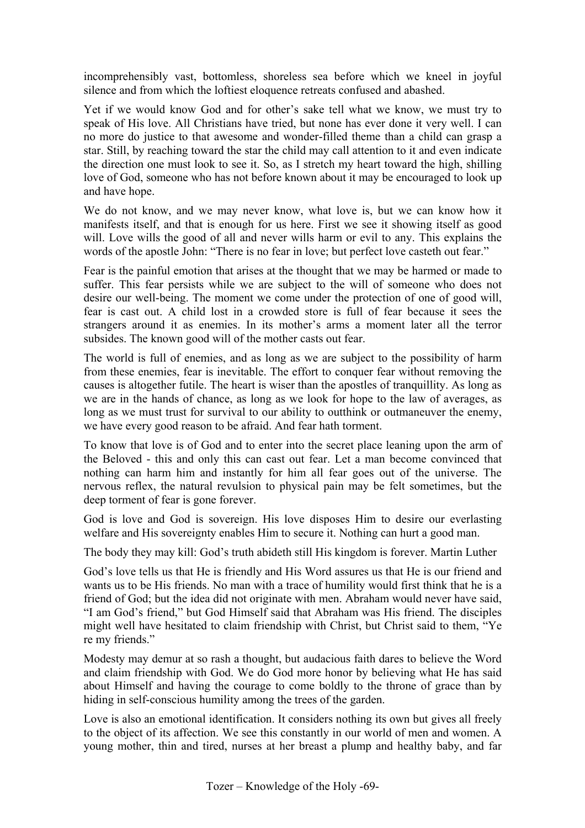incomprehensibly vast, bottomless, shoreless sea before which we kneel in joyful silence and from which the loftiest eloquence retreats confused and abashed.

Yet if we would know God and for other's sake tell what we know, we must try to speak of His love. All Christians have tried, but none has ever done it very well. I can no more do justice to that awesome and wonder-filled theme than a child can grasp a star. Still, by reaching toward the star the child may call attention to it and even indicate the direction one must look to see it. So, as I stretch my heart toward the high, shilling love of God, someone who has not before known about it may be encouraged to look up and have hope.

We do not know, and we may never know, what love is, but we can know how it manifests itself, and that is enough for us here. First we see it showing itself as good will. Love wills the good of all and never wills harm or evil to any. This explains the words of the apostle John: "There is no fear in love; but perfect love casteth out fear."

Fear is the painful emotion that arises at the thought that we may be harmed or made to suffer. This fear persists while we are subject to the will of someone who does not desire our well-being. The moment we come under the protection of one of good will, fear is cast out. A child lost in a crowded store is full of fear because it sees the strangers around it as enemies. In its mother's arms a moment later all the terror subsides. The known good will of the mother casts out fear.

The world is full of enemies, and as long as we are subject to the possibility of harm from these enemies, fear is inevitable. The effort to conquer fear without removing the causes is altogether futile. The heart is wiser than the apostles of tranquillity. As long as we are in the hands of chance, as long as we look for hope to the law of averages, as long as we must trust for survival to our ability to outthink or outmaneuver the enemy, we have every good reason to be afraid. And fear hath torment.

To know that love is of God and to enter into the secret place leaning upon the arm of the Beloved - this and only this can cast out fear. Let a man become convinced that nothing can harm him and instantly for him all fear goes out of the universe. The nervous reflex, the natural revulsion to physical pain may be felt sometimes, but the deep torment of fear is gone forever.

God is love and God is sovereign. His love disposes Him to desire our everlasting welfare and His sovereignty enables Him to secure it. Nothing can hurt a good man.

The body they may kill: God's truth abideth still His kingdom is forever. Martin Luther

God's love tells us that He is friendly and His Word assures us that He is our friend and wants us to be His friends. No man with a trace of humility would first think that he is a friend of God; but the idea did not originate with men. Abraham would never have said, "I am God's friend," but God Himself said that Abraham was His friend. The disciples might well have hesitated to claim friendship with Christ, but Christ said to them, "Ye re my friends."

Modesty may demur at so rash a thought, but audacious faith dares to believe the Word and claim friendship with God. We do God more honor by believing what He has said about Himself and having the courage to come boldly to the throne of grace than by hiding in self-conscious humility among the trees of the garden.

Love is also an emotional identification. It considers nothing its own but gives all freely to the object of its affection. We see this constantly in our world of men and women. A young mother, thin and tired, nurses at her breast a plump and healthy baby, and far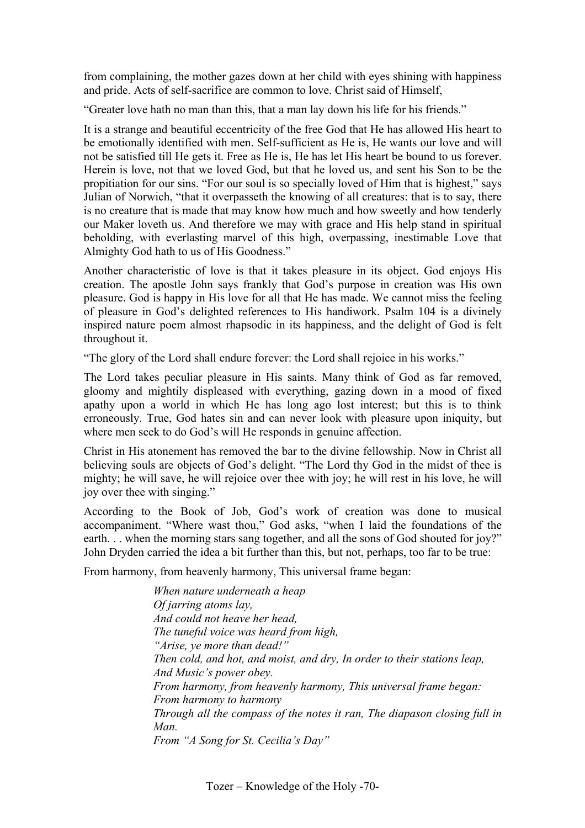from complaining, the mother gazes down at her child with eyes shining with happiness and pride. Acts of self-sacrifice are common to love. Christ said of Himself,

"Greater love hath no man than this, that a man lay down his life for his friends."

It is a strange and beautiful eccentricity of the free God that He has allowed His heart to be emotionally identified with men. Self-sufficient as He is, He wants our love and will not be satisfied till He gets it. Free as He is, He has let His heart be bound to us forever. Herein is love, not that we loved God, but that he loved us, and sent his Son to be the propitiation for our sins. "For our soul is so specially loved of Him that is highest," says Julian of Norwich, "that it overpasseth the knowing of all creatures: that is to say, there is no creature that is made that may know how much and how sweetly and how tenderly our Maker loveth us. And therefore we may with grace and His help stand in spiritual beholding, with everlasting marvel of this high, overpassing, inestimable Love that Almighty God hath to us of His Goodness."

Another characteristic of love is that it takes pleasure in its object. God enjoys His creation. The apostle John says frankly that God's purpose in creation was His own pleasure. God is happy in His love for all that He has made. We cannot miss the feeling of pleasure in God's delighted references to His handiwork. Psalm 104 is a divinely inspired nature poem almost rhapsodic in its happiness, and the delight of God is felt throughout it.

"The glory of the Lord shall endure forever: the Lord shall rejoice in his works."

The Lord takes peculiar pleasure in His saints. Many think of God as far removed, gloomy and mightily displeased with everything, gazing down in a mood of fixed apathy upon a world in which He has long ago lost interest; but this is to think erroneously. True, God hates sin and can never look with pleasure upon iniquity, but where men seek to do God's will He responds in genuine affection.

Christ in His atonement has removed the bar to the divine fellowship. Now in Christ all believing souls are objects of God's delight. "The Lord thy God in the midst of thee is mighty; he will save, he will rejoice over thee with joy; he will rest in his love, he will joy over thee with singing."

According to the Book of Job, God's work of creation was done to musical accompaniment. "Where wast thou," God asks, "when I laid the foundations of the earth. . . when the morning stars sang together, and all the sons of God shouted for joy?" John Dryden carried the idea a bit further than this, but not, perhaps, too far to be true:

From harmony, from heavenly harmony, This universal frame began:

*When nature underneath a heap Of jarring atoms lay, And could not heave her head, The tuneful voice was heard from high, "Arise, ye more than dead!" Then cold, and hot, and moist, and dry, In order to their stations leap, And Music's power obey. From harmony, from heavenly harmony, This universal frame began: From harmony to harmony Through all the compass of the notes it ran, The diapason closing full in Man. From "A Song for St. Cecilia's Day"*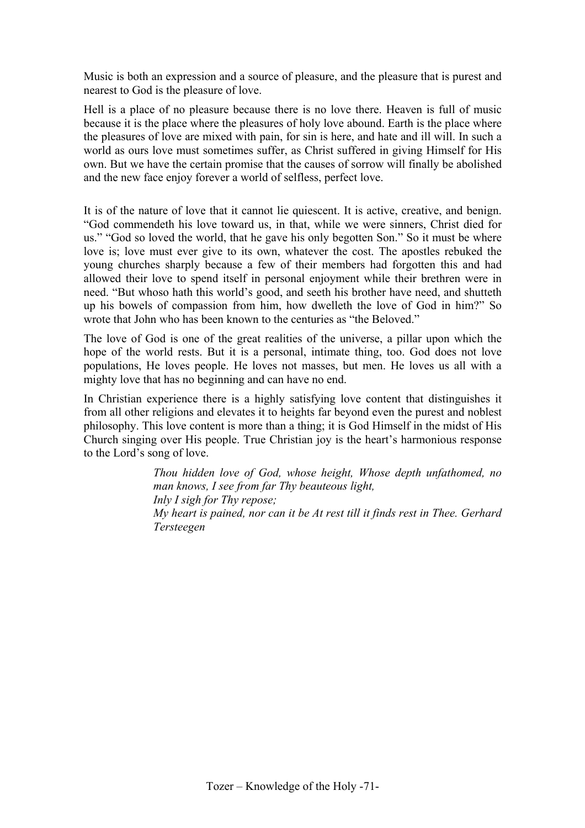Music is both an expression and a source of pleasure, and the pleasure that is purest and nearest to God is the pleasure of love.

Hell is a place of no pleasure because there is no love there. Heaven is full of music because it is the place where the pleasures of holy love abound. Earth is the place where the pleasures of love are mixed with pain, for sin is here, and hate and ill will. In such a world as ours love must sometimes suffer, as Christ suffered in giving Himself for His own. But we have the certain promise that the causes of sorrow will finally be abolished and the new face enjoy forever a world of selfless, perfect love.

It is of the nature of love that it cannot lie quiescent. It is active, creative, and benign. "God commendeth his love toward us, in that, while we were sinners, Christ died for us." "God so loved the world, that he gave his only begotten Son." So it must be where love is; love must ever give to its own, whatever the cost. The apostles rebuked the young churches sharply because a few of their members had forgotten this and had allowed their love to spend itself in personal enjoyment while their brethren were in need. "But whoso hath this world's good, and seeth his brother have need, and shutteth up his bowels of compassion from him, how dwelleth the love of God in him?" So wrote that John who has been known to the centuries as "the Beloved."

The love of God is one of the great realities of the universe, a pillar upon which the hope of the world rests. But it is a personal, intimate thing, too. God does not love populations, He loves people. He loves not masses, but men. He loves us all with a mighty love that has no beginning and can have no end.

In Christian experience there is a highly satisfying love content that distinguishes it from all other religions and elevates it to heights far beyond even the purest and noblest philosophy. This love content is more than a thing; it is God Himself in the midst of His Church singing over His people. True Christian joy is the heart's harmonious response to the Lord's song of love.

> *Thou hidden love of God, whose height, Whose depth unfathomed, no man knows, I see from far Thy beauteous light, Inly I sigh for Thy repose; My heart is pained, nor can it be At rest till it finds rest in Thee. Gerhard Tersteegen*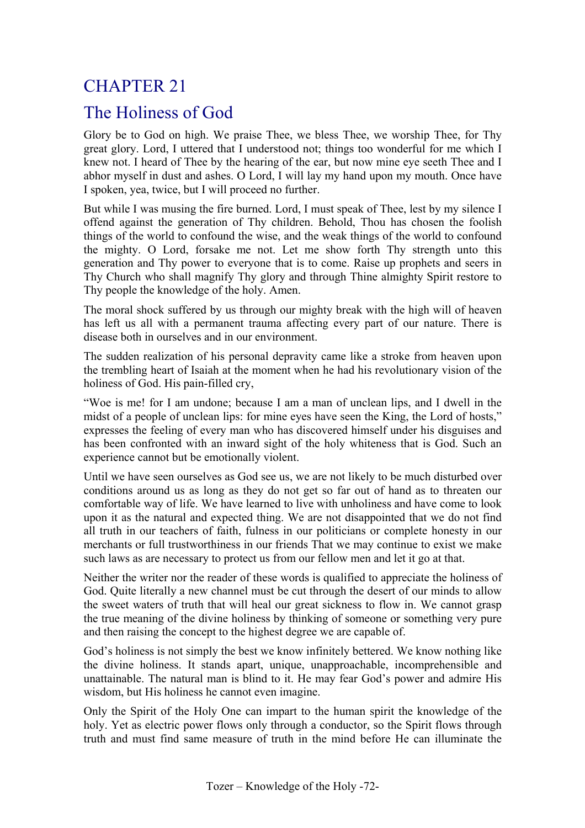### The Holiness of God

Glory be to God on high. We praise Thee, we bless Thee, we worship Thee, for Thy great glory. Lord, I uttered that I understood not; things too wonderful for me which I knew not. I heard of Thee by the hearing of the ear, but now mine eye seeth Thee and I abhor myself in dust and ashes. O Lord, I will lay my hand upon my mouth. Once have I spoken, yea, twice, but I will proceed no further.

But while I was musing the fire burned. Lord, I must speak of Thee, lest by my silence I offend against the generation of Thy children. Behold, Thou has chosen the foolish things of the world to confound the wise, and the weak things of the world to confound the mighty. O Lord, forsake me not. Let me show forth Thy strength unto this generation and Thy power to everyone that is to come. Raise up prophets and seers in Thy Church who shall magnify Thy glory and through Thine almighty Spirit restore to Thy people the knowledge of the holy. Amen.

The moral shock suffered by us through our mighty break with the high will of heaven has left us all with a permanent trauma affecting every part of our nature. There is disease both in ourselves and in our environment.

The sudden realization of his personal depravity came like a stroke from heaven upon the trembling heart of Isaiah at the moment when he had his revolutionary vision of the holiness of God. His pain-filled cry,

"Woe is me! for I am undone; because I am a man of unclean lips, and I dwell in the midst of a people of unclean lips: for mine eyes have seen the King, the Lord of hosts," expresses the feeling of every man who has discovered himself under his disguises and has been confronted with an inward sight of the holy whiteness that is God. Such an experience cannot but be emotionally violent.

Until we have seen ourselves as God see us, we are not likely to be much disturbed over conditions around us as long as they do not get so far out of hand as to threaten our comfortable way of life. We have learned to live with unholiness and have come to look upon it as the natural and expected thing. We are not disappointed that we do not find all truth in our teachers of faith, fulness in our politicians or complete honesty in our merchants or full trustworthiness in our friends That we may continue to exist we make such laws as are necessary to protect us from our fellow men and let it go at that.

Neither the writer nor the reader of these words is qualified to appreciate the holiness of God. Quite literally a new channel must be cut through the desert of our minds to allow the sweet waters of truth that will heal our great sickness to flow in. We cannot grasp the true meaning of the divine holiness by thinking of someone or something very pure and then raising the concept to the highest degree we are capable of.

God's holiness is not simply the best we know infinitely bettered. We know nothing like the divine holiness. It stands apart, unique, unapproachable, incomprehensible and unattainable. The natural man is blind to it. He may fear God's power and admire His wisdom, but His holiness he cannot even imagine.

Only the Spirit of the Holy One can impart to the human spirit the knowledge of the holy. Yet as electric power flows only through a conductor, so the Spirit flows through truth and must find same measure of truth in the mind before He can illuminate the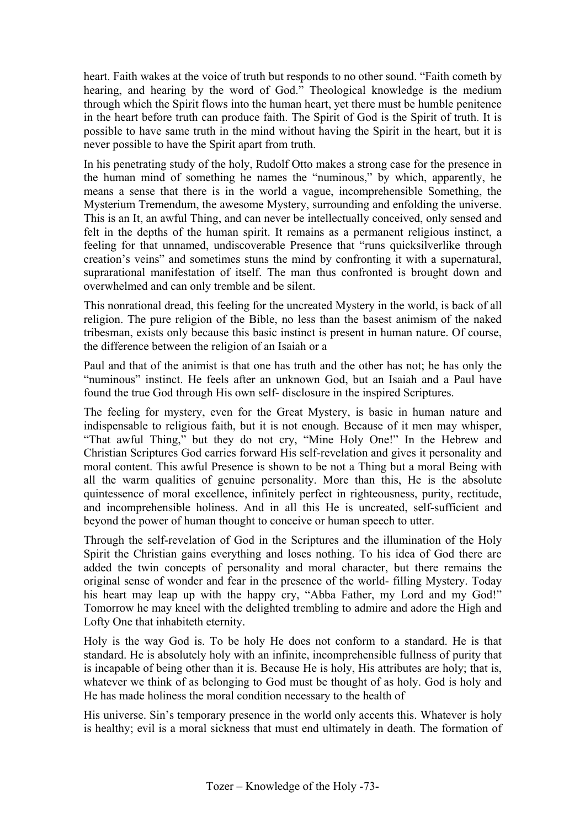heart. Faith wakes at the voice of truth but responds to no other sound. "Faith cometh by hearing, and hearing by the word of God." Theological knowledge is the medium through which the Spirit flows into the human heart, yet there must be humble penitence in the heart before truth can produce faith. The Spirit of God is the Spirit of truth. It is possible to have same truth in the mind without having the Spirit in the heart, but it is never possible to have the Spirit apart from truth.

In his penetrating study of the holy, Rudolf Otto makes a strong case for the presence in the human mind of something he names the "numinous," by which, apparently, he means a sense that there is in the world a vague, incomprehensible Something, the Mysterium Tremendum, the awesome Mystery, surrounding and enfolding the universe. This is an It, an awful Thing, and can never be intellectually conceived, only sensed and felt in the depths of the human spirit. It remains as a permanent religious instinct, a feeling for that unnamed, undiscoverable Presence that "runs quicksilverlike through creation's veins" and sometimes stuns the mind by confronting it with a supernatural, suprarational manifestation of itself. The man thus confronted is brought down and overwhelmed and can only tremble and be silent.

This nonrational dread, this feeling for the uncreated Mystery in the world, is back of all religion. The pure religion of the Bible, no less than the basest animism of the naked tribesman, exists only because this basic instinct is present in human nature. Of course, the difference between the religion of an Isaiah or a

Paul and that of the animist is that one has truth and the other has not; he has only the "numinous" instinct. He feels after an unknown God, but an Isaiah and a Paul have found the true God through His own self- disclosure in the inspired Scriptures.

The feeling for mystery, even for the Great Mystery, is basic in human nature and indispensable to religious faith, but it is not enough. Because of it men may whisper, "That awful Thing," but they do not cry, "Mine Holy One!" In the Hebrew and Christian Scriptures God carries forward His self-revelation and gives it personality and moral content. This awful Presence is shown to be not a Thing but a moral Being with all the warm qualities of genuine personality. More than this, He is the absolute quintessence of moral excellence, infinitely perfect in righteousness, purity, rectitude, and incomprehensible holiness. And in all this He is uncreated, self-sufficient and beyond the power of human thought to conceive or human speech to utter.

Through the self-revelation of God in the Scriptures and the illumination of the Holy Spirit the Christian gains everything and loses nothing. To his idea of God there are added the twin concepts of personality and moral character, but there remains the original sense of wonder and fear in the presence of the world- filling Mystery. Today his heart may leap up with the happy cry, "Abba Father, my Lord and my God!" Tomorrow he may kneel with the delighted trembling to admire and adore the High and Lofty One that inhabiteth eternity.

Holy is the way God is. To be holy He does not conform to a standard. He is that standard. He is absolutely holy with an infinite, incomprehensible fullness of purity that is incapable of being other than it is. Because He is holy, His attributes are holy; that is, whatever we think of as belonging to God must be thought of as holy. God is holy and He has made holiness the moral condition necessary to the health of

His universe. Sin's temporary presence in the world only accents this. Whatever is holy is healthy; evil is a moral sickness that must end ultimately in death. The formation of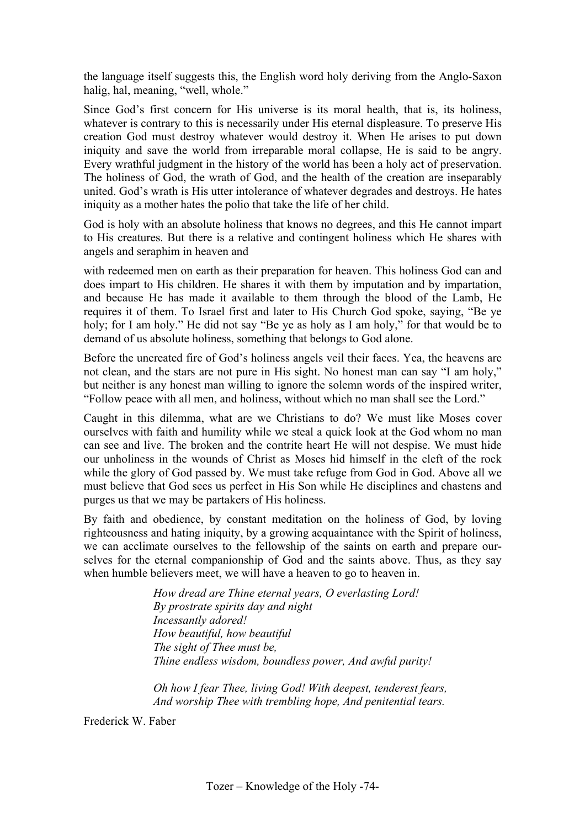the language itself suggests this, the English word holy deriving from the Anglo-Saxon halig, hal, meaning, "well, whole."

Since God's first concern for His universe is its moral health, that is, its holiness, whatever is contrary to this is necessarily under His eternal displeasure. To preserve His creation God must destroy whatever would destroy it. When He arises to put down iniquity and save the world from irreparable moral collapse, He is said to be angry. Every wrathful judgment in the history of the world has been a holy act of preservation. The holiness of God, the wrath of God, and the health of the creation are inseparably united. God's wrath is His utter intolerance of whatever degrades and destroys. He hates iniquity as a mother hates the polio that take the life of her child.

God is holy with an absolute holiness that knows no degrees, and this He cannot impart to His creatures. But there is a relative and contingent holiness which He shares with angels and seraphim in heaven and

with redeemed men on earth as their preparation for heaven. This holiness God can and does impart to His children. He shares it with them by imputation and by impartation, and because He has made it available to them through the blood of the Lamb, He requires it of them. To Israel first and later to His Church God spoke, saying, "Be ye holy; for I am holy." He did not say "Be ye as holy as I am holy," for that would be to demand of us absolute holiness, something that belongs to God alone.

Before the uncreated fire of God's holiness angels veil their faces. Yea, the heavens are not clean, and the stars are not pure in His sight. No honest man can say "I am holy," but neither is any honest man willing to ignore the solemn words of the inspired writer, "Follow peace with all men, and holiness, without which no man shall see the Lord."

Caught in this dilemma, what are we Christians to do? We must like Moses cover ourselves with faith and humility while we steal a quick look at the God whom no man can see and live. The broken and the contrite heart He will not despise. We must hide our unholiness in the wounds of Christ as Moses hid himself in the cleft of the rock while the glory of God passed by. We must take refuge from God in God. Above all we must believe that God sees us perfect in His Son while He disciplines and chastens and purges us that we may be partakers of His holiness.

By faith and obedience, by constant meditation on the holiness of God, by loving righteousness and hating iniquity, by a growing acquaintance with the Spirit of holiness, we can acclimate ourselves to the fellowship of the saints on earth and prepare ourselves for the eternal companionship of God and the saints above. Thus, as they say when humble believers meet, we will have a heaven to go to heaven in.

> *How dread are Thine eternal years, O everlasting Lord! By prostrate spirits day and night Incessantly adored! How beautiful, how beautiful The sight of Thee must be, Thine endless wisdom, boundless power, And awful purity!*

*Oh how I fear Thee, living God! With deepest, tenderest fears, And worship Thee with trembling hope, And penitential tears.* 

Frederick W. Faber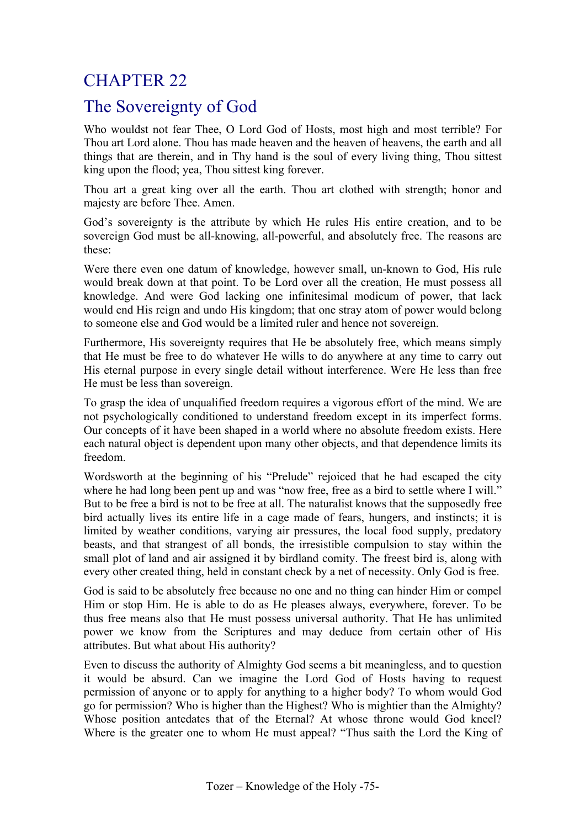## CHAPTER 22

## The Sovereignty of God

Who wouldst not fear Thee, O Lord God of Hosts, most high and most terrible? For Thou art Lord alone. Thou has made heaven and the heaven of heavens, the earth and all things that are therein, and in Thy hand is the soul of every living thing, Thou sittest king upon the flood; yea, Thou sittest king forever.

Thou art a great king over all the earth. Thou art clothed with strength; honor and majesty are before Thee. Amen.

God's sovereignty is the attribute by which He rules His entire creation, and to be sovereign God must be all-knowing, all-powerful, and absolutely free. The reasons are these:

Were there even one datum of knowledge, however small, un-known to God, His rule would break down at that point. To be Lord over all the creation, He must possess all knowledge. And were God lacking one infinitesimal modicum of power, that lack would end His reign and undo His kingdom; that one stray atom of power would belong to someone else and God would be a limited ruler and hence not sovereign.

Furthermore, His sovereignty requires that He be absolutely free, which means simply that He must be free to do whatever He wills to do anywhere at any time to carry out His eternal purpose in every single detail without interference. Were He less than free He must be less than sovereign.

To grasp the idea of unqualified freedom requires a vigorous effort of the mind. We are not psychologically conditioned to understand freedom except in its imperfect forms. Our concepts of it have been shaped in a world where no absolute freedom exists. Here each natural object is dependent upon many other objects, and that dependence limits its freedom.

Wordsworth at the beginning of his "Prelude" rejoiced that he had escaped the city where he had long been pent up and was "now free, free as a bird to settle where I will." But to be free a bird is not to be free at all. The naturalist knows that the supposedly free bird actually lives its entire life in a cage made of fears, hungers, and instincts; it is limited by weather conditions, varying air pressures, the local food supply, predatory beasts, and that strangest of all bonds, the irresistible compulsion to stay within the small plot of land and air assigned it by birdland comity. The freest bird is, along with every other created thing, held in constant check by a net of necessity. Only God is free.

God is said to be absolutely free because no one and no thing can hinder Him or compel Him or stop Him. He is able to do as He pleases always, everywhere, forever. To be thus free means also that He must possess universal authority. That He has unlimited power we know from the Scriptures and may deduce from certain other of His attributes. But what about His authority?

Even to discuss the authority of Almighty God seems a bit meaningless, and to question it would be absurd. Can we imagine the Lord God of Hosts having to request permission of anyone or to apply for anything to a higher body? To whom would God go for permission? Who is higher than the Highest? Who is mightier than the Almighty? Whose position antedates that of the Eternal? At whose throne would God kneel? Where is the greater one to whom He must appeal? "Thus saith the Lord the King of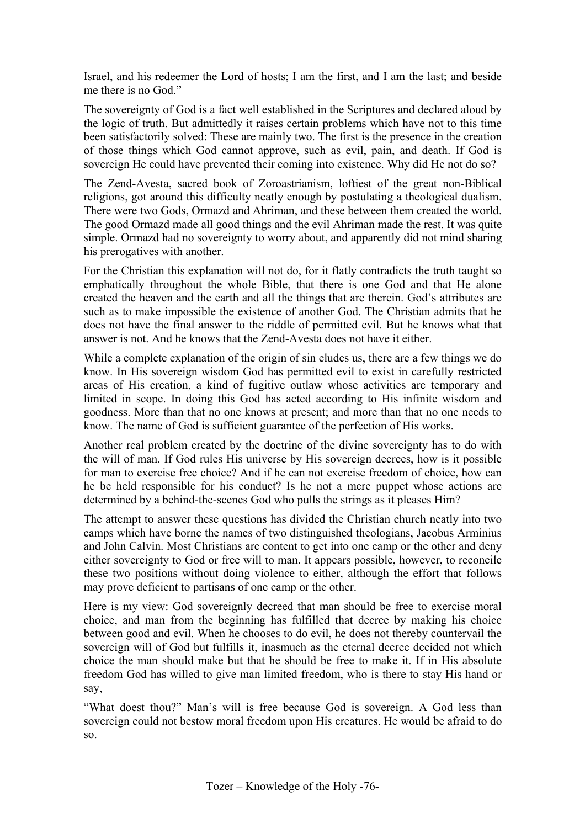Israel, and his redeemer the Lord of hosts; I am the first, and I am the last; and beside me there is no God."

The sovereignty of God is a fact well established in the Scriptures and declared aloud by the logic of truth. But admittedly it raises certain problems which have not to this time been satisfactorily solved: These are mainly two. The first is the presence in the creation of those things which God cannot approve, such as evil, pain, and death. If God is sovereign He could have prevented their coming into existence. Why did He not do so?

The Zend-Avesta, sacred book of Zoroastrianism, loftiest of the great non-Biblical religions, got around this difficulty neatly enough by postulating a theological dualism. There were two Gods, Ormazd and Ahriman, and these between them created the world. The good Ormazd made all good things and the evil Ahriman made the rest. It was quite simple. Ormazd had no sovereignty to worry about, and apparently did not mind sharing his prerogatives with another.

For the Christian this explanation will not do, for it flatly contradicts the truth taught so emphatically throughout the whole Bible, that there is one God and that He alone created the heaven and the earth and all the things that are therein. God's attributes are such as to make impossible the existence of another God. The Christian admits that he does not have the final answer to the riddle of permitted evil. But he knows what that answer is not. And he knows that the Zend-Avesta does not have it either.

While a complete explanation of the origin of sin eludes us, there are a few things we do know. In His sovereign wisdom God has permitted evil to exist in carefully restricted areas of His creation, a kind of fugitive outlaw whose activities are temporary and limited in scope. In doing this God has acted according to His infinite wisdom and goodness. More than that no one knows at present; and more than that no one needs to know. The name of God is sufficient guarantee of the perfection of His works.

Another real problem created by the doctrine of the divine sovereignty has to do with the will of man. If God rules His universe by His sovereign decrees, how is it possible for man to exercise free choice? And if he can not exercise freedom of choice, how can he be held responsible for his conduct? Is he not a mere puppet whose actions are determined by a behind-the-scenes God who pulls the strings as it pleases Him?

The attempt to answer these questions has divided the Christian church neatly into two camps which have borne the names of two distinguished theologians, Jacobus Arminius and John Calvin. Most Christians are content to get into one camp or the other and deny either sovereignty to God or free will to man. It appears possible, however, to reconcile these two positions without doing violence to either, although the effort that follows may prove deficient to partisans of one camp or the other.

Here is my view: God sovereignly decreed that man should be free to exercise moral choice, and man from the beginning has fulfilled that decree by making his choice between good and evil. When he chooses to do evil, he does not thereby countervail the sovereign will of God but fulfills it, inasmuch as the eternal decree decided not which choice the man should make but that he should be free to make it. If in His absolute freedom God has willed to give man limited freedom, who is there to stay His hand or say,

"What doest thou?" Man's will is free because God is sovereign. A God less than sovereign could not bestow moral freedom upon His creatures. He would be afraid to do so.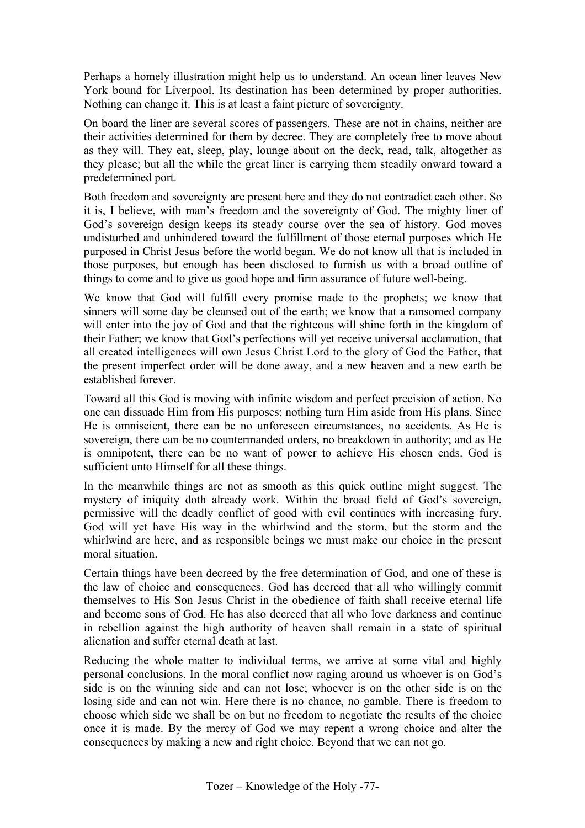Perhaps a homely illustration might help us to understand. An ocean liner leaves New York bound for Liverpool. Its destination has been determined by proper authorities. Nothing can change it. This is at least a faint picture of sovereignty.

On board the liner are several scores of passengers. These are not in chains, neither are their activities determined for them by decree. They are completely free to move about as they will. They eat, sleep, play, lounge about on the deck, read, talk, altogether as they please; but all the while the great liner is carrying them steadily onward toward a predetermined port.

Both freedom and sovereignty are present here and they do not contradict each other. So it is, I believe, with man's freedom and the sovereignty of God. The mighty liner of God's sovereign design keeps its steady course over the sea of history. God moves undisturbed and unhindered toward the fulfillment of those eternal purposes which He purposed in Christ Jesus before the world began. We do not know all that is included in those purposes, but enough has been disclosed to furnish us with a broad outline of things to come and to give us good hope and firm assurance of future well-being.

We know that God will fulfill every promise made to the prophets; we know that sinners will some day be cleansed out of the earth; we know that a ransomed company will enter into the joy of God and that the righteous will shine forth in the kingdom of their Father; we know that God's perfections will yet receive universal acclamation, that all created intelligences will own Jesus Christ Lord to the glory of God the Father, that the present imperfect order will be done away, and a new heaven and a new earth be established forever.

Toward all this God is moving with infinite wisdom and perfect precision of action. No one can dissuade Him from His purposes; nothing turn Him aside from His plans. Since He is omniscient, there can be no unforeseen circumstances, no accidents. As He is sovereign, there can be no countermanded orders, no breakdown in authority; and as He is omnipotent, there can be no want of power to achieve His chosen ends. God is sufficient unto Himself for all these things.

In the meanwhile things are not as smooth as this quick outline might suggest. The mystery of iniquity doth already work. Within the broad field of God's sovereign, permissive will the deadly conflict of good with evil continues with increasing fury. God will yet have His way in the whirlwind and the storm, but the storm and the whirlwind are here, and as responsible beings we must make our choice in the present moral situation.

Certain things have been decreed by the free determination of God, and one of these is the law of choice and consequences. God has decreed that all who willingly commit themselves to His Son Jesus Christ in the obedience of faith shall receive eternal life and become sons of God. He has also decreed that all who love darkness and continue in rebellion against the high authority of heaven shall remain in a state of spiritual alienation and suffer eternal death at last.

Reducing the whole matter to individual terms, we arrive at some vital and highly personal conclusions. In the moral conflict now raging around us whoever is on God's side is on the winning side and can not lose; whoever is on the other side is on the losing side and can not win. Here there is no chance, no gamble. There is freedom to choose which side we shall be on but no freedom to negotiate the results of the choice once it is made. By the mercy of God we may repent a wrong choice and alter the consequences by making a new and right choice. Beyond that we can not go.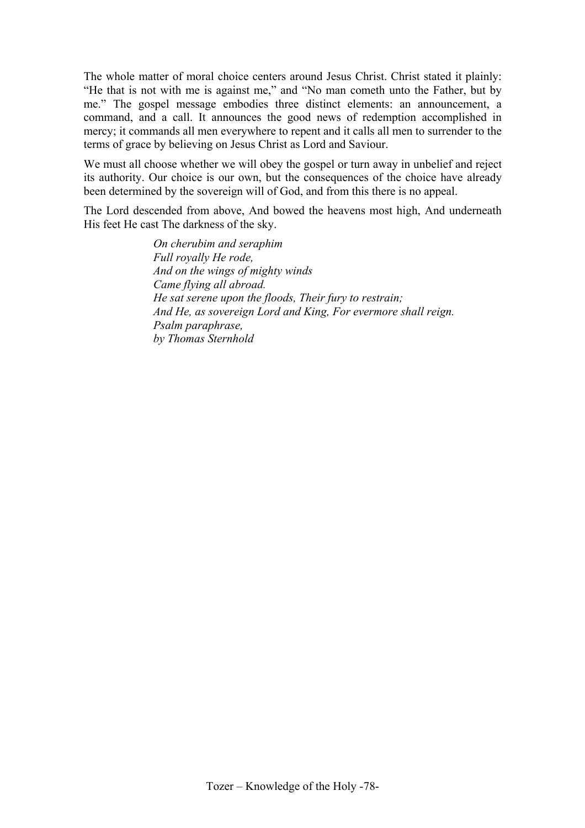The whole matter of moral choice centers around Jesus Christ. Christ stated it plainly: "He that is not with me is against me," and "No man cometh unto the Father, but by me." The gospel message embodies three distinct elements: an announcement, a command, and a call. It announces the good news of redemption accomplished in mercy; it commands all men everywhere to repent and it calls all men to surrender to the terms of grace by believing on Jesus Christ as Lord and Saviour.

We must all choose whether we will obey the gospel or turn away in unbelief and reject its authority. Our choice is our own, but the consequences of the choice have already been determined by the sovereign will of God, and from this there is no appeal.

The Lord descended from above, And bowed the heavens most high, And underneath His feet He cast The darkness of the sky.

> *On cherubim and seraphim Full royally He rode, And on the wings of mighty winds Came flying all abroad. He sat serene upon the floods, Their fury to restrain; And He, as sovereign Lord and King, For evermore shall reign. Psalm paraphrase, by Thomas Sternhold*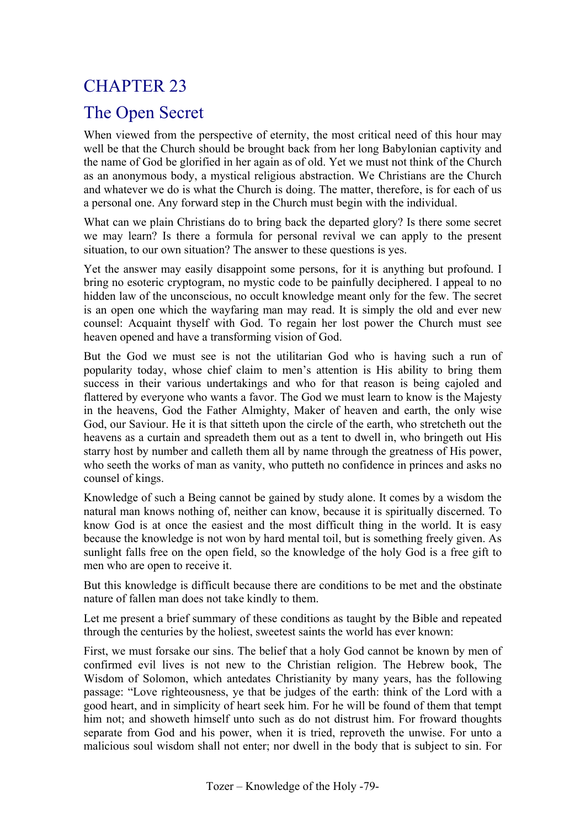## CHAPTER 23

## The Open Secret

When viewed from the perspective of eternity, the most critical need of this hour may well be that the Church should be brought back from her long Babylonian captivity and the name of God be glorified in her again as of old. Yet we must not think of the Church as an anonymous body, a mystical religious abstraction. We Christians are the Church and whatever we do is what the Church is doing. The matter, therefore, is for each of us a personal one. Any forward step in the Church must begin with the individual.

What can we plain Christians do to bring back the departed glory? Is there some secret we may learn? Is there a formula for personal revival we can apply to the present situation, to our own situation? The answer to these questions is yes.

Yet the answer may easily disappoint some persons, for it is anything but profound. I bring no esoteric cryptogram, no mystic code to be painfully deciphered. I appeal to no hidden law of the unconscious, no occult knowledge meant only for the few. The secret is an open one which the wayfaring man may read. It is simply the old and ever new counsel: Acquaint thyself with God. To regain her lost power the Church must see heaven opened and have a transforming vision of God.

But the God we must see is not the utilitarian God who is having such a run of popularity today, whose chief claim to men's attention is His ability to bring them success in their various undertakings and who for that reason is being cajoled and flattered by everyone who wants a favor. The God we must learn to know is the Majesty in the heavens, God the Father Almighty, Maker of heaven and earth, the only wise God, our Saviour. He it is that sitteth upon the circle of the earth, who stretcheth out the heavens as a curtain and spreadeth them out as a tent to dwell in, who bringeth out His starry host by number and calleth them all by name through the greatness of His power, who seeth the works of man as vanity, who putteth no confidence in princes and asks no counsel of kings.

Knowledge of such a Being cannot be gained by study alone. It comes by a wisdom the natural man knows nothing of, neither can know, because it is spiritually discerned. To know God is at once the easiest and the most difficult thing in the world. It is easy because the knowledge is not won by hard mental toil, but is something freely given. As sunlight falls free on the open field, so the knowledge of the holy God is a free gift to men who are open to receive it.

But this knowledge is difficult because there are conditions to be met and the obstinate nature of fallen man does not take kindly to them.

Let me present a brief summary of these conditions as taught by the Bible and repeated through the centuries by the holiest, sweetest saints the world has ever known:

First, we must forsake our sins. The belief that a holy God cannot be known by men of confirmed evil lives is not new to the Christian religion. The Hebrew book, The Wisdom of Solomon, which antedates Christianity by many years, has the following passage: "Love righteousness, ye that be judges of the earth: think of the Lord with a good heart, and in simplicity of heart seek him. For he will be found of them that tempt him not; and showeth himself unto such as do not distrust him. For froward thoughts separate from God and his power, when it is tried, reproveth the unwise. For unto a malicious soul wisdom shall not enter; nor dwell in the body that is subject to sin. For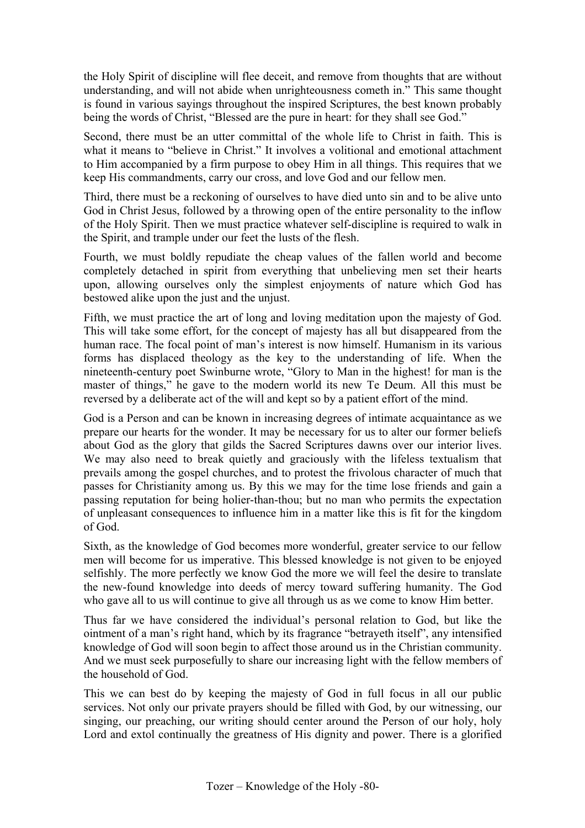the Holy Spirit of discipline will flee deceit, and remove from thoughts that are without understanding, and will not abide when unrighteousness cometh in." This same thought is found in various sayings throughout the inspired Scriptures, the best known probably being the words of Christ, "Blessed are the pure in heart: for they shall see God."

Second, there must be an utter committal of the whole life to Christ in faith. This is what it means to "believe in Christ." It involves a volitional and emotional attachment to Him accompanied by a firm purpose to obey Him in all things. This requires that we keep His commandments, carry our cross, and love God and our fellow men.

Third, there must be a reckoning of ourselves to have died unto sin and to be alive unto God in Christ Jesus, followed by a throwing open of the entire personality to the inflow of the Holy Spirit. Then we must practice whatever self-discipline is required to walk in the Spirit, and trample under our feet the lusts of the flesh.

Fourth, we must boldly repudiate the cheap values of the fallen world and become completely detached in spirit from everything that unbelieving men set their hearts upon, allowing ourselves only the simplest enjoyments of nature which God has bestowed alike upon the just and the unjust.

Fifth, we must practice the art of long and loving meditation upon the majesty of God. This will take some effort, for the concept of majesty has all but disappeared from the human race. The focal point of man's interest is now himself. Humanism in its various forms has displaced theology as the key to the understanding of life. When the nineteenth-century poet Swinburne wrote, "Glory to Man in the highest! for man is the master of things," he gave to the modern world its new Te Deum. All this must be reversed by a deliberate act of the will and kept so by a patient effort of the mind.

God is a Person and can be known in increasing degrees of intimate acquaintance as we prepare our hearts for the wonder. It may be necessary for us to alter our former beliefs about God as the glory that gilds the Sacred Scriptures dawns over our interior lives. We may also need to break quietly and graciously with the lifeless textualism that prevails among the gospel churches, and to protest the frivolous character of much that passes for Christianity among us. By this we may for the time lose friends and gain a passing reputation for being holier-than-thou; but no man who permits the expectation of unpleasant consequences to influence him in a matter like this is fit for the kingdom of God.

Sixth, as the knowledge of God becomes more wonderful, greater service to our fellow men will become for us imperative. This blessed knowledge is not given to be enjoyed selfishly. The more perfectly we know God the more we will feel the desire to translate the new-found knowledge into deeds of mercy toward suffering humanity. The God who gave all to us will continue to give all through us as we come to know Him better.

Thus far we have considered the individual's personal relation to God, but like the ointment of a man's right hand, which by its fragrance "betrayeth itself", any intensified knowledge of God will soon begin to affect those around us in the Christian community. And we must seek purposefully to share our increasing light with the fellow members of the household of God.

This we can best do by keeping the majesty of God in full focus in all our public services. Not only our private prayers should be filled with God, by our witnessing, our singing, our preaching, our writing should center around the Person of our holy, holy Lord and extol continually the greatness of His dignity and power. There is a glorified